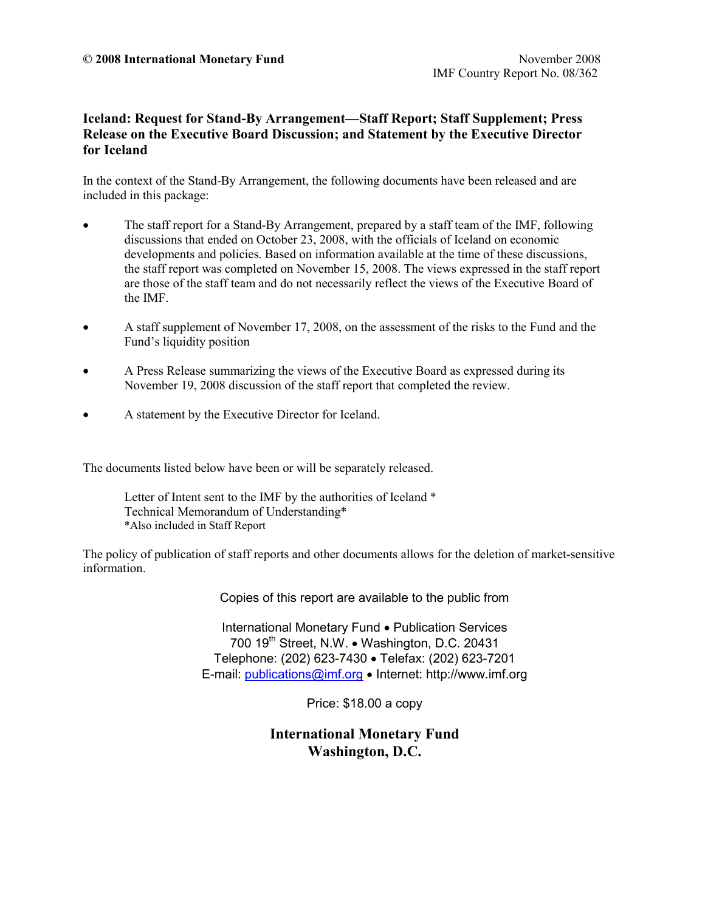## **Iceland: Request for Stand-By Arrangement—Staff Report; Staff Supplement; Press Release on the Executive Board Discussion; and Statement by the Executive Director for Iceland**

In the context of the Stand-By Arrangement, the following documents have been released and are included in this package:

- The staff report for a Stand-By Arrangement, prepared by a staff team of the IMF, following discussions that ended on October 23, 2008, with the officials of Iceland on economic developments and policies. Based on information available at the time of these discussions, the staff report was completed on November 15, 2008. The views expressed in the staff report are those of the staff team and do not necessarily reflect the views of the Executive Board of the IMF.
- A staff supplement of November 17, 2008, on the assessment of the risks to the Fund and the Fund's liquidity position
- A Press Release summarizing the views of the Executive Board as expressed during its November 19, 2008 discussion of the staff report that completed the review.
- A statement by the Executive Director for Iceland.

The documents listed below have been or will be separately released.

Letter of Intent sent to the IMF by the authorities of Iceland  $*$  Technical Memorandum of Understanding\* \*Also included in Staff Report

The policy of publication of staff reports and other documents allows for the deletion of market-sensitive information.

Copies of this report are available to the public from

International Monetary Fund • Publication Services 700 19<sup>th</sup> Street, N.W. • Washington, D.C. 20431 Telephone: (202) 623-7430 • Telefax: (202) 623-7201 E-mail: [publications@imf.org](mailto:publications@imf.org) • Internet: http://www.imf.org

Price: \$18.00 a copy

**International Monetary Fund Washington, D.C.**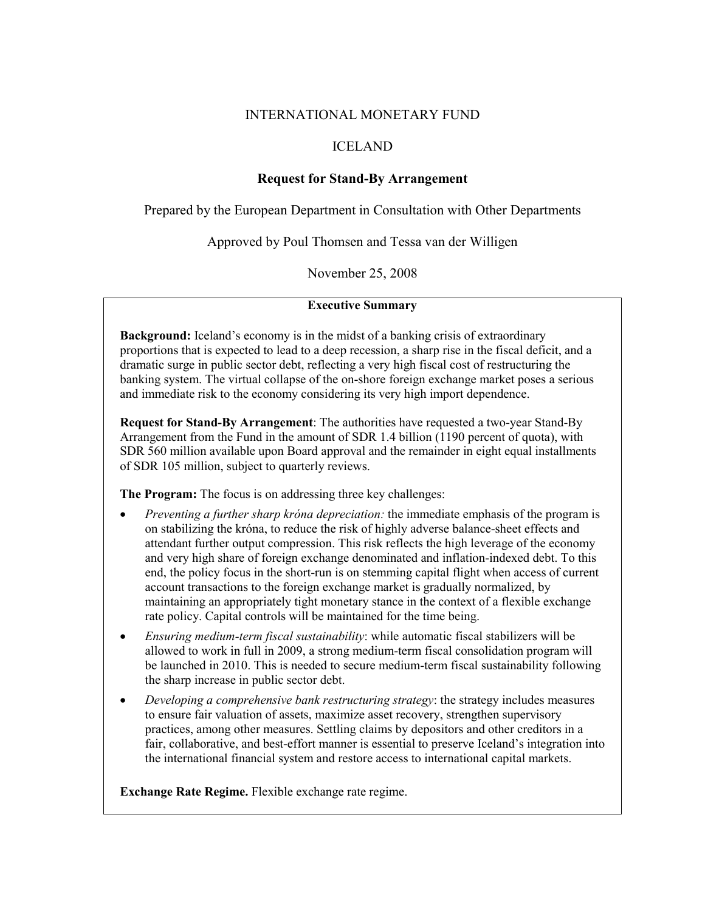### INTERNATIONAL MONETARY FUND

## ICELAND

### **Request for Stand-By Arrangement**

Prepared by the European Department in Consultation with Other Departments

Approved by Poul Thomsen and Tessa van der Willigen

November 25, 2008

#### **Executive Summary**

**Background:** Iceland's economy is in the midst of a banking crisis of extraordinary proportions that is expected to lead to a deep recession, a sharp rise in the fiscal deficit, and a dramatic surge in public sector debt, reflecting a very high fiscal cost of restructuring the banking system. The virtual collapse of the on-shore foreign exchange market poses a serious and immediate risk to the economy considering its very high import dependence.

**Request for Stand-By Arrangement**: The authorities have requested a two-year Stand-By Arrangement from the Fund in the amount of SDR 1.4 billion (1190 percent of quota), with SDR 560 million available upon Board approval and the remainder in eight equal installments of SDR 105 million, subject to quarterly reviews.

**The Program:** The focus is on addressing three key challenges:

- *Preventing a further sharp króna depreciation:* the immediate emphasis of the program is on stabilizing the króna, to reduce the risk of highly adverse balance-sheet effects and attendant further output compression. This risk reflects the high leverage of the economy and very high share of foreign exchange denominated and inflation-indexed debt. To this end, the policy focus in the short-run is on stemming capital flight when access of current account transactions to the foreign exchange market is gradually normalized, by maintaining an appropriately tight monetary stance in the context of a flexible exchange rate policy. Capital controls will be maintained for the time being.
- *Ensuring medium-term fiscal sustainability*: while automatic fiscal stabilizers will be allowed to work in full in 2009, a strong medium-term fiscal consolidation program will be launched in 2010. This is needed to secure medium-term fiscal sustainability following the sharp increase in public sector debt.
- *Developing a comprehensive bank restructuring strategy*: the strategy includes measures to ensure fair valuation of assets, maximize asset recovery, strengthen supervisory practices, among other measures. Settling claims by depositors and other creditors in a fair, collaborative, and best-effort manner is essential to preserve Iceland's integration into the international financial system and restore access to international capital markets.

**Exchange Rate Regime.** Flexible exchange rate regime.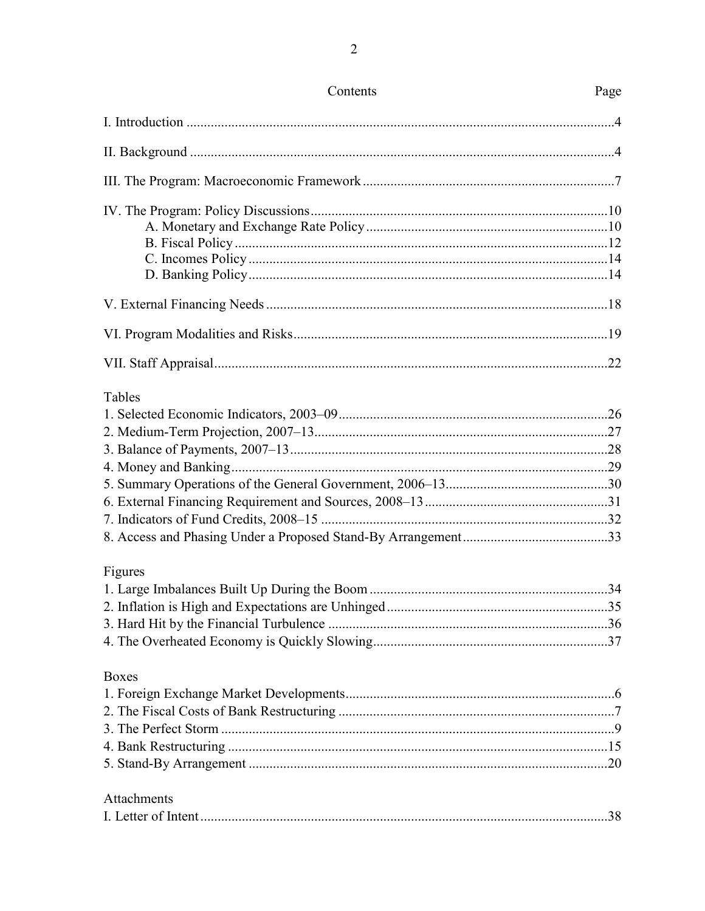| Contents     | Page |
|--------------|------|
|              |      |
|              |      |
|              |      |
|              |      |
|              |      |
|              |      |
|              |      |
|              |      |
|              |      |
|              |      |
|              |      |
| Tables       |      |
|              |      |
|              |      |
|              |      |
|              |      |
|              |      |
|              |      |
|              |      |
|              |      |
| Figures      |      |
|              |      |
|              |      |
|              |      |
|              |      |
| <b>Boxes</b> |      |
|              |      |
|              |      |
|              |      |
|              |      |
|              |      |
| Attachments  |      |
|              |      |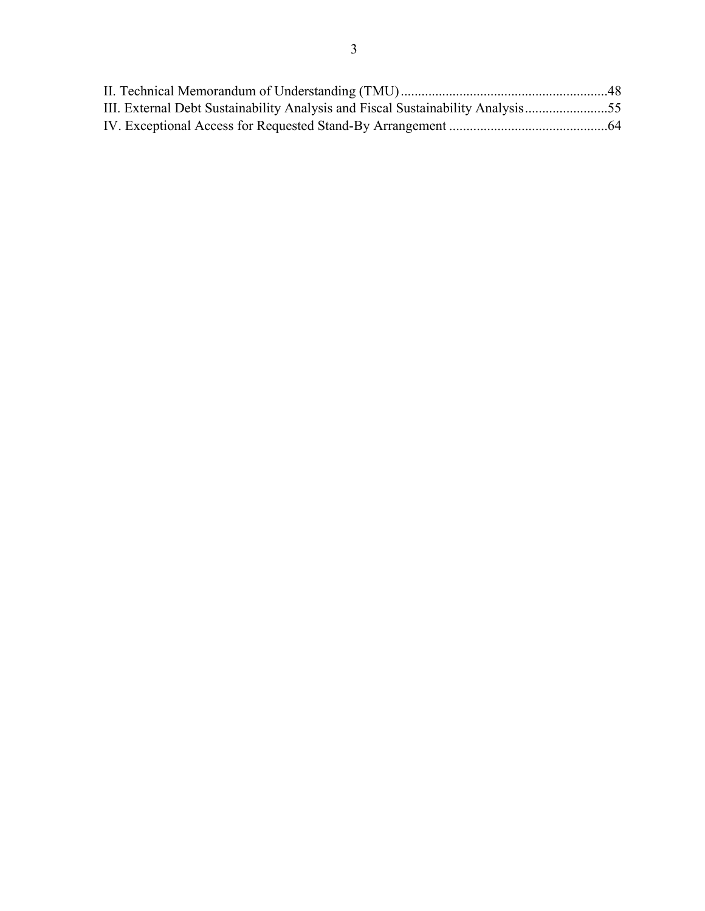| III. External Debt Sustainability Analysis and Fiscal Sustainability Analysis55 |  |
|---------------------------------------------------------------------------------|--|
|                                                                                 |  |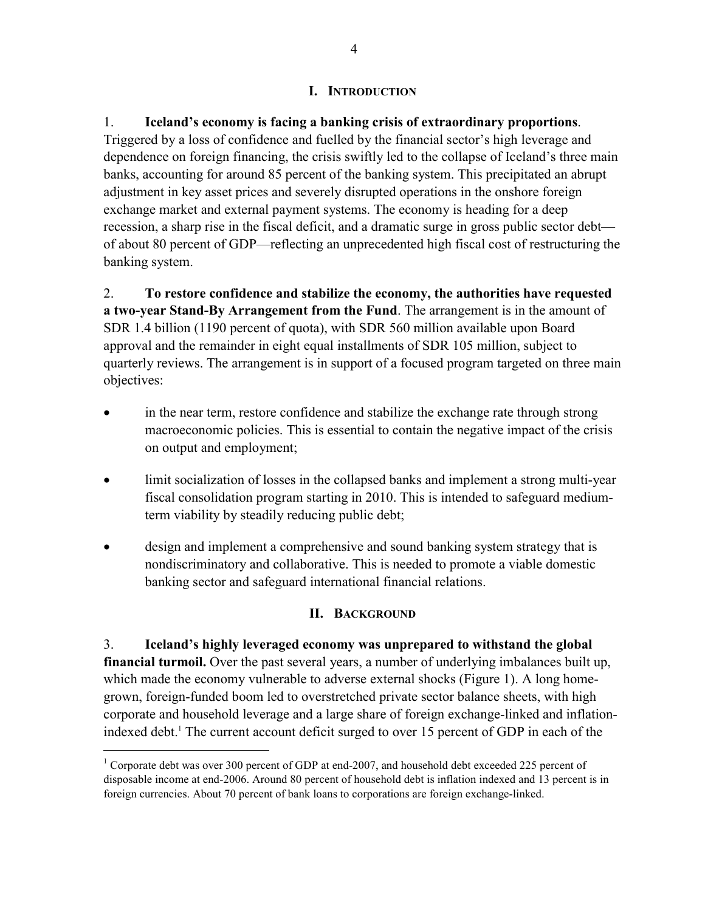## **I. INTRODUCTION**

1. **Iceland's economy is facing a banking crisis of extraordinary proportions**. Triggered by a loss of confidence and fuelled by the financial sector's high leverage and dependence on foreign financing, the crisis swiftly led to the collapse of Iceland's three main banks, accounting for around 85 percent of the banking system. This precipitated an abrupt adjustment in key asset prices and severely disrupted operations in the onshore foreign exchange market and external payment systems. The economy is heading for a deep recession, a sharp rise in the fiscal deficit, and a dramatic surge in gross public sector debt of about 80 percent of GDP—reflecting an unprecedented high fiscal cost of restructuring the banking system.

2. **To restore confidence and stabilize the economy, the authorities have requested a two-year Stand-By Arrangement from the Fund**. The arrangement is in the amount of SDR 1.4 billion (1190 percent of quota), with SDR 560 million available upon Board approval and the remainder in eight equal installments of SDR 105 million, subject to quarterly reviews. The arrangement is in support of a focused program targeted on three main objectives:

- in the near term, restore confidence and stabilize the exchange rate through strong macroeconomic policies. This is essential to contain the negative impact of the crisis on output and employment;
- limit socialization of losses in the collapsed banks and implement a strong multi-year fiscal consolidation program starting in 2010. This is intended to safeguard mediumterm viability by steadily reducing public debt;
- design and implement a comprehensive and sound banking system strategy that is nondiscriminatory and collaborative. This is needed to promote a viable domestic banking sector and safeguard international financial relations.

# **II. BACKGROUND**

3. **Iceland's highly leveraged economy was unprepared to withstand the global financial turmoil.** Over the past several years, a number of underlying imbalances built up, which made the economy vulnerable to adverse external shocks (Figure 1). A long homegrown, foreign-funded boom led to overstretched private sector balance sheets, with high corporate and household leverage and a large share of foreign exchange-linked and inflationindexed debt.<sup>1</sup> The current account deficit surged to over 15 percent of GDP in each of the

 $\overline{a}$ 

<sup>&</sup>lt;sup>1</sup> Corporate debt was over 300 percent of GDP at end-2007, and household debt exceeded 225 percent of disposable income at end-2006. Around 80 percent of household debt is inflation indexed and 13 percent is in foreign currencies. About 70 percent of bank loans to corporations are foreign exchange-linked.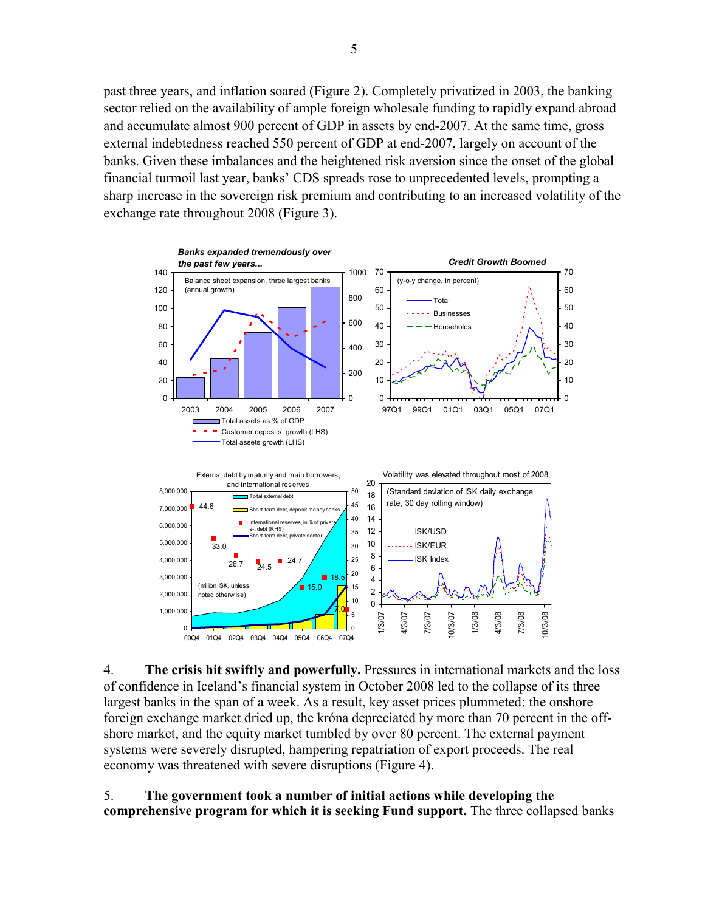past three years, and inflation soared (Figure 2). Completely privatized in 2003, the banking sector relied on the availability of ample foreign wholesale funding to rapidly expand abroad and accumulate almost 900 percent of GDP in assets by end-2007. At the same time, gross external indebtedness reached 550 percent of GDP at end-2007, largely on account of the banks. Given these imbalances and the heightened risk aversion since the onset of the global financial turmoil last year, banks' CDS spreads rose to unprecedented levels, prompting a sharp increase in the sovereign risk premium and contributing to an increased volatility of the exchange rate throughout 2008 (Figure 3).



4. **The crisis hit swiftly and powerfully.** Pressures in international markets and the loss of confidence in Iceland's financial system in October 2008 led to the collapse of its three largest banks in the span of a week. As a result, key asset prices plummeted: the onshore foreign exchange market dried up, the króna depreciated by more than 70 percent in the offshore market, and the equity market tumbled by over 80 percent. The external payment systems were severely disrupted, hampering repatriation of export proceeds. The real economy was threatened with severe disruptions (Figure 4).

5. **The government took a number of initial actions while developing the comprehensive program for which it is seeking Fund support.** The three collapsed banks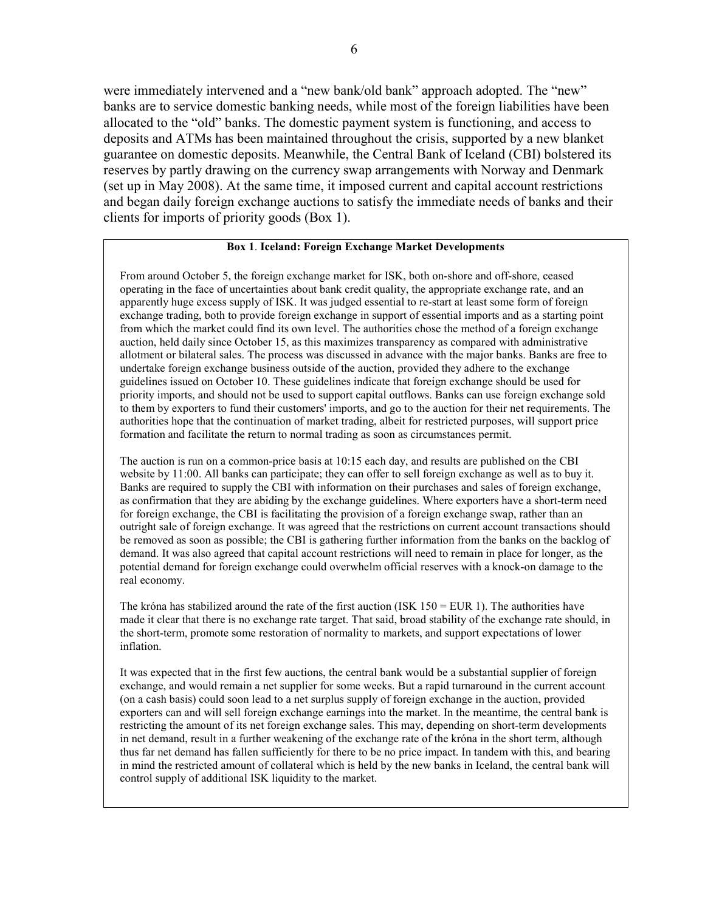were immediately intervened and a "new bank/old bank" approach adopted. The "new" banks are to service domestic banking needs, while most of the foreign liabilities have been allocated to the "old" banks. The domestic payment system is functioning, and access to deposits and ATMs has been maintained throughout the crisis, supported by a new blanket guarantee on domestic deposits. Meanwhile, the Central Bank of Iceland (CBI) bolstered its reserves by partly drawing on the currency swap arrangements with Norway and Denmark (set up in May 2008). At the same time, it imposed current and capital account restrictions and began daily foreign exchange auctions to satisfy the immediate needs of banks and their clients for imports of priority goods (Box 1).

### **Box 1**. **Iceland: Foreign Exchange Market Developments**

From around October 5, the foreign exchange market for ISK, both on-shore and off-shore, ceased operating in the face of uncertainties about bank credit quality, the appropriate exchange rate, and an apparently huge excess supply of ISK. It was judged essential to re-start at least some form of foreign exchange trading, both to provide foreign exchange in support of essential imports and as a starting point from which the market could find its own level. The authorities chose the method of a foreign exchange auction, held daily since October 15, as this maximizes transparency as compared with administrative allotment or bilateral sales. The process was discussed in advance with the major banks. Banks are free to undertake foreign exchange business outside of the auction, provided they adhere to the exchange guidelines issued on October 10. These guidelines indicate that foreign exchange should be used for priority imports, and should not be used to support capital outflows. Banks can use foreign exchange sold to them by exporters to fund their customers' imports, and go to the auction for their net requirements. The authorities hope that the continuation of market trading, albeit for restricted purposes, will support price formation and facilitate the return to normal trading as soon as circumstances permit.

The auction is run on a common-price basis at 10:15 each day, and results are published on the CBI website by 11:00. All banks can participate; they can offer to sell foreign exchange as well as to buy it. Banks are required to supply the CBI with information on their purchases and sales of foreign exchange, as confirmation that they are abiding by the exchange guidelines. Where exporters have a short-term need for foreign exchange, the CBI is facilitating the provision of a foreign exchange swap, rather than an outright sale of foreign exchange. It was agreed that the restrictions on current account transactions should be removed as soon as possible; the CBI is gathering further information from the banks on the backlog of demand. It was also agreed that capital account restrictions will need to remain in place for longer, as the potential demand for foreign exchange could overwhelm official reserves with a knock-on damage to the real economy.

The króna has stabilized around the rate of the first auction (ISK  $150 = EUR$ ). The authorities have made it clear that there is no exchange rate target. That said, broad stability of the exchange rate should, in the short-term, promote some restoration of normality to markets, and support expectations of lower inflation.

It was expected that in the first few auctions, the central bank would be a substantial supplier of foreign exchange, and would remain a net supplier for some weeks. But a rapid turnaround in the current account (on a cash basis) could soon lead to a net surplus supply of foreign exchange in the auction, provided exporters can and will sell foreign exchange earnings into the market. In the meantime, the central bank is restricting the amount of its net foreign exchange sales. This may, depending on short-term developments in net demand, result in a further weakening of the exchange rate of the króna in the short term, although thus far net demand has fallen sufficiently for there to be no price impact. In tandem with this, and bearing in mind the restricted amount of collateral which is held by the new banks in Iceland, the central bank will control supply of additional ISK liquidity to the market.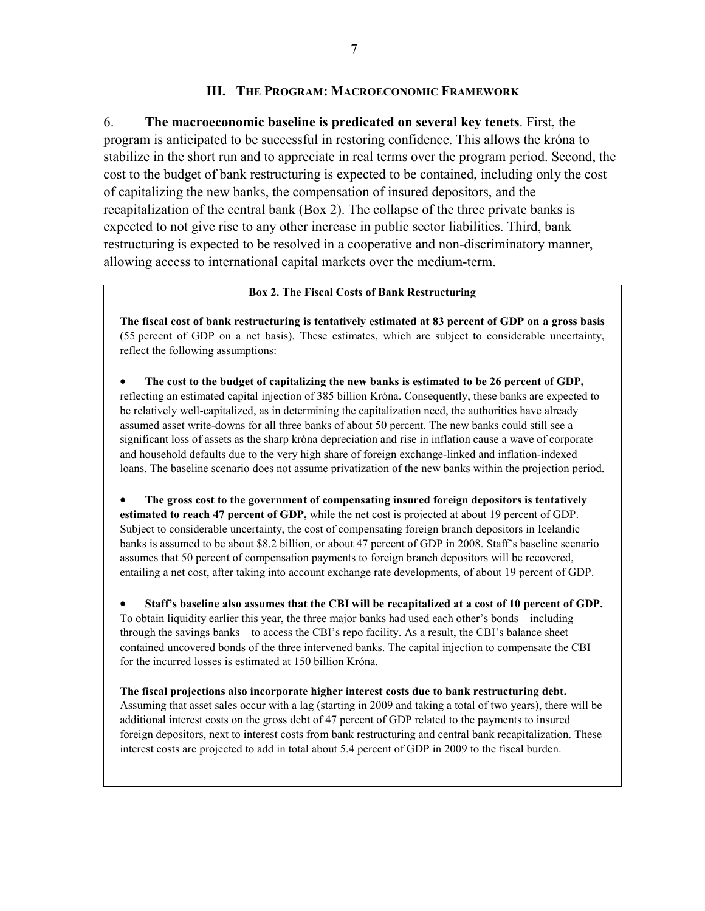### **III. THE PROGRAM: MACROECONOMIC FRAMEWORK**

6. **The macroeconomic baseline is predicated on several key tenets**. First, the program is anticipated to be successful in restoring confidence. This allows the króna to stabilize in the short run and to appreciate in real terms over the program period. Second, the cost to the budget of bank restructuring is expected to be contained, including only the cost of capitalizing the new banks, the compensation of insured depositors, and the recapitalization of the central bank (Box 2). The collapse of the three private banks is expected to not give rise to any other increase in public sector liabilities. Third, bank restructuring is expected to be resolved in a cooperative and non-discriminatory manner, allowing access to international capital markets over the medium-term.

### **Box 2. The Fiscal Costs of Bank Restructuring**

**The fiscal cost of bank restructuring is tentatively estimated at 83 percent of GDP on a gross basis**  (55 percent of GDP on a net basis). These estimates, which are subject to considerable uncertainty, reflect the following assumptions:

• **The cost to the budget of capitalizing the new banks is estimated to be 26 percent of GDP,**  reflecting an estimated capital injection of 385 billion Króna. Consequently, these banks are expected to be relatively well-capitalized, as in determining the capitalization need, the authorities have already assumed asset write-downs for all three banks of about 50 percent. The new banks could still see a significant loss of assets as the sharp króna depreciation and rise in inflation cause a wave of corporate and household defaults due to the very high share of foreign exchange-linked and inflation-indexed loans. The baseline scenario does not assume privatization of the new banks within the projection period.

• **The gross cost to the government of compensating insured foreign depositors is tentatively estimated to reach 47 percent of GDP,** while the net cost is projected at about 19 percent of GDP. Subject to considerable uncertainty, the cost of compensating foreign branch depositors in Icelandic banks is assumed to be about \$8.2 billion, or about 47 percent of GDP in 2008. Staff's baseline scenario assumes that 50 percent of compensation payments to foreign branch depositors will be recovered, entailing a net cost, after taking into account exchange rate developments, of about 19 percent of GDP.

• **Staff's baseline also assumes that the CBI will be recapitalized at a cost of 10 percent of GDP.**  To obtain liquidity earlier this year, the three major banks had used each other's bonds—including through the savings banks—to access the CBI's repo facility. As a result, the CBI's balance sheet contained uncovered bonds of the three intervened banks. The capital injection to compensate the CBI for the incurred losses is estimated at 150 billion Króna.

**The fiscal projections also incorporate higher interest costs due to bank restructuring debt.** Assuming that asset sales occur with a lag (starting in 2009 and taking a total of two years), there will be additional interest costs on the gross debt of 47 percent of GDP related to the payments to insured foreign depositors, next to interest costs from bank restructuring and central bank recapitalization. These interest costs are projected to add in total about 5.4 percent of GDP in 2009 to the fiscal burden.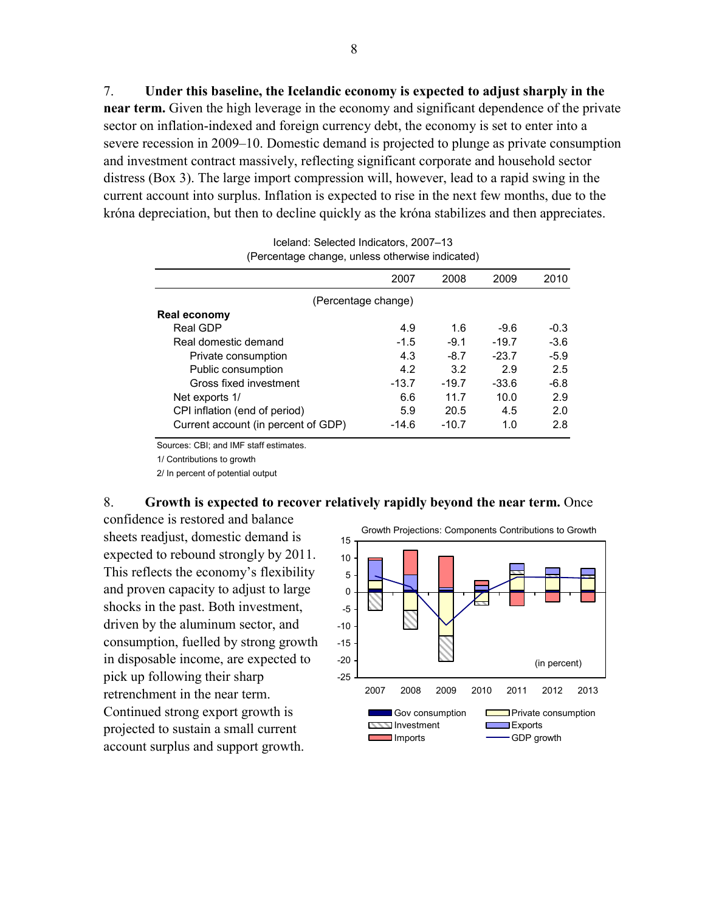7. **Under this baseline, the Icelandic economy is expected to adjust sharply in the near term.** Given the high leverage in the economy and significant dependence of the private sector on inflation-indexed and foreign currency debt, the economy is set to enter into a severe recession in 2009–10. Domestic demand is projected to plunge as private consumption and investment contract massively, reflecting significant corporate and household sector distress (Box 3). The large import compression will, however, lead to a rapid swing in the current account into surplus. Inflation is expected to rise in the next few months, due to the króna depreciation, but then to decline quickly as the króna stabilizes and then appreciates.

| 2007    | 2008                | 2009    | 2010   |
|---------|---------------------|---------|--------|
|         |                     |         |        |
|         |                     |         |        |
| 4.9     | 1.6                 | $-9.6$  | $-0.3$ |
| $-1.5$  | $-9.1$              | $-19.7$ | $-3.6$ |
| 4.3     | $-8.7$              | $-23.7$ | $-5.9$ |
| 4.2     | 3.2                 | 2.9     | 2.5    |
| $-13.7$ | $-19.7$             | $-33.6$ | $-6.8$ |
| 6.6     | 11.7                | 10.0    | 2.9    |
| 5.9     | 20.5                | 4.5     | 2.0    |
| -14.6   | $-10.7$             | 1.0     | 2.8    |
|         | (Percentage change) |         |        |

Iceland: Selected Indicators, 2007–13 (Percentage change, unless otherwise indicated)

Sources: CBI; and IMF staff estimates.

1/ Contributions to growth

2/ In percent of potential output

### 8. **Growth is expected to recover relatively rapidly beyond the near term.** Once

confidence is restored and balance sheets readjust, domestic demand is expected to rebound strongly by 2011. This reflects the economy's flexibility and proven capacity to adjust to large shocks in the past. Both investment, driven by the aluminum sector, and consumption, fuelled by strong growth in disposable income, are expected to pick up following their sharp retrenchment in the near term. Continued strong export growth is projected to sustain a small current account surplus and support growth.

Growth Projections: Components Contributions to Growth

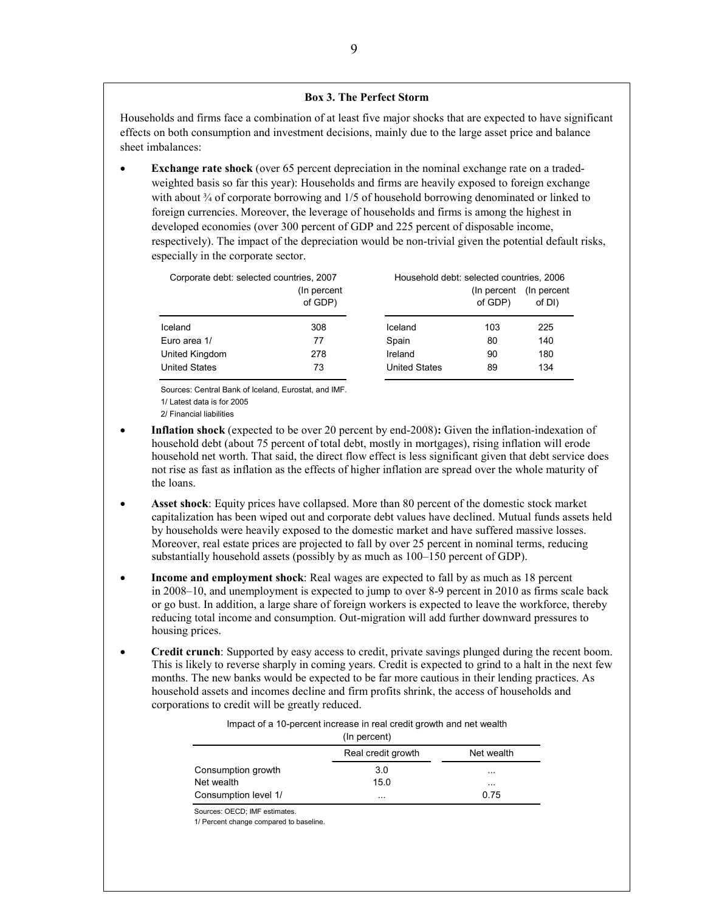#### **Box 3. The Perfect Storm**

Households and firms face a combination of at least five major shocks that are expected to have significant effects on both consumption and investment decisions, mainly due to the large asset price and balance sheet imbalances:

**Exchange rate shock** (over 65 percent depreciation in the nominal exchange rate on a tradedweighted basis so far this year): Households and firms are heavily exposed to foreign exchange with about  $\frac{3}{4}$  of corporate borrowing and 1/5 of household borrowing denominated or linked to foreign currencies. Moreover, the leverage of households and firms is among the highest in developed economies (over 300 percent of GDP and 225 percent of disposable income, respectively). The impact of the depreciation would be non-trivial given the potential default risks, especially in the corporate sector.

| Corporate debt: selected countries, 2007 | (In percent)<br>of GDP) | Household debt: selected countries, 2006 | (In percent)<br>of GDP) | (In percent)<br>of DI) |
|------------------------------------------|-------------------------|------------------------------------------|-------------------------|------------------------|
| Iceland                                  | 308                     | Iceland                                  | 103                     | 225                    |
| Euro area 1/                             | 77                      | Spain                                    | 80                      | 140                    |
| United Kingdom                           | 278                     | Ireland                                  | 90                      | 180                    |
| <b>United States</b>                     | 73                      | <b>United States</b>                     | 89                      | 134                    |

Sources: Central Bank of Iceland, Eurostat, and IMF.

1/ Latest data is for 2005

2/ Financial liabilities

- **Inflation shock** (expected to be over 20 percent by end-2008): Given the inflation-indexation of household debt (about 75 percent of total debt, mostly in mortgages), rising inflation will erode household net worth. That said, the direct flow effect is less significant given that debt service does not rise as fast as inflation as the effects of higher inflation are spread over the whole maturity of the loans.
- **Asset shock**: Equity prices have collapsed. More than 80 percent of the domestic stock market capitalization has been wiped out and corporate debt values have declined. Mutual funds assets held by households were heavily exposed to the domestic market and have suffered massive losses. Moreover, real estate prices are projected to fall by over 25 percent in nominal terms, reducing substantially household assets (possibly by as much as 100–150 percent of GDP).
- **Income and employment shock**: Real wages are expected to fall by as much as 18 percent in 2008–10, and unemployment is expected to jump to over 8-9 percent in 2010 as firms scale back or go bust. In addition, a large share of foreign workers is expected to leave the workforce, thereby reducing total income and consumption. Out-migration will add further downward pressures to housing prices.
- **Credit crunch**: Supported by easy access to credit, private savings plunged during the recent boom. This is likely to reverse sharply in coming years. Credit is expected to grind to a halt in the next few months. The new banks would be expected to be far more cautious in their lending practices. As household assets and incomes decline and firm profits shrink, the access of households and corporations to credit will be greatly reduced.

| Impact of a 10-percent increase in real credit growth and net wealth |  |  |  |  |  |  |  |  |
|----------------------------------------------------------------------|--|--|--|--|--|--|--|--|
|----------------------------------------------------------------------|--|--|--|--|--|--|--|--|

|                      | (In percent)       |            |
|----------------------|--------------------|------------|
|                      | Real credit growth | Net wealth |
| Consumption growth   | 3.0                | $\cdots$   |
| Net wealth           | 15.0               | $\cdots$   |
| Consumption level 1/ | $\cdots$           | 0.75       |

Sources: OECD; IMF estimates.

1/ Percent change compared to baseline.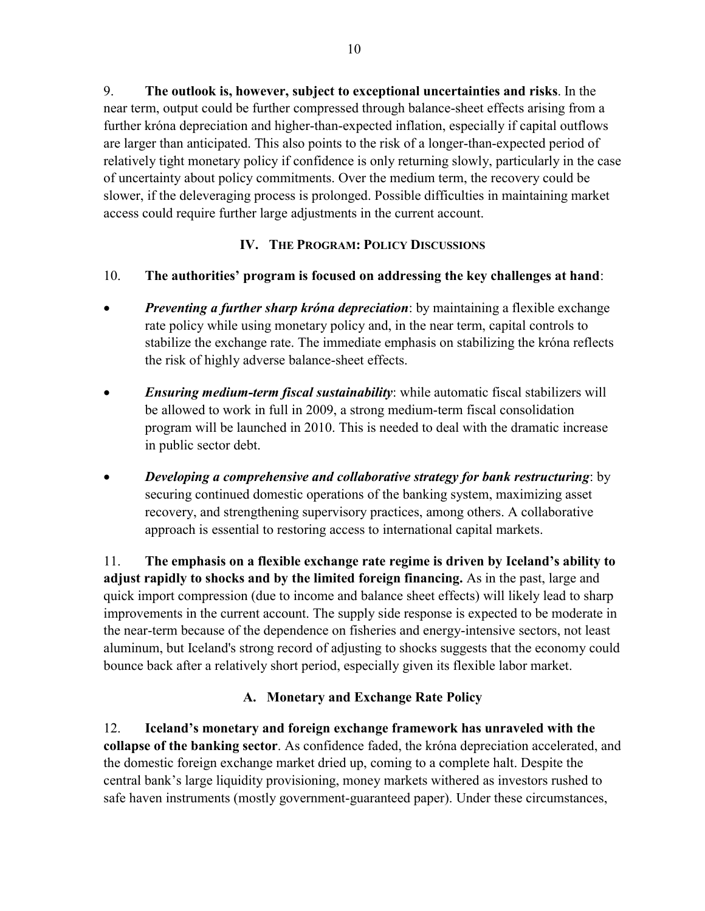9. **The outlook is, however, subject to exceptional uncertainties and risks**. In the near term, output could be further compressed through balance-sheet effects arising from a further króna depreciation and higher-than-expected inflation, especially if capital outflows are larger than anticipated. This also points to the risk of a longer-than-expected period of relatively tight monetary policy if confidence is only returning slowly, particularly in the case of uncertainty about policy commitments. Over the medium term, the recovery could be slower, if the deleveraging process is prolonged. Possible difficulties in maintaining market access could require further large adjustments in the current account.

# **IV. THE PROGRAM: POLICY DISCUSSIONS**

# 10. **The authorities' program is focused on addressing the key challenges at hand**:

- *Preventing a further sharp króna depreciation*: by maintaining a flexible exchange rate policy while using monetary policy and, in the near term, capital controls to stabilize the exchange rate. The immediate emphasis on stabilizing the króna reflects the risk of highly adverse balance-sheet effects.
- *Ensuring medium-term fiscal sustainability*: while automatic fiscal stabilizers will be allowed to work in full in 2009, a strong medium-term fiscal consolidation program will be launched in 2010. This is needed to deal with the dramatic increase in public sector debt.
- *Developing a comprehensive and collaborative strategy for bank restructuring*: by securing continued domestic operations of the banking system, maximizing asset recovery, and strengthening supervisory practices, among others. A collaborative approach is essential to restoring access to international capital markets.

11. **The emphasis on a flexible exchange rate regime is driven by Iceland's ability to adjust rapidly to shocks and by the limited foreign financing.** As in the past, large and quick import compression (due to income and balance sheet effects) will likely lead to sharp improvements in the current account. The supply side response is expected to be moderate in the near-term because of the dependence on fisheries and energy-intensive sectors, not least aluminum, but Iceland's strong record of adjusting to shocks suggests that the economy could bounce back after a relatively short period, especially given its flexible labor market.

# **A. Monetary and Exchange Rate Policy**

12. **Iceland's monetary and foreign exchange framework has unraveled with the collapse of the banking sector**. As confidence faded, the króna depreciation accelerated, and the domestic foreign exchange market dried up, coming to a complete halt. Despite the central bank's large liquidity provisioning, money markets withered as investors rushed to safe haven instruments (mostly government-guaranteed paper). Under these circumstances,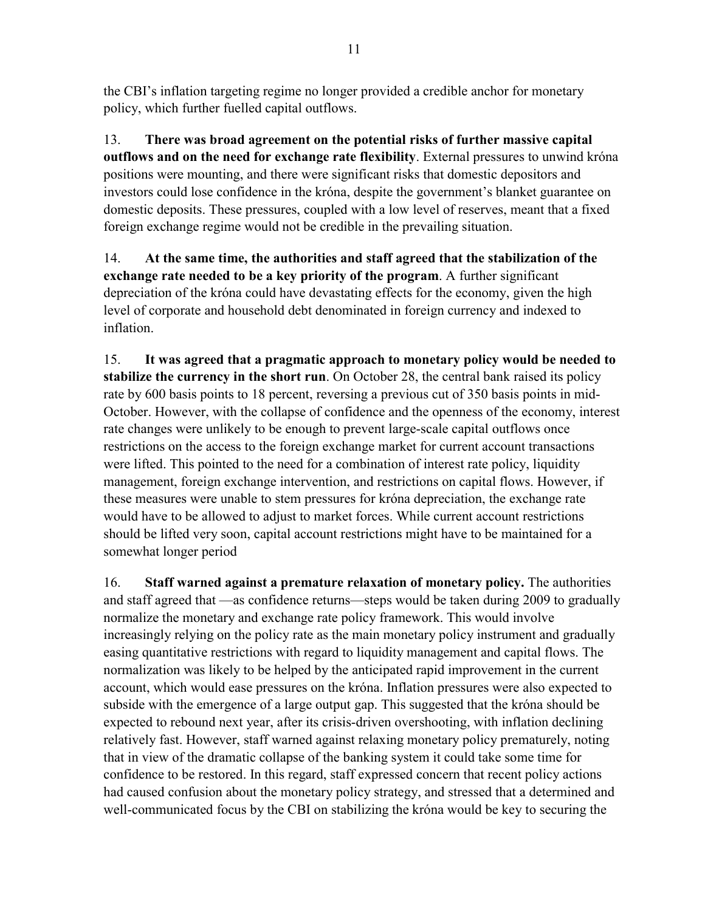the CBI's inflation targeting regime no longer provided a credible anchor for monetary policy, which further fuelled capital outflows.

13. **There was broad agreement on the potential risks of further massive capital outflows and on the need for exchange rate flexibility**. External pressures to unwind króna positions were mounting, and there were significant risks that domestic depositors and investors could lose confidence in the króna, despite the government's blanket guarantee on domestic deposits. These pressures, coupled with a low level of reserves, meant that a fixed foreign exchange regime would not be credible in the prevailing situation.

14. **At the same time, the authorities and staff agreed that the stabilization of the exchange rate needed to be a key priority of the program**. A further significant depreciation of the króna could have devastating effects for the economy, given the high level of corporate and household debt denominated in foreign currency and indexed to inflation.

15. **It was agreed that a pragmatic approach to monetary policy would be needed to stabilize the currency in the short run**. On October 28, the central bank raised its policy rate by 600 basis points to 18 percent, reversing a previous cut of 350 basis points in mid-October. However, with the collapse of confidence and the openness of the economy, interest rate changes were unlikely to be enough to prevent large-scale capital outflows once restrictions on the access to the foreign exchange market for current account transactions were lifted. This pointed to the need for a combination of interest rate policy, liquidity management, foreign exchange intervention, and restrictions on capital flows. However, if these measures were unable to stem pressures for króna depreciation, the exchange rate would have to be allowed to adjust to market forces. While current account restrictions should be lifted very soon, capital account restrictions might have to be maintained for a somewhat longer period

16. **Staff warned against a premature relaxation of monetary policy.** The authorities and staff agreed that —as confidence returns—steps would be taken during 2009 to gradually normalize the monetary and exchange rate policy framework. This would involve increasingly relying on the policy rate as the main monetary policy instrument and gradually easing quantitative restrictions with regard to liquidity management and capital flows. The normalization was likely to be helped by the anticipated rapid improvement in the current account, which would ease pressures on the króna. Inflation pressures were also expected to subside with the emergence of a large output gap. This suggested that the króna should be expected to rebound next year, after its crisis-driven overshooting, with inflation declining relatively fast. However, staff warned against relaxing monetary policy prematurely, noting that in view of the dramatic collapse of the banking system it could take some time for confidence to be restored. In this regard, staff expressed concern that recent policy actions had caused confusion about the monetary policy strategy, and stressed that a determined and well-communicated focus by the CBI on stabilizing the króna would be key to securing the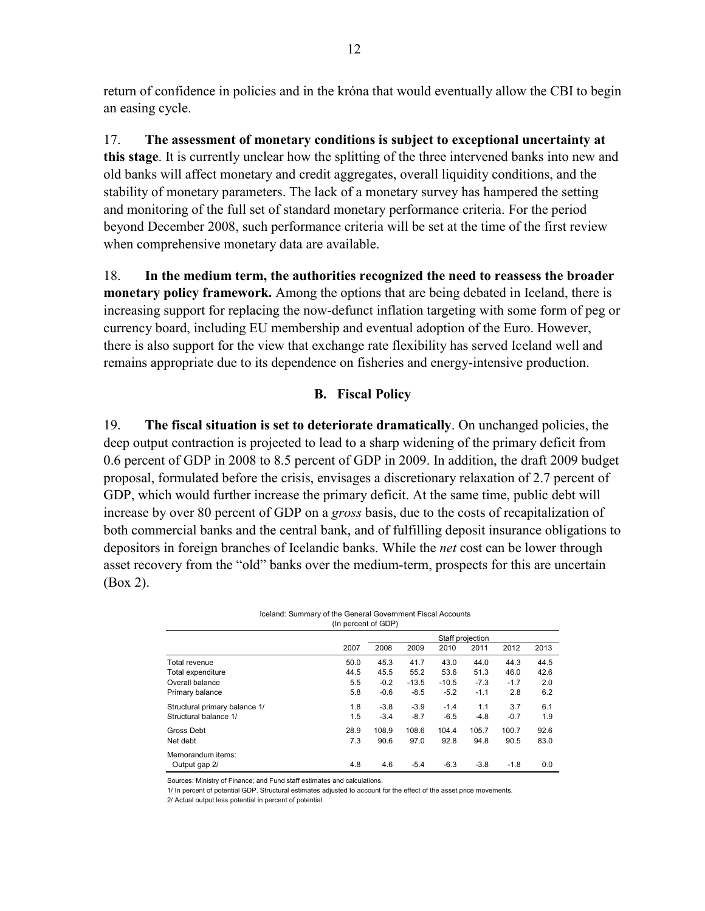return of confidence in policies and in the króna that would eventually allow the CBI to begin an easing cycle.

17. **The assessment of monetary conditions is subject to exceptional uncertainty at this stage**. It is currently unclear how the splitting of the three intervened banks into new and old banks will affect monetary and credit aggregates, overall liquidity conditions, and the stability of monetary parameters. The lack of a monetary survey has hampered the setting and monitoring of the full set of standard monetary performance criteria. For the period beyond December 2008, such performance criteria will be set at the time of the first review when comprehensive monetary data are available.

18. **In the medium term, the authorities recognized the need to reassess the broader monetary policy framework.** Among the options that are being debated in Iceland, there is increasing support for replacing the now-defunct inflation targeting with some form of peg or currency board, including EU membership and eventual adoption of the Euro. However, there is also support for the view that exchange rate flexibility has served Iceland well and remains appropriate due to its dependence on fisheries and energy-intensive production.

### **B. Fiscal Policy**

19. **The fiscal situation is set to deteriorate dramatically**. On unchanged policies, the deep output contraction is projected to lead to a sharp widening of the primary deficit from 0.6 percent of GDP in 2008 to 8.5 percent of GDP in 2009. In addition, the draft 2009 budget proposal, formulated before the crisis, envisages a discretionary relaxation of 2.7 percent of GDP, which would further increase the primary deficit. At the same time, public debt will increase by over 80 percent of GDP on a *gross* basis, due to the costs of recapitalization of both commercial banks and the central bank, and of fulfilling deposit insurance obligations to depositors in foreign branches of Icelandic banks. While the *net* cost can be lower through asset recovery from the "old" banks over the medium-term, prospects for this are uncertain (Box 2).

> Iceland: Summary of the General Government Fiscal Accounts (In percent of GDP)

|                               |      | Staff projection |         |         |        |        |      |  |
|-------------------------------|------|------------------|---------|---------|--------|--------|------|--|
|                               | 2007 | 2008             | 2009    | 2010    | 2011   | 2012   | 2013 |  |
| Total revenue                 | 50.0 | 45.3             | 41.7    | 43.0    | 44.0   | 44.3   | 44.5 |  |
| Total expenditure             | 44.5 | 45.5             | 55.2    | 53.6    | 51.3   | 46.0   | 42.6 |  |
| Overall balance               | 5.5  | $-0.2$           | $-13.5$ | $-10.5$ | $-7.3$ | $-1.7$ | 2.0  |  |
| Primary balance               | 5.8  | $-0.6$           | $-8.5$  | $-5.2$  | $-1.1$ | 2.8    | 6.2  |  |
| Structural primary balance 1/ | 1.8  | $-3.8$           | $-3.9$  | $-1.4$  | 1.1    | 3.7    | 6.1  |  |
| Structural balance 1/         | 1.5  | $-3.4$           | $-8.7$  | $-6.5$  | $-4.8$ | $-0.7$ | 1.9  |  |
| Gross Debt                    | 28.9 | 108.9            | 108.6   | 104.4   | 105.7  | 100.7  | 92.6 |  |
| Net debt                      | 7.3  | 90.6             | 97.0    | 92.8    | 94.8   | 90.5   | 83.0 |  |
| Memorandum items:             |      |                  |         |         |        |        |      |  |
| Output gap 2/                 | 4.8  | 4.6              | $-5.4$  | $-6.3$  | $-3.8$ | $-1.8$ | 0.0  |  |

Sources: Ministry of Finance; and Fund staff estimates and calculations.

1/ In percent of potential GDP. Structural estimates adjusted to account for the effect of the asset price movements.

2/ Actual output less potential in percent of potential.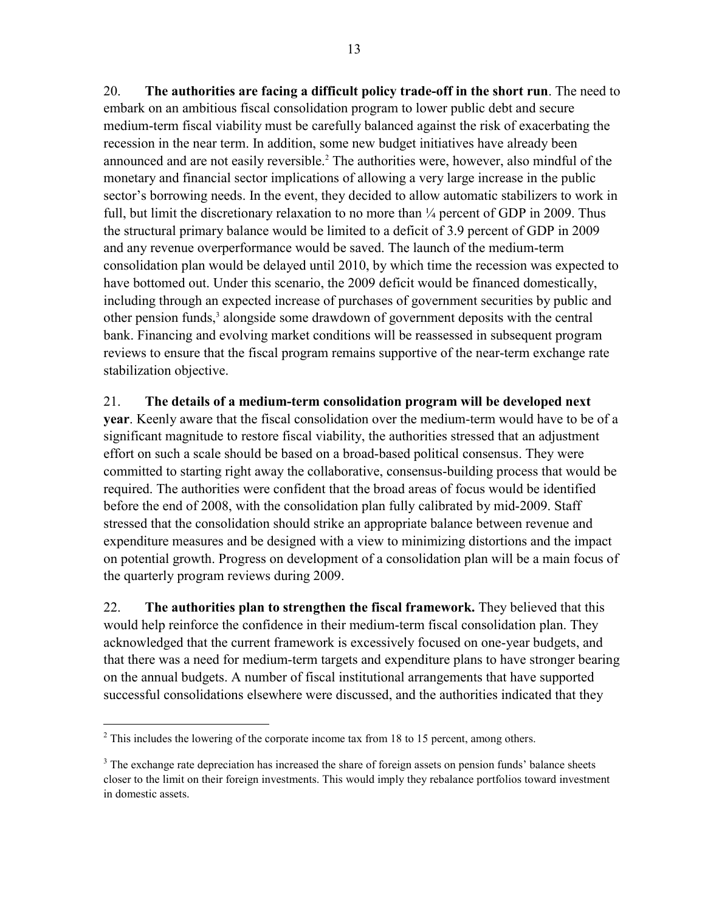20. **The authorities are facing a difficult policy trade-off in the short run**. The need to embark on an ambitious fiscal consolidation program to lower public debt and secure medium-term fiscal viability must be carefully balanced against the risk of exacerbating the recession in the near term. In addition, some new budget initiatives have already been announced and are not easily reversible.<sup>2</sup> The authorities were, however, also mindful of the monetary and financial sector implications of allowing a very large increase in the public sector's borrowing needs. In the event, they decided to allow automatic stabilizers to work in full, but limit the discretionary relaxation to no more than  $\frac{1}{4}$  percent of GDP in 2009. Thus the structural primary balance would be limited to a deficit of 3.9 percent of GDP in 2009 and any revenue overperformance would be saved. The launch of the medium-term consolidation plan would be delayed until 2010, by which time the recession was expected to have bottomed out. Under this scenario, the 2009 deficit would be financed domestically, including through an expected increase of purchases of government securities by public and other pension funds,<sup>3</sup> alongside some drawdown of government deposits with the central bank. Financing and evolving market conditions will be reassessed in subsequent program reviews to ensure that the fiscal program remains supportive of the near-term exchange rate stabilization objective.

21. **The details of a medium-term consolidation program will be developed next year**. Keenly aware that the fiscal consolidation over the medium-term would have to be of a significant magnitude to restore fiscal viability, the authorities stressed that an adjustment effort on such a scale should be based on a broad-based political consensus. They were committed to starting right away the collaborative, consensus-building process that would be required. The authorities were confident that the broad areas of focus would be identified before the end of 2008, with the consolidation plan fully calibrated by mid-2009. Staff stressed that the consolidation should strike an appropriate balance between revenue and expenditure measures and be designed with a view to minimizing distortions and the impact on potential growth. Progress on development of a consolidation plan will be a main focus of the quarterly program reviews during 2009.

22. **The authorities plan to strengthen the fiscal framework.** They believed that this would help reinforce the confidence in their medium-term fiscal consolidation plan. They acknowledged that the current framework is excessively focused on one-year budgets, and that there was a need for medium-term targets and expenditure plans to have stronger bearing on the annual budgets. A number of fiscal institutional arrangements that have supported successful consolidations elsewhere were discussed, and the authorities indicated that they

1

 $2^2$  This includes the lowering of the corporate income tax from 18 to 15 percent, among others.

<sup>&</sup>lt;sup>3</sup> The exchange rate depreciation has increased the share of foreign assets on pension funds' balance sheets closer to the limit on their foreign investments. This would imply they rebalance portfolios toward investment in domestic assets.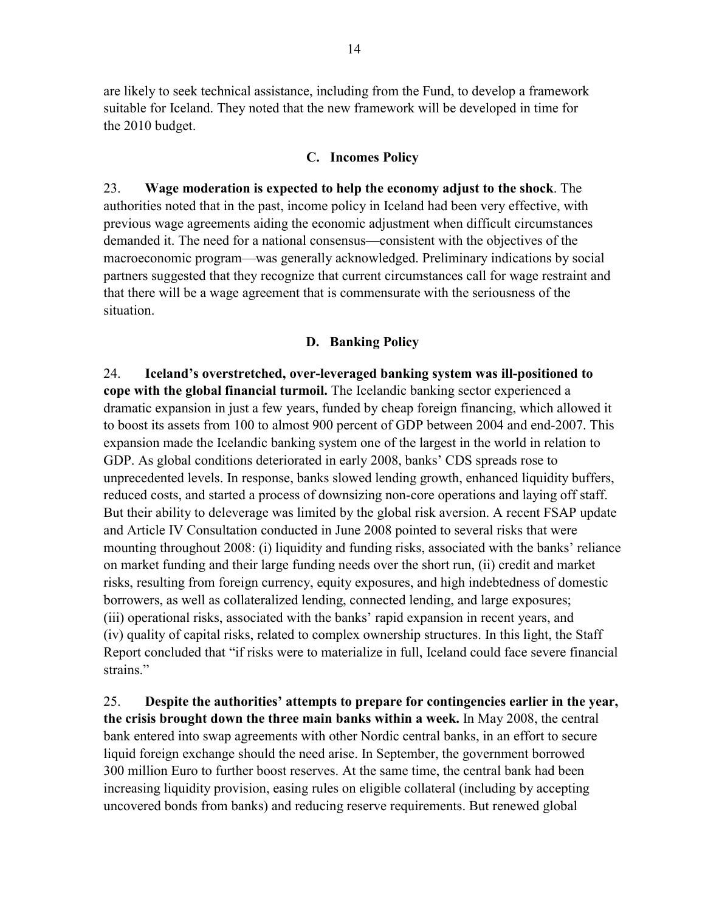are likely to seek technical assistance, including from the Fund, to develop a framework suitable for Iceland. They noted that the new framework will be developed in time for the 2010 budget.

## **C. Incomes Policy**

23. **Wage moderation is expected to help the economy adjust to the shock**. The authorities noted that in the past, income policy in Iceland had been very effective, with previous wage agreements aiding the economic adjustment when difficult circumstances demanded it. The need for a national consensus—consistent with the objectives of the macroeconomic program—was generally acknowledged. Preliminary indications by social partners suggested that they recognize that current circumstances call for wage restraint and that there will be a wage agreement that is commensurate with the seriousness of the situation.

## **D. Banking Policy**

24. **Iceland's overstretched, over-leveraged banking system was ill-positioned to cope with the global financial turmoil.** The Icelandic banking sector experienced a dramatic expansion in just a few years, funded by cheap foreign financing, which allowed it to boost its assets from 100 to almost 900 percent of GDP between 2004 and end-2007. This expansion made the Icelandic banking system one of the largest in the world in relation to GDP. As global conditions deteriorated in early 2008, banks' CDS spreads rose to unprecedented levels. In response, banks slowed lending growth, enhanced liquidity buffers, reduced costs, and started a process of downsizing non-core operations and laying off staff. But their ability to deleverage was limited by the global risk aversion. A recent FSAP update and Article IV Consultation conducted in June 2008 pointed to several risks that were mounting throughout 2008: (i) liquidity and funding risks, associated with the banks' reliance on market funding and their large funding needs over the short run, (ii) credit and market risks, resulting from foreign currency, equity exposures, and high indebtedness of domestic borrowers, as well as collateralized lending, connected lending, and large exposures; (iii) operational risks, associated with the banks' rapid expansion in recent years, and (iv) quality of capital risks, related to complex ownership structures. In this light, the Staff Report concluded that "if risks were to materialize in full, Iceland could face severe financial strains."

25. **Despite the authorities' attempts to prepare for contingencies earlier in the year, the crisis brought down the three main banks within a week.** In May 2008, the central bank entered into swap agreements with other Nordic central banks, in an effort to secure liquid foreign exchange should the need arise. In September, the government borrowed 300 million Euro to further boost reserves. At the same time, the central bank had been increasing liquidity provision, easing rules on eligible collateral (including by accepting uncovered bonds from banks) and reducing reserve requirements. But renewed global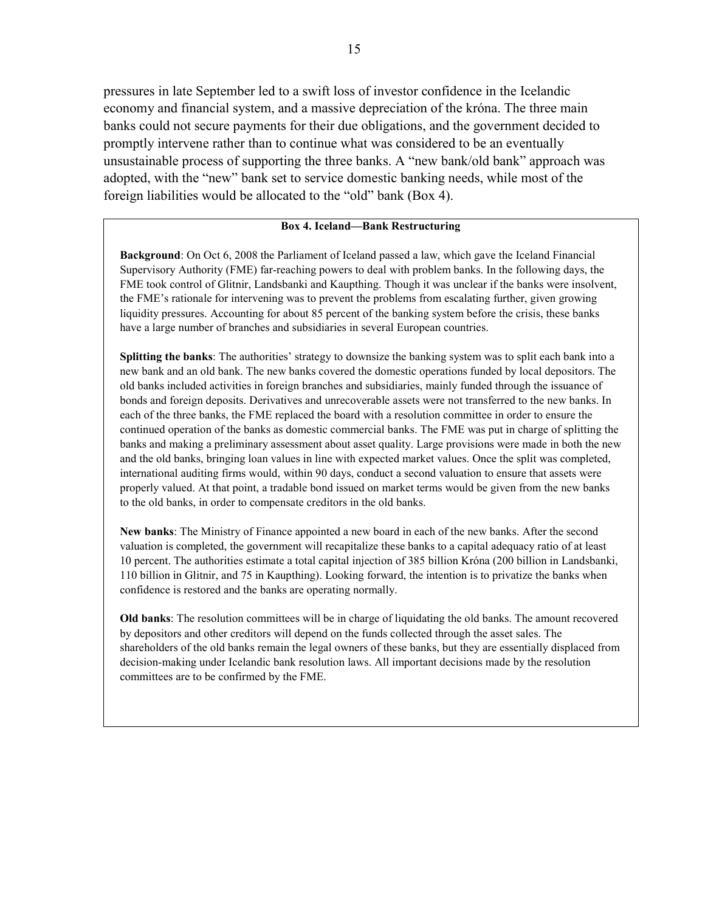pressures in late September led to a swift loss of investor confidence in the Icelandic economy and financial system, and a massive depreciation of the króna. The three main banks could not secure payments for their due obligations, and the government decided to promptly intervene rather than to continue what was considered to be an eventually unsustainable process of supporting the three banks. A "new bank/old bank" approach was adopted, with the "new" bank set to service domestic banking needs, while most of the foreign liabilities would be allocated to the "old" bank (Box 4).

#### **Box 4. Iceland—Bank Restructuring**

**Background**: On Oct 6, 2008 the Parliament of Iceland passed a law, which gave the Iceland Financial Supervisory Authority (FME) far-reaching powers to deal with problem banks. In the following days, the FME took control of Glitnir, Landsbanki and Kaupthing. Though it was unclear if the banks were insolvent, the FME's rationale for intervening was to prevent the problems from escalating further, given growing liquidity pressures. Accounting for about 85 percent of the banking system before the crisis, these banks have a large number of branches and subsidiaries in several European countries.

**Splitting the banks**: The authorities' strategy to downsize the banking system was to split each bank into a new bank and an old bank. The new banks covered the domestic operations funded by local depositors. The old banks included activities in foreign branches and subsidiaries, mainly funded through the issuance of bonds and foreign deposits. Derivatives and unrecoverable assets were not transferred to the new banks. In each of the three banks, the FME replaced the board with a resolution committee in order to ensure the continued operation of the banks as domestic commercial banks. The FME was put in charge of splitting the banks and making a preliminary assessment about asset quality. Large provisions were made in both the new and the old banks, bringing loan values in line with expected market values. Once the split was completed, international auditing firms would, within 90 days, conduct a second valuation to ensure that assets were properly valued. At that point, a tradable bond issued on market terms would be given from the new banks to the old banks, in order to compensate creditors in the old banks.

**New banks**: The Ministry of Finance appointed a new board in each of the new banks. After the second valuation is completed, the government will recapitalize these banks to a capital adequacy ratio of at least 10 percent. The authorities estimate a total capital injection of 385 billion Króna (200 billion in Landsbanki, 110 billion in Glitnir, and 75 in Kaupthing). Looking forward, the intention is to privatize the banks when confidence is restored and the banks are operating normally.

**Old banks**: The resolution committees will be in charge of liquidating the old banks. The amount recovered by depositors and other creditors will depend on the funds collected through the asset sales. The shareholders of the old banks remain the legal owners of these banks, but they are essentially displaced from decision-making under Icelandic bank resolution laws. All important decisions made by the resolution committees are to be confirmed by the FME.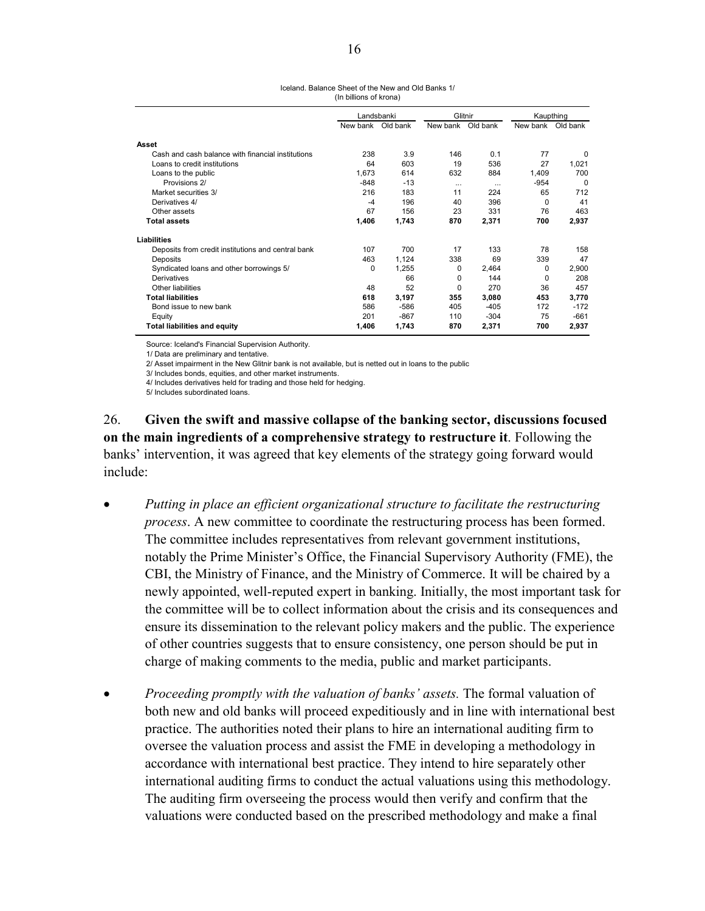Iceland. Balance Sheet of the New and Old Banks 1/ (In billions of krona)

|                                                    | Landsbanki |          | Glitnir  |          | Kaupthing |          |  |
|----------------------------------------------------|------------|----------|----------|----------|-----------|----------|--|
|                                                    | New bank   | Old bank | New bank | Old bank | New bank  | Old bank |  |
| Asset                                              |            |          |          |          |           |          |  |
| Cash and cash balance with financial institutions  | 238        | 3.9      | 146      | 0.1      | 77        | $\Omega$ |  |
| Loans to credit institutions                       | 64         | 603      | 19       | 536      | 27        | 1,021    |  |
| Loans to the public                                | 1,673      | 614      | 632      | 884      | 1,409     | 700      |  |
| Provisions 2/                                      | $-848$     | $-13$    | $\cdots$ | $\cdots$ | $-954$    | $\Omega$ |  |
| Market securities 3/                               | 216        | 183      | 11       | 224      | 65        | 712      |  |
| Derivatives 4/                                     | $-4$       | 196      | 40       | 396      | 0         | 41       |  |
| Other assets                                       | 67         | 156      | 23       | 331      | 76        | 463      |  |
| <b>Total assets</b>                                | 1,406      | 1,743    | 870      | 2,371    | 700       | 2,937    |  |
| <b>Liabilities</b>                                 |            |          |          |          |           |          |  |
| Deposits from credit institutions and central bank | 107        | 700      | 17       | 133      | 78        | 158      |  |
| Deposits                                           | 463        | 1.124    | 338      | 69       | 339       | 47       |  |
| Syndicated loans and other borrowings 5/           | 0          | 1,255    | 0        | 2,464    | 0         | 2,900    |  |
| Derivatives                                        |            | 66       | 0        | 144      | 0         | 208      |  |
| Other liabilities                                  | 48         | 52       | $\Omega$ | 270      | 36        | 457      |  |
| <b>Total liabilities</b>                           | 618        | 3,197    | 355      | 3,080    | 453       | 3,770    |  |
| Bond issue to new bank                             | 586        | $-586$   | 405      | $-405$   | 172       | $-172$   |  |
| Equity                                             | 201        | $-867$   | 110      | $-304$   | 75        | $-661$   |  |
| <b>Total liabilities and equity</b>                | 1,406      | 1,743    | 870      | 2,371    | 700       | 2,937    |  |

Source: Iceland's Financial Supervision Authority.

1/ Data are preliminary and tentative.

2/ Asset impairment in the New Glitnir bank is not available, but is netted out in loans to the public

3/ Includes bonds, equities, and other market instruments.

4/ Includes derivatives held for trading and those held for hedging.

5/ Includes subordinated loans.

26. **Given the swift and massive collapse of the banking sector, discussions focused on the main ingredients of a comprehensive strategy to restructure it**. Following the banks' intervention, it was agreed that key elements of the strategy going forward would include:

- *Putting in place an efficient organizational structure to facilitate the restructuring process*. A new committee to coordinate the restructuring process has been formed. The committee includes representatives from relevant government institutions, notably the Prime Minister's Office, the Financial Supervisory Authority (FME), the CBI, the Ministry of Finance, and the Ministry of Commerce. It will be chaired by a newly appointed, well-reputed expert in banking. Initially, the most important task for the committee will be to collect information about the crisis and its consequences and ensure its dissemination to the relevant policy makers and the public. The experience of other countries suggests that to ensure consistency, one person should be put in charge of making comments to the media, public and market participants.
- *Proceeding promptly with the valuation of banks' assets.* The formal valuation of both new and old banks will proceed expeditiously and in line with international best practice. The authorities noted their plans to hire an international auditing firm to oversee the valuation process and assist the FME in developing a methodology in accordance with international best practice. They intend to hire separately other international auditing firms to conduct the actual valuations using this methodology. The auditing firm overseeing the process would then verify and confirm that the valuations were conducted based on the prescribed methodology and make a final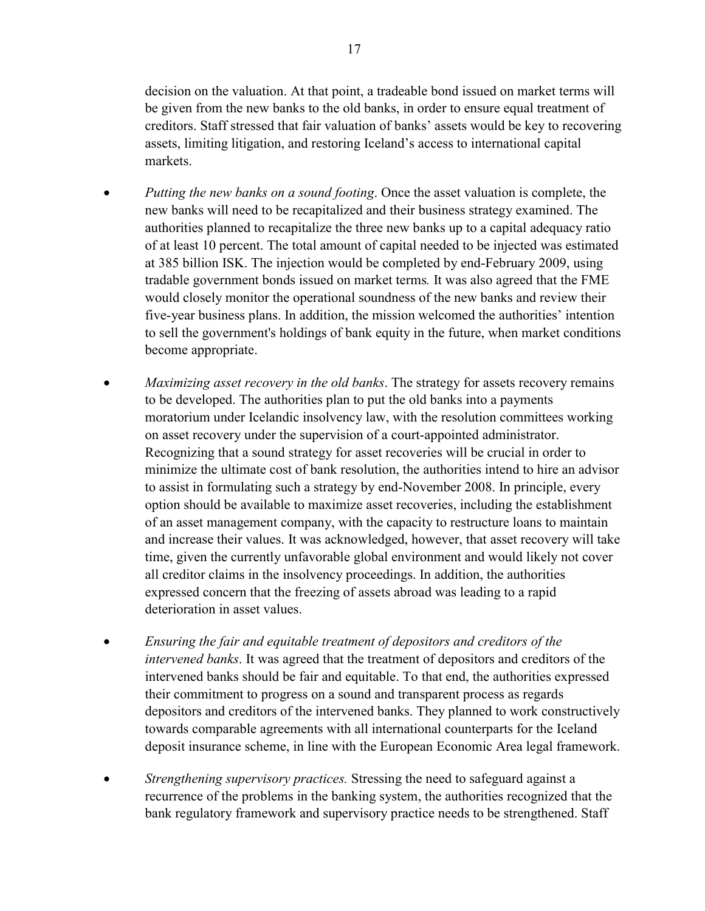decision on the valuation. At that point, a tradeable bond issued on market terms will be given from the new banks to the old banks, in order to ensure equal treatment of creditors. Staff stressed that fair valuation of banks' assets would be key to recovering assets, limiting litigation, and restoring Iceland's access to international capital markets.

- *Putting the new banks on a sound footing*. Once the asset valuation is complete, the new banks will need to be recapitalized and their business strategy examined. The authorities planned to recapitalize the three new banks up to a capital adequacy ratio of at least 10 percent. The total amount of capital needed to be injected was estimated at 385 billion ISK. The injection would be completed by end-February 2009, using tradable government bonds issued on market terms*.* It was also agreed that the FME would closely monitor the operational soundness of the new banks and review their five-year business plans. In addition, the mission welcomed the authorities' intention to sell the government's holdings of bank equity in the future, when market conditions become appropriate.
- *Maximizing asset recovery in the old banks*. The strategy for assets recovery remains to be developed. The authorities plan to put the old banks into a payments moratorium under Icelandic insolvency law, with the resolution committees working on asset recovery under the supervision of a court-appointed administrator. Recognizing that a sound strategy for asset recoveries will be crucial in order to minimize the ultimate cost of bank resolution, the authorities intend to hire an advisor to assist in formulating such a strategy by end-November 2008. In principle, every option should be available to maximize asset recoveries, including the establishment of an asset management company, with the capacity to restructure loans to maintain and increase their values. It was acknowledged, however, that asset recovery will take time, given the currently unfavorable global environment and would likely not cover all creditor claims in the insolvency proceedings. In addition, the authorities expressed concern that the freezing of assets abroad was leading to a rapid deterioration in asset values.
- *Ensuring the fair and equitable treatment of depositors and creditors of the intervened banks*. It was agreed that the treatment of depositors and creditors of the intervened banks should be fair and equitable. To that end, the authorities expressed their commitment to progress on a sound and transparent process as regards depositors and creditors of the intervened banks. They planned to work constructively towards comparable agreements with all international counterparts for the Iceland deposit insurance scheme, in line with the European Economic Area legal framework.
- *Strengthening supervisory practices.* Stressing the need to safeguard against a recurrence of the problems in the banking system, the authorities recognized that the bank regulatory framework and supervisory practice needs to be strengthened. Staff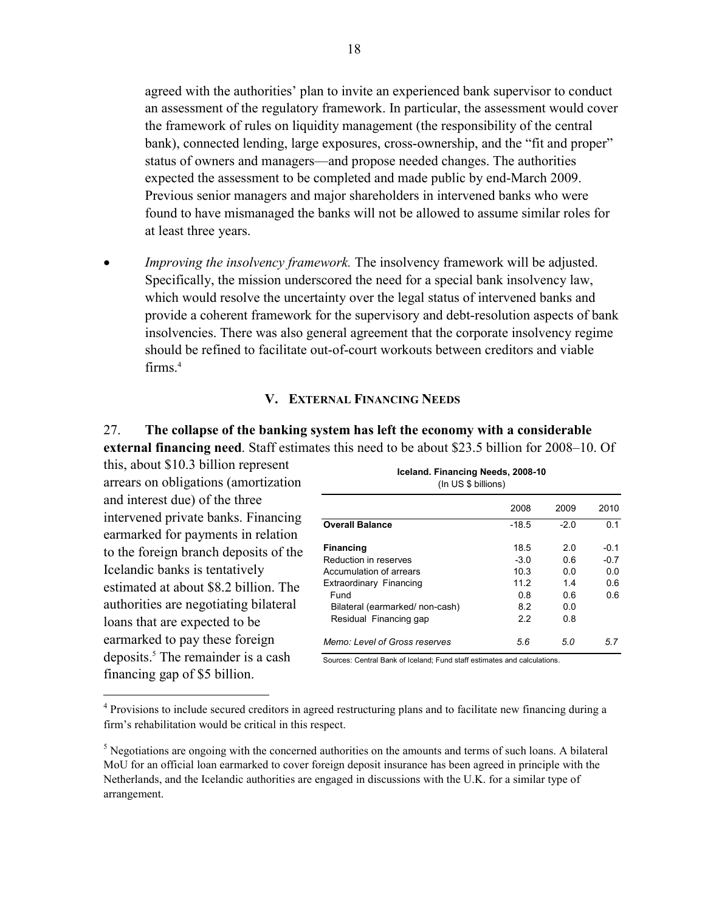agreed with the authorities' plan to invite an experienced bank supervisor to conduct an assessment of the regulatory framework. In particular, the assessment would cover the framework of rules on liquidity management (the responsibility of the central bank), connected lending, large exposures, cross-ownership, and the "fit and proper" status of owners and managers—and propose needed changes. The authorities expected the assessment to be completed and made public by end-March 2009. Previous senior managers and major shareholders in intervened banks who were found to have mismanaged the banks will not be allowed to assume similar roles for at least three years.

• *Improving the insolvency framework*. The insolvency framework will be adjusted. Specifically, the mission underscored the need for a special bank insolvency law, which would resolve the uncertainty over the legal status of intervened banks and provide a coherent framework for the supervisory and debt-resolution aspects of bank insolvencies. There was also general agreement that the corporate insolvency regime should be refined to facilitate out-of-court workouts between creditors and viable firms.4

## **V. EXTERNAL FINANCING NEEDS**

## 27. **The collapse of the banking system has left the economy with a considerable external financing need**. Staff estimates this need to be about \$23.5 billion for 2008–10. Of

this, about \$10.3 billion represent arrears on obligations (amortization and interest due) of the three intervened private banks. Financing earmarked for payments in relation to the foreign branch deposits of the Icelandic banks is tentatively estimated at about \$8.2 billion. The authorities are negotiating bilateral loans that are expected to be earmarked to pay these foreign deposits.<sup>5</sup> The remainder is a cash financing gap of \$5 billion.

 $\overline{a}$ 

| Iceland. Financing Needs, 2008-10<br>(In US \$ billions) |         |      |                |  |  |  |  |
|----------------------------------------------------------|---------|------|----------------|--|--|--|--|
|                                                          | 2008    | 2009 | 2010           |  |  |  |  |
| <b>Overall Balance</b>                                   | $-18.5$ | -20  | 0 <sub>1</sub> |  |  |  |  |
| <b>Financing</b>                                         | 18.5    | 20   | -0.1           |  |  |  |  |
| Reduction in reserves                                    | $-3.0$  | 0 6  | $-07$          |  |  |  |  |
| Accumulation of arrears                                  | 10.3    | 0 O  | 0.0            |  |  |  |  |
| Extraordinary Financing                                  | 112     | 14   | 06             |  |  |  |  |
| Fund                                                     | 0 8     | 0 6  | 06             |  |  |  |  |
| Bilateral (earmarked/non-cash)                           | 8.2     | 0.0  |                |  |  |  |  |
| Residual Financing gap                                   | 22      | 0 8  |                |  |  |  |  |
| Memo: Level of Gross reserves                            | 5.6     | 5.0  | 5.7            |  |  |  |  |

Sources: Central Bank of Iceland; Fund staff estimates and calculations.

<sup>&</sup>lt;sup>4</sup> Provisions to include secured creditors in agreed restructuring plans and to facilitate new financing during a firm's rehabilitation would be critical in this respect.

 $<sup>5</sup>$  Negotiations are ongoing with the concerned authorities on the amounts and terms of such loans. A bilateral</sup> MoU for an official loan earmarked to cover foreign deposit insurance has been agreed in principle with the Netherlands, and the Icelandic authorities are engaged in discussions with the U.K. for a similar type of arrangement.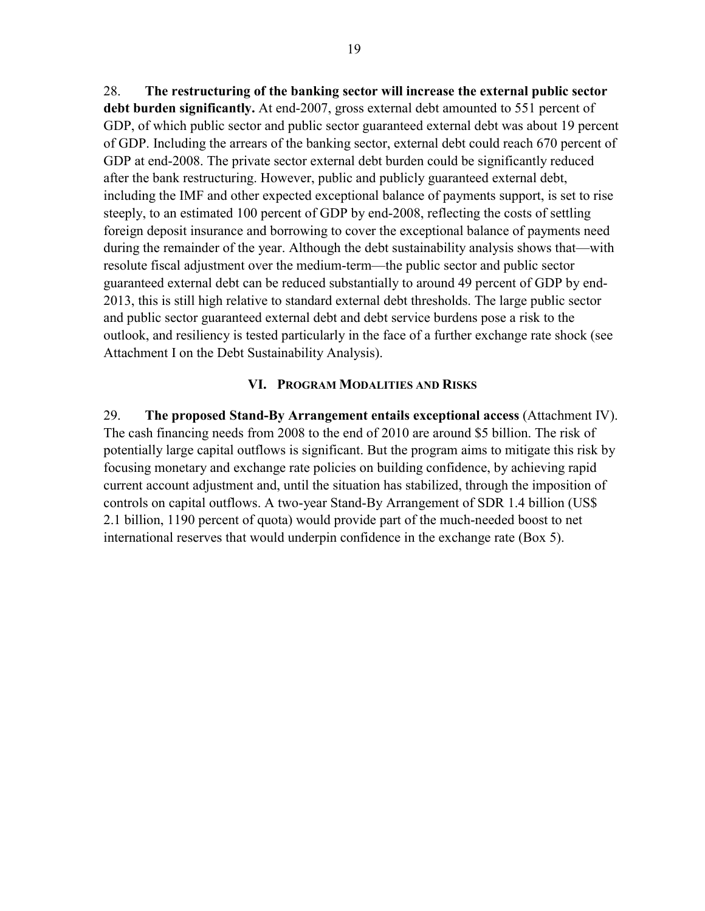28. **The restructuring of the banking sector will increase the external public sector debt burden significantly.** At end-2007, gross external debt amounted to 551 percent of GDP, of which public sector and public sector guaranteed external debt was about 19 percent of GDP. Including the arrears of the banking sector, external debt could reach 670 percent of GDP at end-2008. The private sector external debt burden could be significantly reduced after the bank restructuring. However, public and publicly guaranteed external debt, including the IMF and other expected exceptional balance of payments support, is set to rise steeply, to an estimated 100 percent of GDP by end-2008, reflecting the costs of settling foreign deposit insurance and borrowing to cover the exceptional balance of payments need during the remainder of the year. Although the debt sustainability analysis shows that—with resolute fiscal adjustment over the medium-term—the public sector and public sector guaranteed external debt can be reduced substantially to around 49 percent of GDP by end-2013, this is still high relative to standard external debt thresholds. The large public sector and public sector guaranteed external debt and debt service burdens pose a risk to the outlook, and resiliency is tested particularly in the face of a further exchange rate shock (see Attachment I on the Debt Sustainability Analysis).

## **VI. PROGRAM MODALITIES AND RISKS**

29. **The proposed Stand-By Arrangement entails exceptional access** (Attachment IV). The cash financing needs from 2008 to the end of 2010 are around \$5 billion. The risk of potentially large capital outflows is significant. But the program aims to mitigate this risk by focusing monetary and exchange rate policies on building confidence, by achieving rapid current account adjustment and, until the situation has stabilized, through the imposition of controls on capital outflows. A two-year Stand-By Arrangement of SDR 1.4 billion (US\$ 2.1 billion, 1190 percent of quota) would provide part of the much-needed boost to net international reserves that would underpin confidence in the exchange rate (Box 5).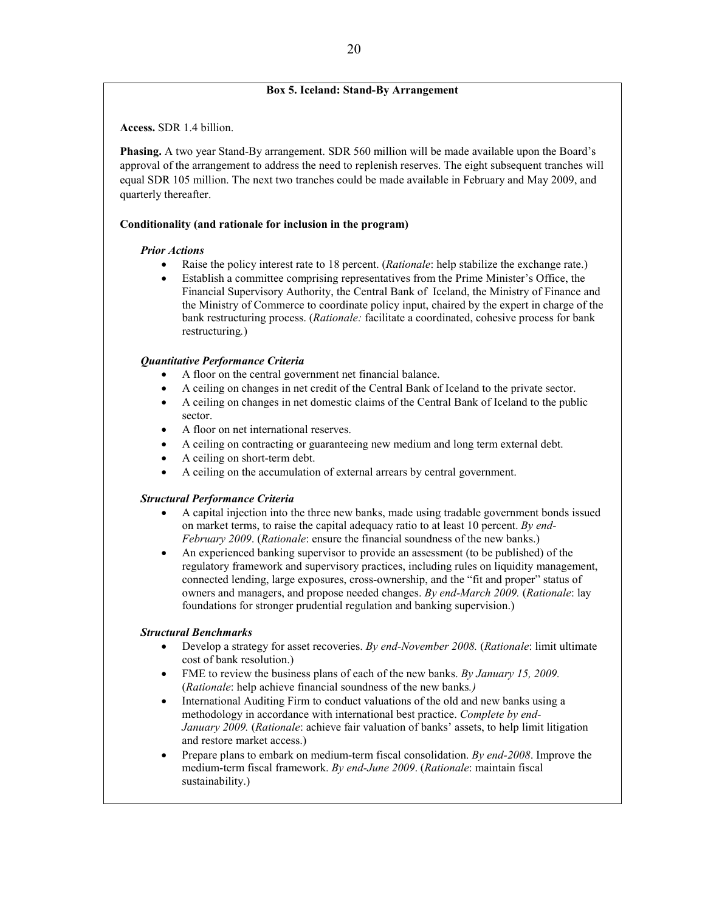#### **Box 5. Iceland: Stand-By Arrangement**

**Access.** SDR 1.4 billion.

**Phasing.** A two year Stand-By arrangement. SDR 560 million will be made available upon the Board's approval of the arrangement to address the need to replenish reserves. The eight subsequent tranches will equal SDR 105 million. The next two tranches could be made available in February and May 2009, and quarterly thereafter.

#### **Conditionality (and rationale for inclusion in the program)**

#### *Prior Actions*

- Raise the policy interest rate to 18 percent. (*Rationale*: help stabilize the exchange rate.)
- Establish a committee comprising representatives from the Prime Minister's Office, the Financial Supervisory Authority, the Central Bank of Iceland, the Ministry of Finance and the Ministry of Commerce to coordinate policy input, chaired by the expert in charge of the bank restructuring process. (*Rationale:* facilitate a coordinated, cohesive process for bank restructuring*.*)

#### *Quantitative Performance Criteria*

- A floor on the central government net financial balance.
- A ceiling on changes in net credit of the Central Bank of Iceland to the private sector.
- A ceiling on changes in net domestic claims of the Central Bank of Iceland to the public sector.
- A floor on net international reserves.
- A ceiling on contracting or guaranteeing new medium and long term external debt.
- A ceiling on short-term debt.
- A ceiling on the accumulation of external arrears by central government.

#### *Structural Performance Criteria*

- A capital injection into the three new banks, made using tradable government bonds issued on market terms, to raise the capital adequacy ratio to at least 10 percent. *By end-February 2009*. (*Rationale*: ensure the financial soundness of the new banks.)
- An experienced banking supervisor to provide an assessment (to be published) of the regulatory framework and supervisory practices, including rules on liquidity management, connected lending, large exposures, cross-ownership, and the "fit and proper" status of owners and managers, and propose needed changes. *By end-March 2009.* (*Rationale*: lay foundations for stronger prudential regulation and banking supervision.)

#### *Structural Benchmarks*

- Develop a strategy for asset recoveries. *By end-November 2008.* (*Rationale*: limit ultimate cost of bank resolution.)
- FME to review the business plans of each of the new banks. *By January 15, 2009.*  (*Rationale*: help achieve financial soundness of the new banks*.)*
- International Auditing Firm to conduct valuations of the old and new banks using a methodology in accordance with international best practice. *Complete by end-January 2009.* (*Rationale*: achieve fair valuation of banks' assets, to help limit litigation and restore market access.)
- Prepare plans to embark on medium-term fiscal consolidation. *By end-2008*. Improve the medium-term fiscal framework. *By end-June 2009*. (*Rationale*: maintain fiscal sustainability.)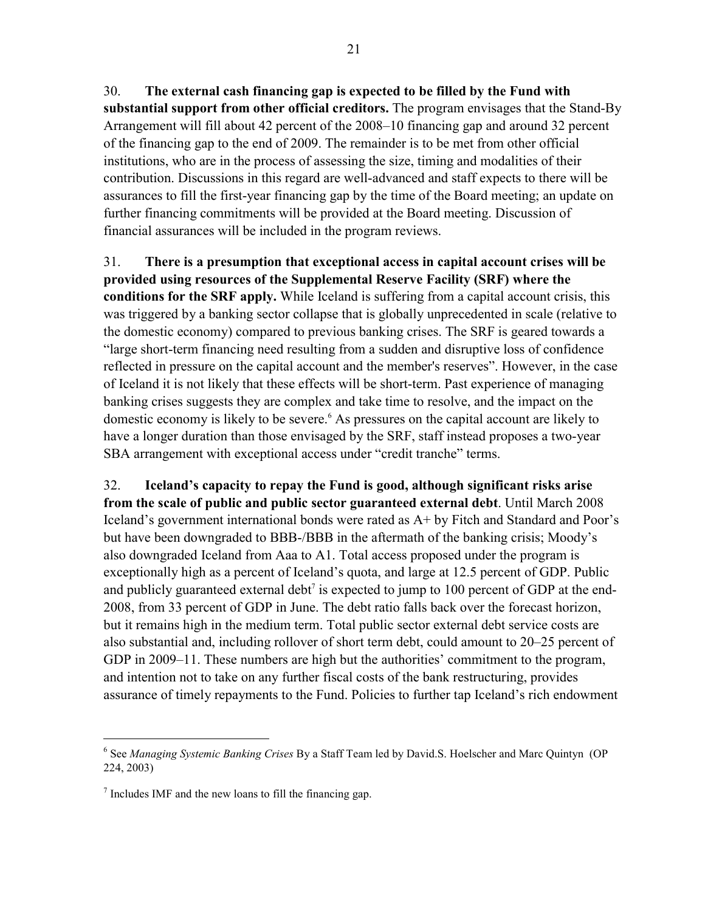30. **The external cash financing gap is expected to be filled by the Fund with substantial support from other official creditors.** The program envisages that the Stand-By Arrangement will fill about 42 percent of the 2008–10 financing gap and around 32 percent of the financing gap to the end of 2009. The remainder is to be met from other official institutions, who are in the process of assessing the size, timing and modalities of their contribution. Discussions in this regard are well-advanced and staff expects to there will be assurances to fill the first-year financing gap by the time of the Board meeting; an update on further financing commitments will be provided at the Board meeting. Discussion of financial assurances will be included in the program reviews.

31. **There is a presumption that exceptional access in capital account crises will be provided using resources of the Supplemental Reserve Facility (SRF) where the conditions for the SRF apply.** While Iceland is suffering from a capital account crisis, this was triggered by a banking sector collapse that is globally unprecedented in scale (relative to the domestic economy) compared to previous banking crises. The SRF is geared towards a "large short-term financing need resulting from a sudden and disruptive loss of confidence reflected in pressure on the capital account and the member's reserves". However, in the case of Iceland it is not likely that these effects will be short-term. Past experience of managing banking crises suggests they are complex and take time to resolve, and the impact on the domestic economy is likely to be severe.<sup>6</sup> As pressures on the capital account are likely to have a longer duration than those envisaged by the SRF, staff instead proposes a two-year SBA arrangement with exceptional access under "credit tranche" terms.

32. **Iceland's capacity to repay the Fund is good, although significant risks arise from the scale of public and public sector guaranteed external debt**. Until March 2008 Iceland's government international bonds were rated as A+ by Fitch and Standard and Poor's but have been downgraded to BBB-/BBB in the aftermath of the banking crisis; Moody's also downgraded Iceland from Aaa to A1. Total access proposed under the program is exceptionally high as a percent of Iceland's quota, and large at 12.5 percent of GDP. Public and publicly guaranteed external debt<sup>7</sup> is expected to jump to  $100$  percent of GDP at the end-2008, from 33 percent of GDP in June. The debt ratio falls back over the forecast horizon, but it remains high in the medium term. Total public sector external debt service costs are also substantial and, including rollover of short term debt, could amount to 20–25 percent of GDP in 2009–11. These numbers are high but the authorities' commitment to the program, and intention not to take on any further fiscal costs of the bank restructuring, provides assurance of timely repayments to the Fund. Policies to further tap Iceland's rich endowment

1

<sup>6</sup> See *Managing Systemic Banking Crises* By a Staff Team led by David.S. Hoelscher and Marc Quintyn (OP 224, 2003)

 $<sup>7</sup>$  Includes IMF and the new loans to fill the financing gap.</sup>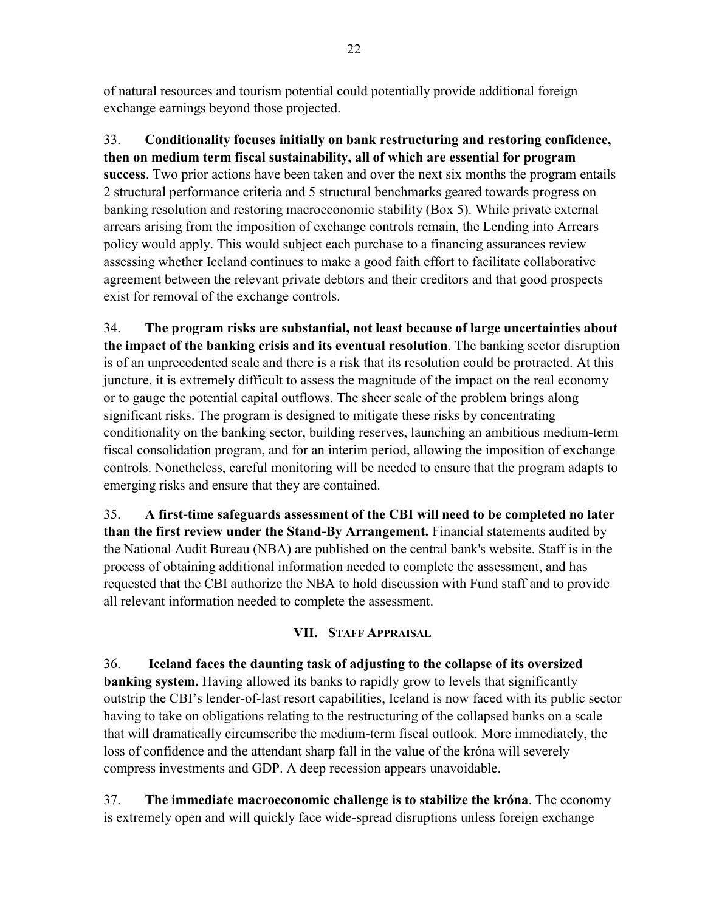of natural resources and tourism potential could potentially provide additional foreign exchange earnings beyond those projected.

33. **Conditionality focuses initially on bank restructuring and restoring confidence, then on medium term fiscal sustainability, all of which are essential for program success**. Two prior actions have been taken and over the next six months the program entails 2 structural performance criteria and 5 structural benchmarks geared towards progress on banking resolution and restoring macroeconomic stability (Box 5). While private external arrears arising from the imposition of exchange controls remain, the Lending into Arrears policy would apply. This would subject each purchase to a financing assurances review assessing whether Iceland continues to make a good faith effort to facilitate collaborative agreement between the relevant private debtors and their creditors and that good prospects exist for removal of the exchange controls.

34. **The program risks are substantial, not least because of large uncertainties about the impact of the banking crisis and its eventual resolution**. The banking sector disruption is of an unprecedented scale and there is a risk that its resolution could be protracted. At this juncture, it is extremely difficult to assess the magnitude of the impact on the real economy or to gauge the potential capital outflows. The sheer scale of the problem brings along significant risks. The program is designed to mitigate these risks by concentrating conditionality on the banking sector, building reserves, launching an ambitious medium-term fiscal consolidation program, and for an interim period, allowing the imposition of exchange controls. Nonetheless, careful monitoring will be needed to ensure that the program adapts to emerging risks and ensure that they are contained.

35. **A first-time safeguards assessment of the CBI will need to be completed no later than the first review under the Stand-By Arrangement.** Financial statements audited by the National Audit Bureau (NBA) are published on the central bank's website. Staff is in the process of obtaining additional information needed to complete the assessment, and has requested that the CBI authorize the NBA to hold discussion with Fund staff and to provide all relevant information needed to complete the assessment.

# **VII. STAFF APPRAISAL**

36. **Iceland faces the daunting task of adjusting to the collapse of its oversized banking system.** Having allowed its banks to rapidly grow to levels that significantly outstrip the CBI's lender-of-last resort capabilities, Iceland is now faced with its public sector having to take on obligations relating to the restructuring of the collapsed banks on a scale that will dramatically circumscribe the medium-term fiscal outlook. More immediately, the loss of confidence and the attendant sharp fall in the value of the króna will severely compress investments and GDP. A deep recession appears unavoidable.

37. **The immediate macroeconomic challenge is to stabilize the króna**. The economy is extremely open and will quickly face wide-spread disruptions unless foreign exchange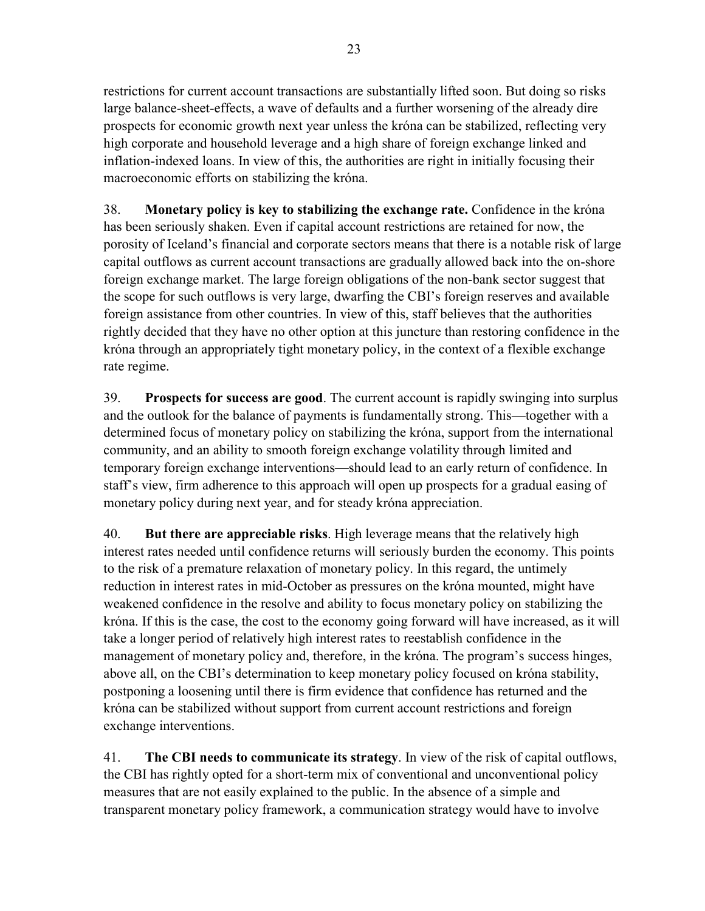restrictions for current account transactions are substantially lifted soon. But doing so risks large balance-sheet-effects, a wave of defaults and a further worsening of the already dire prospects for economic growth next year unless the króna can be stabilized, reflecting very high corporate and household leverage and a high share of foreign exchange linked and inflation-indexed loans. In view of this, the authorities are right in initially focusing their macroeconomic efforts on stabilizing the króna.

38. **Monetary policy is key to stabilizing the exchange rate.** Confidence in the króna has been seriously shaken. Even if capital account restrictions are retained for now, the porosity of Iceland's financial and corporate sectors means that there is a notable risk of large capital outflows as current account transactions are gradually allowed back into the on-shore foreign exchange market. The large foreign obligations of the non-bank sector suggest that the scope for such outflows is very large, dwarfing the CBI's foreign reserves and available foreign assistance from other countries. In view of this, staff believes that the authorities rightly decided that they have no other option at this juncture than restoring confidence in the króna through an appropriately tight monetary policy, in the context of a flexible exchange rate regime.

39. **Prospects for success are good**. The current account is rapidly swinging into surplus and the outlook for the balance of payments is fundamentally strong. This—together with a determined focus of monetary policy on stabilizing the króna, support from the international community, and an ability to smooth foreign exchange volatility through limited and temporary foreign exchange interventions—should lead to an early return of confidence. In staff's view, firm adherence to this approach will open up prospects for a gradual easing of monetary policy during next year, and for steady króna appreciation.

40. **But there are appreciable risks**. High leverage means that the relatively high interest rates needed until confidence returns will seriously burden the economy. This points to the risk of a premature relaxation of monetary policy. In this regard, the untimely reduction in interest rates in mid-October as pressures on the króna mounted, might have weakened confidence in the resolve and ability to focus monetary policy on stabilizing the króna. If this is the case, the cost to the economy going forward will have increased, as it will take a longer period of relatively high interest rates to reestablish confidence in the management of monetary policy and, therefore, in the króna. The program's success hinges, above all, on the CBI's determination to keep monetary policy focused on króna stability, postponing a loosening until there is firm evidence that confidence has returned and the króna can be stabilized without support from current account restrictions and foreign exchange interventions.

41. **The CBI needs to communicate its strategy**. In view of the risk of capital outflows, the CBI has rightly opted for a short-term mix of conventional and unconventional policy measures that are not easily explained to the public. In the absence of a simple and transparent monetary policy framework, a communication strategy would have to involve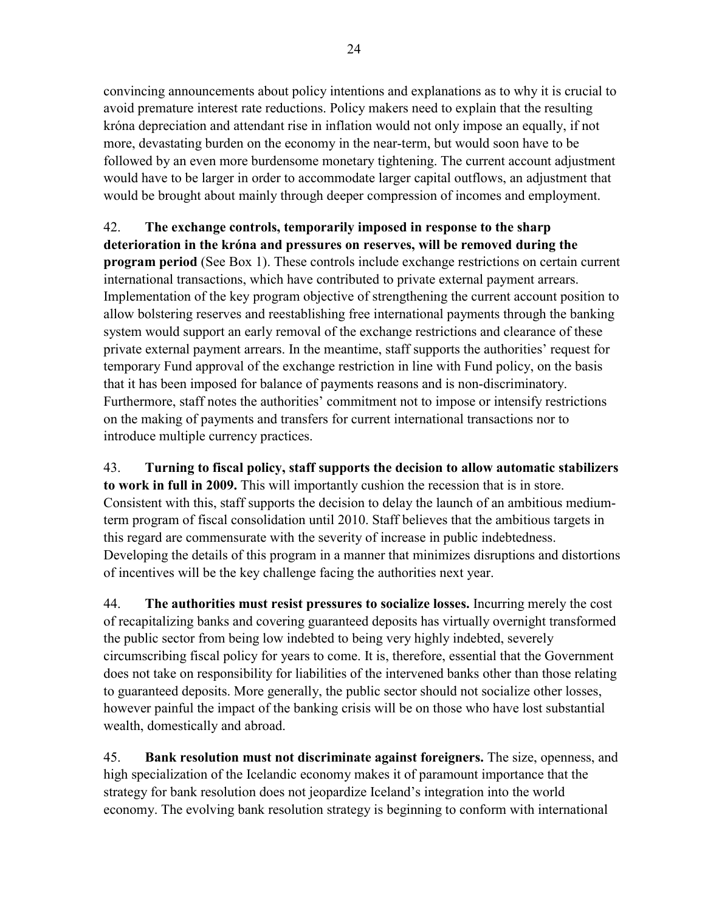convincing announcements about policy intentions and explanations as to why it is crucial to avoid premature interest rate reductions. Policy makers need to explain that the resulting króna depreciation and attendant rise in inflation would not only impose an equally, if not more, devastating burden on the economy in the near-term, but would soon have to be followed by an even more burdensome monetary tightening. The current account adjustment would have to be larger in order to accommodate larger capital outflows, an adjustment that would be brought about mainly through deeper compression of incomes and employment.

# 42. **The exchange controls, temporarily imposed in response to the sharp**

**deterioration in the króna and pressures on reserves, will be removed during the program period** (See Box 1). These controls include exchange restrictions on certain current international transactions, which have contributed to private external payment arrears. Implementation of the key program objective of strengthening the current account position to allow bolstering reserves and reestablishing free international payments through the banking system would support an early removal of the exchange restrictions and clearance of these private external payment arrears. In the meantime, staff supports the authorities' request for temporary Fund approval of the exchange restriction in line with Fund policy, on the basis that it has been imposed for balance of payments reasons and is non-discriminatory. Furthermore, staff notes the authorities' commitment not to impose or intensify restrictions on the making of payments and transfers for current international transactions nor to introduce multiple currency practices.

43. **Turning to fiscal policy, staff supports the decision to allow automatic stabilizers to work in full in 2009.** This will importantly cushion the recession that is in store. Consistent with this, staff supports the decision to delay the launch of an ambitious mediumterm program of fiscal consolidation until 2010. Staff believes that the ambitious targets in this regard are commensurate with the severity of increase in public indebtedness. Developing the details of this program in a manner that minimizes disruptions and distortions of incentives will be the key challenge facing the authorities next year.

44. **The authorities must resist pressures to socialize losses.** Incurring merely the cost of recapitalizing banks and covering guaranteed deposits has virtually overnight transformed the public sector from being low indebted to being very highly indebted, severely circumscribing fiscal policy for years to come. It is, therefore, essential that the Government does not take on responsibility for liabilities of the intervened banks other than those relating to guaranteed deposits. More generally, the public sector should not socialize other losses, however painful the impact of the banking crisis will be on those who have lost substantial wealth, domestically and abroad.

45. **Bank resolution must not discriminate against foreigners.** The size, openness, and high specialization of the Icelandic economy makes it of paramount importance that the strategy for bank resolution does not jeopardize Iceland's integration into the world economy. The evolving bank resolution strategy is beginning to conform with international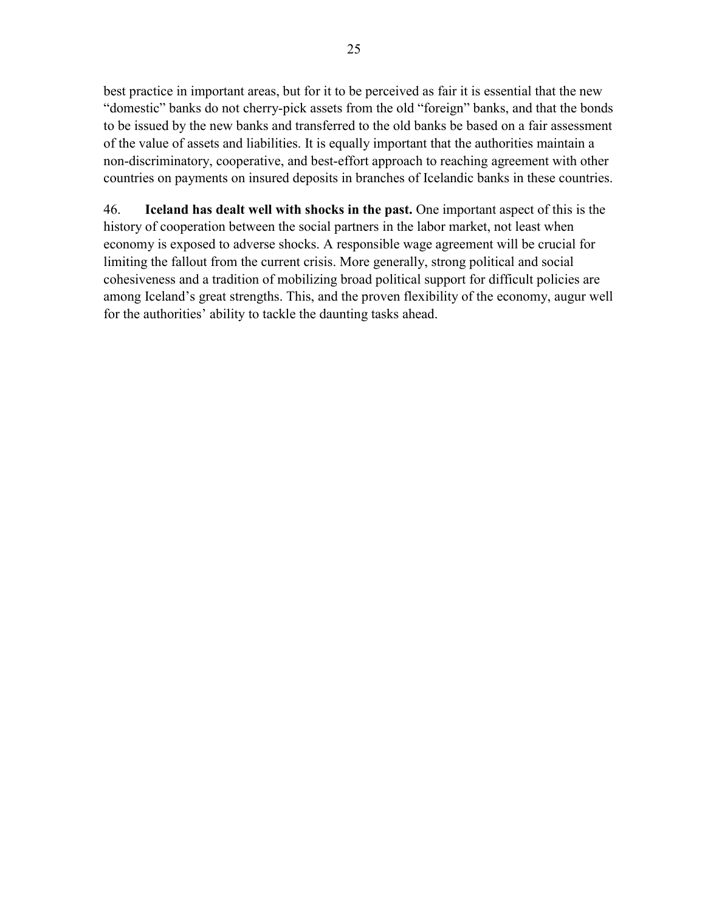best practice in important areas, but for it to be perceived as fair it is essential that the new "domestic" banks do not cherry-pick assets from the old "foreign" banks, and that the bonds to be issued by the new banks and transferred to the old banks be based on a fair assessment of the value of assets and liabilities. It is equally important that the authorities maintain a non-discriminatory, cooperative, and best-effort approach to reaching agreement with other countries on payments on insured deposits in branches of Icelandic banks in these countries.

46. **Iceland has dealt well with shocks in the past.** One important aspect of this is the history of cooperation between the social partners in the labor market, not least when economy is exposed to adverse shocks. A responsible wage agreement will be crucial for limiting the fallout from the current crisis. More generally, strong political and social cohesiveness and a tradition of mobilizing broad political support for difficult policies are among Iceland's great strengths. This, and the proven flexibility of the economy, augur well for the authorities' ability to tackle the daunting tasks ahead.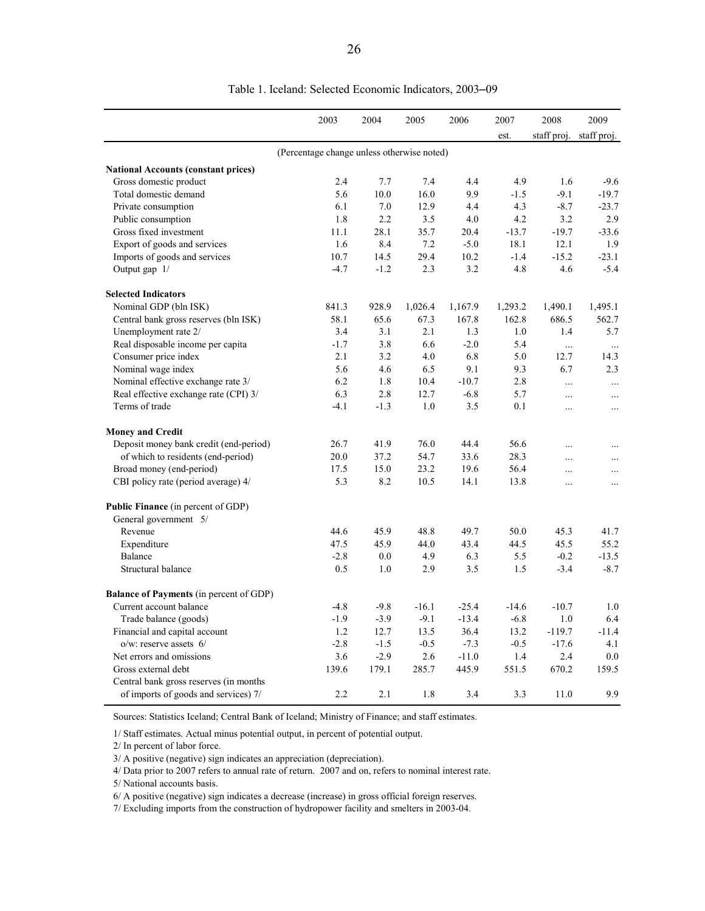|                                                | 2003                                       | 2004   | 2005    | 2006    | 2007    | 2008        | 2009        |
|------------------------------------------------|--------------------------------------------|--------|---------|---------|---------|-------------|-------------|
|                                                |                                            |        |         |         | est.    | staff proj. | staff proj. |
|                                                | (Percentage change unless otherwise noted) |        |         |         |         |             |             |
| <b>National Accounts (constant prices)</b>     |                                            |        |         |         |         |             |             |
| Gross domestic product                         | 2.4                                        | 7.7    | 7.4     | 4.4     | 4.9     | 1.6         | $-9.6$      |
| Total domestic demand                          | 5.6                                        | 10.0   | 16.0    | 9.9     | $-1.5$  | $-9.1$      | $-19.7$     |
| Private consumption                            | 6.1                                        | 7.0    | 12.9    | 4.4     | 4.3     | $-8.7$      | $-23.7$     |
| Public consumption                             | 1.8                                        | 2.2    | 3.5     | 4.0     | 4.2     | 3.2         | 2.9         |
| Gross fixed investment                         | 11.1                                       | 28.1   | 35.7    | 20.4    | $-13.7$ | $-19.7$     | $-33.6$     |
| Export of goods and services                   | 1.6                                        | 8.4    | 7.2     | $-5.0$  | 18.1    | 12.1        | 1.9         |
| Imports of goods and services                  | 10.7                                       | 14.5   | 29.4    | 10.2    | $-1.4$  | $-15.2$     | $-23.1$     |
| Output gap 1/                                  | $-4.7$                                     | $-1.2$ | 2.3     | 3.2     | 4.8     | 4.6         | $-5.4$      |
| <b>Selected Indicators</b>                     |                                            |        |         |         |         |             |             |
| Nominal GDP (bln ISK)                          | 841.3                                      | 928.9  | 1,026.4 | 1,167.9 | 1,293.2 | 1,490.1     | 1,495.1     |
| Central bank gross reserves (bln ISK)          | 58.1                                       | 65.6   | 67.3    | 167.8   | 162.8   | 686.5       | 562.7       |
| Unemployment rate 2/                           | 3.4                                        | 3.1    | 2.1     | 1.3     | 1.0     | 1.4         | 5.7         |
| Real disposable income per capita              | $-1.7$                                     | 3.8    | 6.6     | $-2.0$  | 5.4     | $\dddotsc$  | $\ldots$    |
| Consumer price index                           | 2.1                                        | 3.2    | 4.0     | 6.8     | 5.0     | 12.7        | 14.3        |
| Nominal wage index                             | 5.6                                        | 4.6    | 6.5     | 9.1     | 9.3     | 6.7         | 2.3         |
| Nominal effective exchange rate 3/             | 6.2                                        | 1.8    | 10.4    | $-10.7$ | 2.8     | $\cdots$    | $\ldots$    |
| Real effective exchange rate (CPI) 3/          | 6.3                                        | 2.8    | 12.7    | $-6.8$  | 5.7     | $\cdots$    | $\cdots$    |
| Terms of trade                                 | $-4.1$                                     | $-1.3$ | 1.0     | 3.5     | 0.1     | $\ldots$    | $\ddotsc$   |
| <b>Money and Credit</b>                        |                                            |        |         |         |         |             |             |
| Deposit money bank credit (end-period)         | 26.7                                       | 41.9   | 76.0    | 44.4    | 56.6    | $\ddotsc$   | $\ddotsc$   |
| of which to residents (end-period)             | 20.0                                       | 37.2   | 54.7    | 33.6    | 28.3    | $\ddotsc$   | $\ddotsc$   |
| Broad money (end-period)                       | 17.5                                       | 15.0   | 23.2    | 19.6    | 56.4    | $\cdots$    | $\cdots$    |
| CBI policy rate (period average) 4/            | 5.3                                        | 8.2    | 10.5    | 14.1    | 13.8    | $\cdots$    | $\ldots$    |
| <b>Public Finance</b> (in percent of GDP)      |                                            |        |         |         |         |             |             |
| General government 5/                          |                                            |        |         |         |         |             |             |
| Revenue                                        | 44.6                                       | 45.9   | 48.8    | 49.7    | 50.0    | 45.3        | 41.7        |
| Expenditure                                    | 47.5                                       | 45.9   | 44.0    | 43.4    | 44.5    | 45.5        | 55.2        |
| Balance                                        | $-2.8$                                     | 0.0    | 4.9     | 6.3     | 5.5     | $-0.2$      | $-13.5$     |
| Structural balance                             | 0.5                                        | 1.0    | 2.9     | 3.5     | 1.5     | $-3.4$      | $-8.7$      |
| <b>Balance of Payments</b> (in percent of GDP) |                                            |        |         |         |         |             |             |
| Current account balance                        | $-4.8$                                     | $-9.8$ | $-16.1$ | $-25.4$ | $-14.6$ | $-10.7$     | 1.0         |
| Trade balance (goods)                          | $-1.9$                                     | $-3.9$ | $-9.1$  | $-13.4$ | $-6.8$  | 1.0         | 6.4         |
| Financial and capital account                  | 1.2                                        | 12.7   | 13.5    | 36.4    | 13.2    | $-119.7$    | $-11.4$     |
| $o/w$ : reserve assets $6/$                    | $-2.8$                                     | $-1.5$ | $-0.5$  | $-7.3$  | $-0.5$  | $-17.6$     | 4.1         |
| Net errors and omissions                       | 3.6                                        | $-2.9$ | 2.6     | $-11.0$ | 1.4     | 2.4         | 0.0         |
| Gross external debt                            | 139.6                                      | 179.1  | 285.7   | 445.9   | 551.5   | 670.2       | 159.5       |
| Central bank gross reserves (in months)        |                                            |        |         |         |         |             |             |
| of imports of goods and services) 7/           | 2.2                                        | 2.1    | 1.8     | 3.4     | 3.3     | 11.0        | 9.9         |

Table 1. Iceland: Selected Economic Indicators, 2003–09

Sources: Statistics Iceland; Central Bank of Iceland; Ministry of Finance; and staff estimates.

1/ Staff estimates. Actual minus potential output, in percent of potential output.

2/ In percent of labor force.

5/ National accounts basis.

6/ A positive (negative) sign indicates a decrease (increase) in gross official foreign reserves.

7/ Excluding imports from the construction of hydropower facility and smelters in 2003-04.

<sup>3/</sup> A positive (negative) sign indicates an appreciation (depreciation).

<sup>4/</sup> Data prior to 2007 refers to annual rate of return. 2007 and on, refers to nominal interest rate.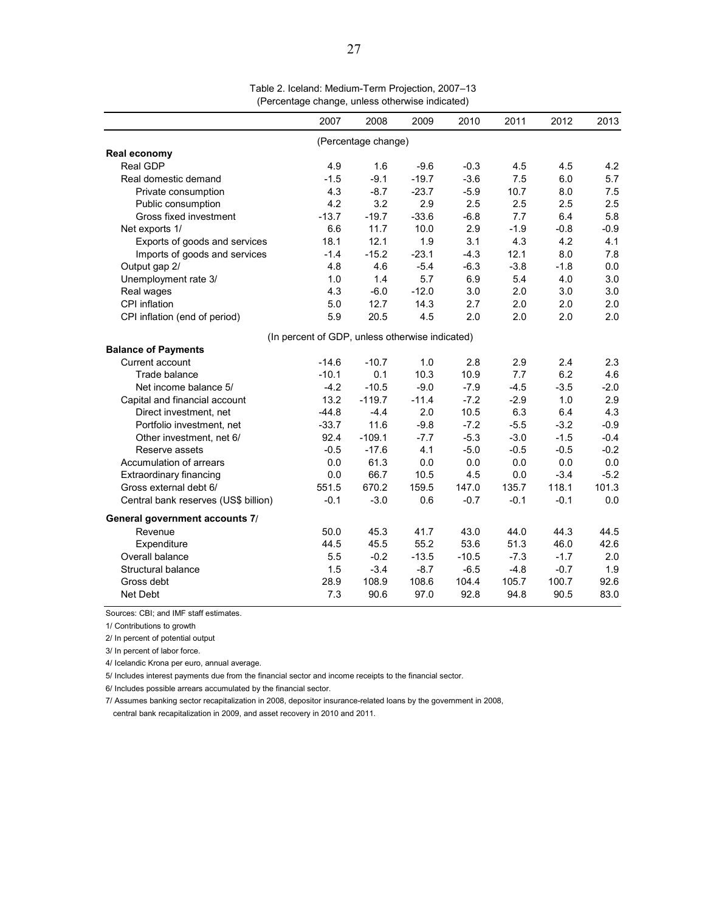|                                      | 2007                                            | 2008                | 2009    | 2010    | 2011   | 2012   | 2013   |
|--------------------------------------|-------------------------------------------------|---------------------|---------|---------|--------|--------|--------|
|                                      |                                                 | (Percentage change) |         |         |        |        |        |
| Real economy                         |                                                 |                     |         |         |        |        |        |
| Real GDP                             | 4.9                                             | 1.6                 | $-9.6$  | $-0.3$  | 4.5    | 4.5    | 4.2    |
| Real domestic demand                 | $-1.5$                                          | $-9.1$              | $-19.7$ | $-3.6$  | 7.5    | 6.0    | 5.7    |
| Private consumption                  | 4.3                                             | $-8.7$              | $-23.7$ | $-5.9$  | 10.7   | 8.0    | 7.5    |
| Public consumption                   | 4.2                                             | 3.2                 | 2.9     | 2.5     | 2.5    | 2.5    | 2.5    |
| Gross fixed investment               | $-13.7$                                         | $-19.7$             | $-33.6$ | $-6.8$  | 7.7    | 6.4    | 5.8    |
| Net exports 1/                       | 6.6                                             | 11.7                | 10.0    | 2.9     | $-1.9$ | $-0.8$ | $-0.9$ |
| Exports of goods and services        | 18.1                                            | 12.1                | 1.9     | 3.1     | 4.3    | 4.2    | 4.1    |
| Imports of goods and services        | $-1.4$                                          | $-15.2$             | $-23.1$ | $-4.3$  | 12.1   | 8.0    | 7.8    |
| Output gap 2/                        | 4.8                                             | 4.6                 | $-5.4$  | $-6.3$  | $-3.8$ | $-1.8$ | 0.0    |
| Unemployment rate 3/                 | 1.0                                             | 1.4                 | 5.7     | 6.9     | 5.4    | 4.0    | 3.0    |
| Real wages                           | 4.3                                             | $-6.0$              | $-12.0$ | 3.0     | 2.0    | 3.0    | 3.0    |
| CPI inflation                        | 5.0                                             | 12.7                | 14.3    | 2.7     | 2.0    | 2.0    | 2.0    |
| CPI inflation (end of period)        | 5.9                                             | 20.5                | 4.5     | 2.0     | 2.0    | 2.0    | 2.0    |
|                                      | (In percent of GDP, unless otherwise indicated) |                     |         |         |        |        |        |
| <b>Balance of Payments</b>           |                                                 |                     |         |         |        |        |        |
| Current account                      | $-14.6$                                         | $-10.7$             | 1.0     | 2.8     | 2.9    | 2.4    | 2.3    |
| Trade balance                        | $-10.1$                                         | 0.1                 | 10.3    | 10.9    | 7.7    | 6.2    | 4.6    |
| Net income balance 5/                | $-4.2$                                          | $-10.5$             | $-9.0$  | $-7.9$  | $-4.5$ | $-3.5$ | $-2.0$ |
| Capital and financial account        | 13.2                                            | $-119.7$            | $-11.4$ | $-7.2$  | $-2.9$ | 1.0    | 2.9    |
| Direct investment, net               | $-44.8$                                         | $-4.4$              | 2.0     | 10.5    | 6.3    | 6.4    | 4.3    |
| Portfolio investment, net            | $-33.7$                                         | 11.6                | $-9.8$  | $-7.2$  | $-5.5$ | $-3.2$ | $-0.9$ |
| Other investment, net 6/             | 92.4                                            | $-109.1$            | $-7.7$  | $-5.3$  | $-3.0$ | $-1.5$ | $-0.4$ |
| Reserve assets                       | $-0.5$                                          | $-17.6$             | 4.1     | $-5.0$  | $-0.5$ | $-0.5$ | $-0.2$ |
| Accumulation of arrears              | 0.0                                             | 61.3                | 0.0     | 0.0     | 0.0    | 0.0    | 0.0    |
| <b>Extraordinary financing</b>       | 0.0                                             | 66.7                | 10.5    | 4.5     | 0.0    | $-3.4$ | $-5.2$ |
| Gross external debt 6/               | 551.5                                           | 670.2               | 159.5   | 147.0   | 135.7  | 118.1  | 101.3  |
| Central bank reserves (US\$ billion) | $-0.1$                                          | $-3.0$              | 0.6     | $-0.7$  | $-0.1$ | $-0.1$ | 0.0    |
| General government accounts 7/       |                                                 |                     |         |         |        |        |        |
| Revenue                              | 50.0                                            | 45.3                | 41.7    | 43.0    | 44.0   | 44.3   | 44.5   |
| Expenditure                          | 44.5                                            | 45.5                | 55.2    | 53.6    | 51.3   | 46.0   | 42.6   |
| Overall balance                      | 5.5                                             | $-0.2$              | $-13.5$ | $-10.5$ | $-7.3$ | $-1.7$ | 2.0    |
| Structural balance                   | 1.5                                             | $-3.4$              | $-8.7$  | $-6.5$  | $-4.8$ | $-0.7$ | 1.9    |
| Gross debt                           | 28.9                                            | 108.9               | 108.6   | 104.4   | 105.7  | 100.7  | 92.6   |
| Net Debt                             | 7.3                                             | 90.6                | 97.0    | 92.8    | 94.8   | 90.5   | 83.0   |

Table 2. Iceland: Medium-Term Projection, 2007–13 (Percentage change, unless otherwise indicated)

Sources: CBI; and IMF staff estimates.

1/ Contributions to growth

2/ In percent of potential output

3/ In percent of labor force.

4/ Icelandic Krona per euro, annual average.

5/ Includes interest payments due from the financial sector and income receipts to the financial sector.

6/ Includes possible arrears accumulated by the financial sector.

7/ Assumes banking sector recapitalization in 2008, depositor insurance-related loans by the government in 2008, central bank recapitalization in 2009, and asset recovery in 2010 and 2011.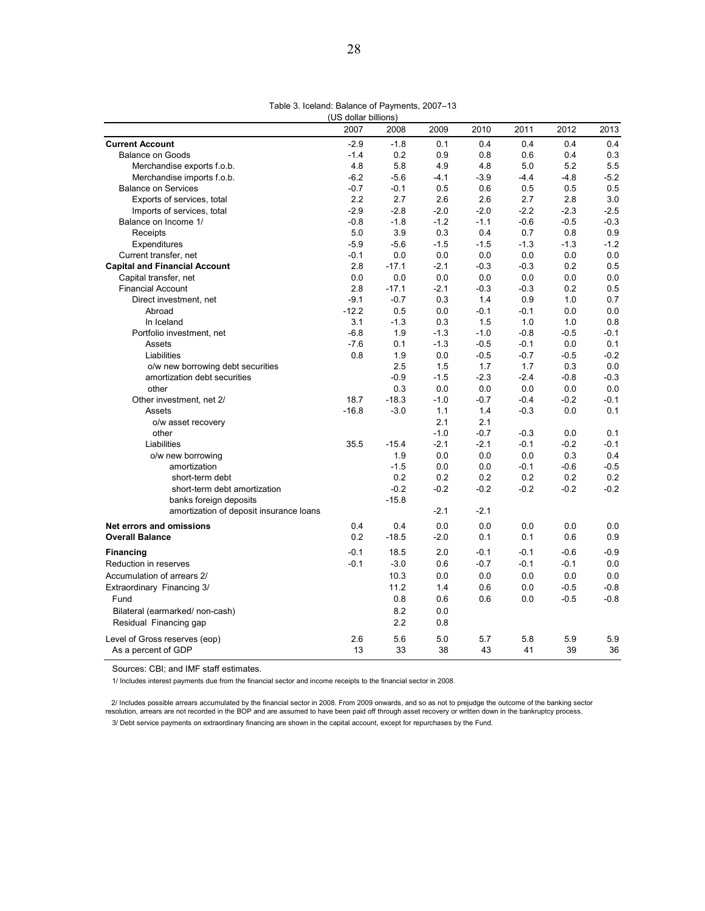#### Table 3. Iceland: Balance of Payments, 2007–13

| (US dollar billions)                    |         |         |        |        |        |        |        |
|-----------------------------------------|---------|---------|--------|--------|--------|--------|--------|
|                                         | 2007    | 2008    | 2009   | 2010   | 2011   | 2012   | 2013   |
| <b>Current Account</b>                  | $-2.9$  | $-1.8$  | 0.1    | 0.4    | 0.4    | 0.4    | 0.4    |
| <b>Balance on Goods</b>                 | $-1.4$  | 0.2     | 0.9    | 0.8    | 0.6    | 0.4    | 0.3    |
| Merchandise exports f.o.b.              | 4.8     | 5.8     | 4.9    | 4.8    | 5.0    | 5.2    | 5.5    |
| Merchandise imports f.o.b.              | $-6.2$  | $-5.6$  | $-4.1$ | $-3.9$ | $-4.4$ | $-4.8$ | $-5.2$ |
| <b>Balance on Services</b>              | $-0.7$  | $-0.1$  | 0.5    | 0.6    | 0.5    | 0.5    | 0.5    |
| Exports of services, total              | 2.2     | 2.7     | 2.6    | 2.6    | 2.7    | 2.8    | 3.0    |
| Imports of services, total              | $-2.9$  | $-2.8$  | $-2.0$ | $-2.0$ | $-2.2$ | $-2.3$ | $-2.5$ |
| Balance on Income 1/                    | $-0.8$  | $-1.8$  | $-1.2$ | $-1.1$ | $-0.6$ | $-0.5$ | $-0.3$ |
| Receipts                                | 5.0     | 3.9     | 0.3    | 0.4    | 0.7    | 0.8    | 0.9    |
| Expenditures                            | $-5.9$  | $-5.6$  | $-1.5$ | $-1.5$ | $-1.3$ | $-1.3$ | $-1.2$ |
| Current transfer, net                   | $-0.1$  | 0.0     | 0.0    | 0.0    | 0.0    | 0.0    | 0.0    |
| <b>Capital and Financial Account</b>    | 2.8     | $-17.1$ | $-2.1$ | $-0.3$ | $-0.3$ | 0.2    | 0.5    |
| Capital transfer, net                   | 0.0     | 0.0     | 0.0    | 0.0    | 0.0    | 0.0    | 0.0    |
| <b>Financial Account</b>                | 2.8     | $-17.1$ | $-2.1$ | $-0.3$ | $-0.3$ | 0.2    | 0.5    |
| Direct investment, net                  | $-9.1$  | $-0.7$  | 0.3    | 1.4    | 0.9    | 1.0    | 0.7    |
| Abroad                                  | $-12.2$ | 0.5     | 0.0    | $-0.1$ | $-0.1$ | 0.0    | 0.0    |
| In Iceland                              | 3.1     | $-1.3$  | 0.3    | 1.5    | 1.0    | 1.0    | 0.8    |
| Portfolio investment, net               | $-6.8$  | 1.9     | $-1.3$ | $-1.0$ | $-0.8$ | $-0.5$ | $-0.1$ |
| Assets                                  | $-7.6$  | 0.1     | $-1.3$ | $-0.5$ | $-0.1$ | 0.0    | 0.1    |
| Liabilities                             | 0.8     | 1.9     | 0.0    | $-0.5$ | $-0.7$ | $-0.5$ | $-0.2$ |
| o/w new borrowing debt securities       |         | 2.5     | 1.5    | 1.7    | 1.7    | 0.3    | 0.0    |
| amortization debt securities            |         | $-0.9$  | $-1.5$ | $-2.3$ | $-2.4$ | $-0.8$ | $-0.3$ |
| other                                   |         | 0.3     | 0.0    | 0.0    | 0.0    | 0.0    | 0.0    |
| Other investment, net 2/                | 18.7    | $-18.3$ | $-1.0$ | $-0.7$ | $-0.4$ | $-0.2$ | $-0.1$ |
| Assets                                  | $-16.8$ | $-3.0$  | 1.1    | 1.4    | $-0.3$ | 0.0    | 0.1    |
| o/w asset recovery                      |         |         | 2.1    | 2.1    |        |        |        |
| other                                   |         |         | $-1.0$ | $-0.7$ | $-0.3$ | 0.0    | 0.1    |
| Liabilities                             | 35.5    | $-15.4$ | $-2.1$ | $-2.1$ | $-0.1$ | $-0.2$ | $-0.1$ |
| o/w new borrowing                       |         | 1.9     | 0.0    | 0.0    | 0.0    | 0.3    | 0.4    |
| amortization                            |         | $-1.5$  | 0.0    | 0.0    | $-0.1$ | $-0.6$ | $-0.5$ |
| short-term debt                         |         | 0.2     | 0.2    | 0.2    | 0.2    | 0.2    | 0.2    |
| short-term debt amortization            |         | $-0.2$  | $-0.2$ | $-0.2$ | $-0.2$ | $-0.2$ | $-0.2$ |
| banks foreign deposits                  |         | $-15.8$ |        |        |        |        |        |
| amortization of deposit insurance loans |         |         | $-2.1$ | $-2.1$ |        |        |        |
| Net errors and omissions                | 0.4     | 0.4     | 0.0    | 0.0    | 0.0    | 0.0    | 0.0    |
| <b>Overall Balance</b>                  | 0.2     | $-18.5$ | $-2.0$ | 0.1    | 0.1    | 0.6    | 0.9    |
| <b>Financing</b>                        | $-0.1$  | 18.5    | 2.0    | $-0.1$ | $-0.1$ | $-0.6$ | $-0.9$ |
| Reduction in reserves                   | $-0.1$  | $-3.0$  | 0.6    | $-0.7$ | $-0.1$ | $-0.1$ | 0.0    |
| Accumulation of arrears 2/              |         | 10.3    | 0.0    | 0.0    | 0.0    | 0.0    | 0.0    |
| Extraordinary Financing 3/              |         | 11.2    | 1.4    | 0.6    | 0.0    | $-0.5$ | $-0.8$ |
| Fund                                    |         | 0.8     | 0.6    | 0.6    | 0.0    | $-0.5$ | $-0.8$ |
| Bilateral (earmarked/ non-cash)         |         | 8.2     | 0.0    |        |        |        |        |
| Residual Financing gap                  |         | 2.2     | 0.8    |        |        |        |        |
|                                         |         |         |        |        |        |        |        |
| Level of Gross reserves (eop)           | 2.6     | 5.6     | 5.0    | 5.7    | 5.8    | 5.9    | 5.9    |
| As a percent of GDP                     | 13      | 33      | 38     | 43     | 41     | 39     | 36     |

Sources: CBI; and IMF staff estimates.

1/ Includes interest payments due from the financial sector and income receipts to the financial sector in 2008.

3/ Debt service payments on extraordinary financing are shown in the capital account, except for repurchases by the Fund. 2/ Includes possible arrears accumulated by the financial sector in 2008. From 2009 onwards, and so as not to prejudge the outcome of the banking sector<br>resolution, arrears are not recorded in the BOP and are assumed to ha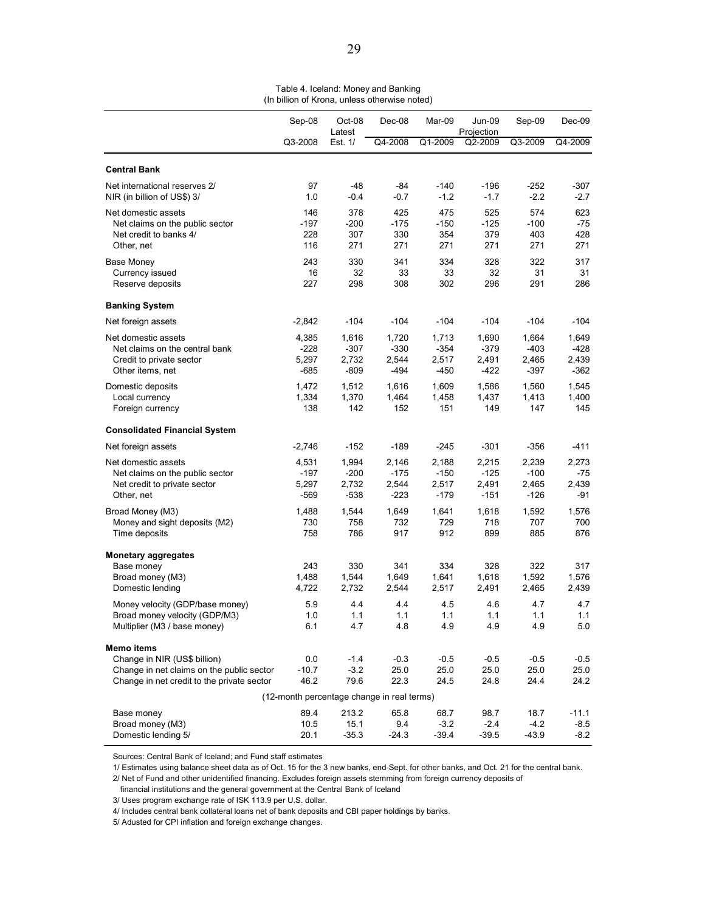|                                                                                                                                       | Sep-08<br>Oct-08<br>Latest       |                                    | Dec-08<br>Mar-09                                                     |                                    | Jun-09<br>Projection               | Sep-09                             | Dec-09                           |
|---------------------------------------------------------------------------------------------------------------------------------------|----------------------------------|------------------------------------|----------------------------------------------------------------------|------------------------------------|------------------------------------|------------------------------------|----------------------------------|
|                                                                                                                                       | Q3-2008                          | Est. 1/                            | Q4-2008                                                              | Q1-2009                            | Q2-2009                            | Q3-2009                            | Q4-2009                          |
| <b>Central Bank</b>                                                                                                                   |                                  |                                    |                                                                      |                                    |                                    |                                    |                                  |
| Net international reserves 2/<br>NIR (in billion of US\$) 3/                                                                          | 97<br>1.0                        | $-48$<br>$-0.4$                    | -84<br>$-0.7$                                                        | $-140$<br>$-1.2$                   | $-196$<br>$-1.7$                   | $-252$<br>$-2.2$                   | $-307$<br>$-2.7$                 |
| Net domestic assets<br>Net claims on the public sector<br>Net credit to banks 4/<br>Other, net                                        | 146<br>$-197$<br>228<br>116      | 378<br>$-200$<br>307<br>271        | 425<br>$-175$<br>330<br>271                                          | 475<br>$-150$<br>354<br>271        | 525<br>$-125$<br>379<br>271        | 574<br>$-100$<br>403<br>271        | 623<br>$-75$<br>428<br>271       |
| <b>Base Money</b><br>Currency issued<br>Reserve deposits                                                                              | 243<br>16<br>227                 | 330<br>32<br>298                   | 341<br>33<br>308                                                     | 334<br>33<br>302                   | 328<br>32<br>296                   | 322<br>31<br>291                   | 317<br>31<br>286                 |
| <b>Banking System</b>                                                                                                                 |                                  |                                    |                                                                      |                                    |                                    |                                    |                                  |
| Net foreign assets                                                                                                                    | $-2,842$                         | $-104$                             | $-104$                                                               | -104                               | $-104$                             | $-104$                             | $-104$                           |
| Net domestic assets<br>Net claims on the central bank<br>Credit to private sector<br>Other items, net                                 | 4,385<br>$-228$<br>5.297<br>-685 | 1,616<br>$-307$<br>2,732<br>$-809$ | 1,720<br>$-330$<br>2,544<br>-494                                     | 1,713<br>$-354$<br>2,517<br>-450   | 1,690<br>$-379$<br>2,491<br>-422   | 1,664<br>$-403$<br>2,465<br>$-397$ | 1,649<br>$-428$<br>2,439<br>-362 |
| Domestic deposits<br>Local currency<br>Foreign currency                                                                               | 1,472<br>1,334<br>138            | 1,512<br>1,370<br>142              | 1,616<br>1,464<br>152                                                | 1,609<br>1,458<br>151              | 1,586<br>1,437<br>149              | 1,560<br>1,413<br>147              | 1,545<br>1,400<br>145            |
| <b>Consolidated Financial System</b>                                                                                                  |                                  |                                    |                                                                      |                                    |                                    |                                    |                                  |
| Net foreign assets                                                                                                                    | $-2,746$                         | $-152$                             | $-189$                                                               | $-245$                             | $-301$                             | $-356$                             | $-411$                           |
| Net domestic assets<br>Net claims on the public sector<br>Net credit to private sector<br>Other, net                                  | 4,531<br>-197<br>5,297<br>-569   | 1,994<br>$-200$<br>2,732<br>$-538$ | 2,146<br>$-175$<br>2,544<br>-223                                     | 2,188<br>$-150$<br>2,517<br>$-179$ | 2,215<br>$-125$<br>2,491<br>$-151$ | 2,239<br>$-100$<br>2,465<br>$-126$ | 2,273<br>$-75$<br>2,439<br>-91   |
| Broad Money (M3)<br>Money and sight deposits (M2)<br>Time deposits                                                                    | 1,488<br>730<br>758              | 1,544<br>758<br>786                | 1,649<br>732<br>917                                                  | 1,641<br>729<br>912                | 1,618<br>718<br>899                | 1,592<br>707<br>885                | 1,576<br>700<br>876              |
| <b>Monetary aggregates</b><br>Base money<br>Broad money (M3)<br>Domestic lending                                                      | 243<br>1,488<br>4,722            | 330<br>1,544<br>2,732              | 341<br>1,649<br>2,544                                                | 334<br>1,641<br>2,517              | 328<br>1,618<br>2,491              | 322<br>1,592<br>2,465              | 317<br>1,576<br>2,439            |
| Money velocity (GDP/base money)<br>Broad money velocity (GDP/M3)<br>Multiplier (M3 / base money)                                      | 5.9<br>1.0<br>6.1                | 4.4<br>1.1<br>4.7                  | 4.4<br>1.1<br>4.8                                                    | 4.5<br>1.1<br>4.9                  | 4.6<br>1.1<br>4.9                  | 4.7<br>1.1<br>4.9                  | 4.7<br>1.1<br>5.0                |
| Memo items<br>Change in NIR (US\$ billion)<br>Change in net claims on the public sector<br>Change in net credit to the private sector | 0.0<br>$-10.7$<br>46.2           | $-1.4$<br>$-3.2$<br>79.6           | $-0.3$<br>25.0<br>22.3<br>(12-month percentage change in real terms) | $-0.5$<br>25.0<br>24.5             | $-0.5$<br>25.0<br>24.8             | $-0.5$<br>25.0<br>24.4             | $-0.5$<br>25.0<br>24.2           |
| Base money                                                                                                                            | 89.4                             | 213.2                              | 65.8                                                                 | 68.7                               | 98.7                               | 18.7                               | $-11.1$                          |
| Broad money (M3)<br>Domestic lending 5/                                                                                               | 10.5<br>20.1                     | 15.1<br>$-35.3$                    | 9.4<br>$-24.3$                                                       | $-3.2$<br>$-39.4$                  | $-2.4$<br>$-39.5$                  | $-4.2$<br>$-43.9$                  | $-8.5$<br>$-8.2$                 |

Table 4. Iceland: Money and Banking (In billion of Krona, unless otherwise noted)

Sources: Central Bank of Iceland; and Fund staff estimates

1/ Estimates using balance sheet data as of Oct. 15 for the 3 new banks, end-Sept. for other banks, and Oct. 21 for the central bank.

2/ Net of Fund and other unidentified financing. Excludes foreign assets stemming from foreign currency deposits of

financial institutions and the general government at the Central Bank of Iceland

3/ Uses program exchange rate of ISK 113.9 per U.S. dollar.

4/ Includes central bank collateral loans net of bank deposits and CBI paper holdings by banks.

5/ Adusted for CPI inflation and foreign exchange changes.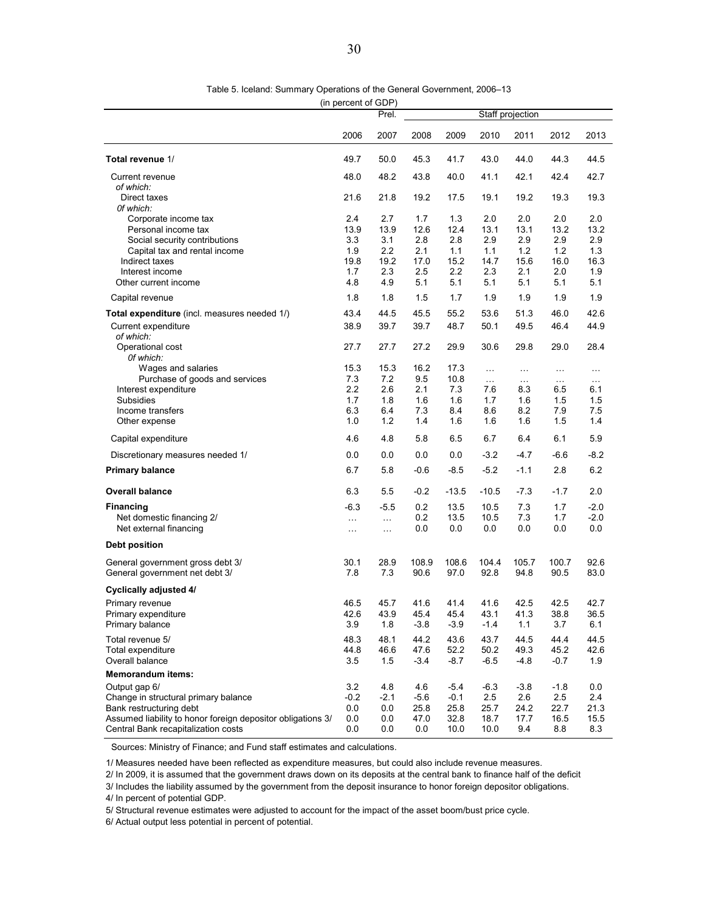Table 5. Iceland: Summary Operations of the General Government, 2006–13

(in percent of GDP)

|                                                                    | Prel.       |             |               | Staff projection |               |                      |                    |                 |
|--------------------------------------------------------------------|-------------|-------------|---------------|------------------|---------------|----------------------|--------------------|-----------------|
|                                                                    | 2006        | 2007        | 2008          | 2009             | 2010          | 2011                 | 2012               | 2013            |
| Total revenue 1/                                                   | 49.7        | 50.0        | 45.3          | 41.7             | 43.0          | 44.0                 | 44.3               | 44.5            |
| Current revenue                                                    | 48.0        | 48.2        | 43.8          | 40.0             | 41.1          | 42.1                 | 42.4               | 42.7            |
| of which:                                                          |             |             |               |                  |               |                      |                    |                 |
| Direct taxes<br>Of which:                                          | 21.6        | 21.8        | 19.2          | 17.5             | 19.1          | 19.2                 | 19.3               | 19.3            |
| Corporate income tax                                               | 2.4         | 2.7         | 1.7           | 1.3              | 2.0           | 2.0                  | 2.0                | 2.0             |
| Personal income tax                                                | 13.9        | 13.9        | 12.6          | 12.4             | 13.1          | 13.1                 | 13.2               | 13.2            |
| Social security contributions                                      | 3.3         | 3.1         | 2.8           | 2.8              | 2.9           | 2.9                  | 2.9                | 2.9             |
| Capital tax and rental income                                      | 1.9         | 2.2         | 2.1           | 1.1              | 1.1           | 1.2                  | 1.2                | 1.3             |
| Indirect taxes                                                     | 19.8        | 19.2        | 17.0          | 15.2             | 14.7          | 15.6                 | 16.0               | 16.3            |
| Interest income                                                    | 1.7         | 2.3         | 2.5           | 2.2              | 2.3           | 2.1                  | 2.0                | 1.9             |
| Other current income                                               | 4.8         | 4.9         | 5.1           | 5.1              | 5.1           | 5.1                  | 5.1                | 5.1             |
| Capital revenue                                                    | 1.8         | 1.8         | 1.5           | 1.7              | 1.9           | 1.9                  | 1.9                | 1.9             |
| Total expenditure (incl. measures needed 1/)                       | 43.4        | 44.5        | 45.5          | 55.2             | 53.6          | 51.3                 | 46.0               | 42.6            |
| Current expenditure<br>of which:                                   | 38.9        | 39.7        | 39.7          | 48.7             | 50.1          | 49.5                 | 46.4               | 44.9            |
| Operational cost                                                   | 27.7        | 27.7        | 27.2          | 29.9             | 30.6          | 29.8                 | 29.0               | 28.4            |
| Of which:<br>Wages and salaries                                    | 15.3        | 15.3        | 16.2          | 17.3             | $\ddotsc$     |                      |                    |                 |
| Purchase of goods and services                                     | 7.3         | 7.2         | 9.5           | 10.8             | $\ldots$      | $\ldots$<br>$\ldots$ | $\sim$<br>$\ldots$ | $\cdots$        |
| Interest expenditure                                               | 2.2         | 2.6         | 2.1           | 7.3              | 7.6           | 8.3                  | 6.5                | $\ldots$<br>6.1 |
| Subsidies                                                          | 1.7         | 1.8         | 1.6           | 1.6              | 1.7           | 1.6                  | 1.5                | 1.5             |
| Income transfers                                                   | 6.3         | 6.4         | 7.3           | 8.4              | 8.6           | 8.2                  | 7.9                | 7.5             |
| Other expense                                                      | 1.0         | 1.2         | 1.4           | 1.6              | 1.6           | 1.6                  | 1.5                | 1.4             |
| Capital expenditure                                                | 4.6         | 4.8         | 5.8           | 6.5              | 6.7           | 6.4                  | 6.1                | 5.9             |
| Discretionary measures needed 1/                                   | 0.0         | 0.0         | 0.0           | 0.0              | $-3.2$        | $-4.7$               | $-6.6$             | $-8.2$          |
| <b>Primary balance</b>                                             | 6.7         | 5.8         | $-0.6$        | $-8.5$           | $-5.2$        | $-1.1$               | 2.8                | 6.2             |
| <b>Overall balance</b>                                             | 6.3         | 5.5         | $-0.2$        | $-13.5$          | $-10.5$       | $-7.3$               | $-1.7$             | 2.0             |
| <b>Financing</b>                                                   | $-6.3$      | $-5.5$      | 0.2           | 13.5             | 10.5          | 7.3                  | 1.7                | $-2.0$          |
| Net domestic financing 2/                                          | $\cdots$    | $\ldots$    | 0.2           | 13.5             | 10.5          | 7.3                  | 1.7                | $-2.0$          |
| Net external financing                                             | $\ldots$    | $\ldots$    | 0.0           | 0.0              | 0.0           | 0.0                  | 0.0                | 0.0             |
| <b>Debt position</b>                                               |             |             |               |                  |               |                      |                    |                 |
| General government gross debt 3/<br>General government net debt 3/ | 30.1<br>7.8 | 28.9<br>7.3 | 108.9<br>90.6 | 108.6<br>97.0    | 104.4<br>92.8 | 105.7<br>94.8        | 100.7<br>90.5      | 92.6<br>83.0    |
| <b>Cyclically adjusted 4/</b>                                      |             |             |               |                  |               |                      |                    |                 |
| Primary revenue                                                    | 46.5        | 45.7        | 41.6          | 41.4             | 41.6          | 42.5                 | 42.5               | 42.7            |
| Primary expenditure                                                | 42.6        | 43.9        | 45.4          | 45.4             | 43.1          | 41.3                 | 38.8               | 36.5            |
| Primary balance                                                    | 3.9         | 1.8         | -3.8          | $-3.9$           | -1.4          | 1.1                  | 3.7                | 6.1             |
| Total revenue 5/                                                   | 48.3        | 48.1        | 44.2          | 43.6             | 43.7          | 44.5                 | 44.4               | 44.5            |
| Total expenditure                                                  | 44.8        | 46.6        | 47.6          | 52.2             | 50.2          | 49.3                 | 45.2               | 42.6            |
| Overall balance                                                    | 3.5         | 1.5         | -3.4          | $-8.7$           | $-6.5$        | -4.8                 | $-0.7$             | 1.9             |
| <b>Memorandum items:</b>                                           |             |             |               |                  |               |                      |                    |                 |
| Output gap 6/                                                      | 3.2         | 4.8         | 4.6           | $-5.4$           | $-6.3$        | $-3.8$               | $-1.8$             | 0.0             |
| Change in structural primary balance                               | $-0.2$      | -2.1        | $-5.6$        | -0.1             | 2.5           | 2.6                  | 2.5                | 2.4             |
| Bank restructuring debt                                            | 0.0         | 0.0         | 25.8          | 25.8             | 25.7          | 24.2                 | 22.7               | 21.3            |
| Assumed liability to honor foreign depositor obligations 3/        | 0.0         | 0.0         | 47.0          | 32.8             | 18.7          | 17.7                 | 16.5               | 15.5            |
| Central Bank recapitalization costs                                | 0.0         | 0.0         | 0.0           | 10.0             | 10.0          | 9.4                  | 8.8                | 8.3             |

Sources: Ministry of Finance; and Fund staff estimates and calculations.

1/ Measures needed have been reflected as expenditure measures, but could also include revenue measures.

2/ In 2009, it is assumed that the government draws down on its deposits at the central bank to finance half of the deficit

3/ Includes the liability assumed by the government from the deposit insurance to honor foreign depositor obligations.

4/ In percent of potential GDP.

5/ Structural revenue estimates were adjusted to account for the impact of the asset boom/bust price cycle.

6/ Actual output less potential in percent of potential.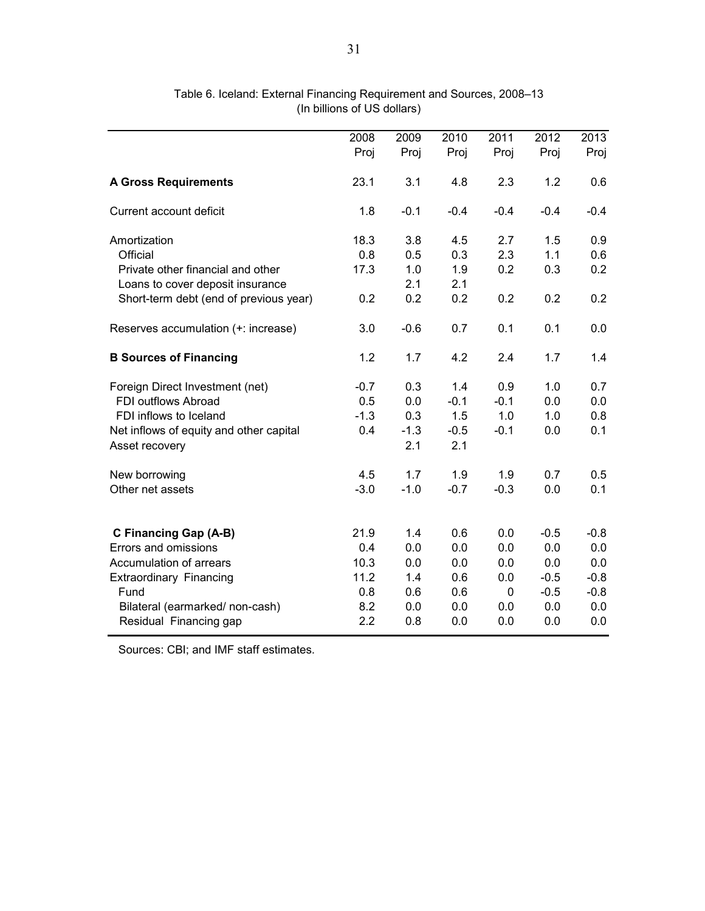| 2008   | 2009                                      | 2010                                   | 2011                                   | 2012                                           | 2013                                            |
|--------|-------------------------------------------|----------------------------------------|----------------------------------------|------------------------------------------------|-------------------------------------------------|
| Proj   | Proj                                      | Proj                                   | Proj                                   | Proj                                           | Proj                                            |
| 23.1   | 3.1                                       | 4.8                                    | 2.3                                    | 1.2                                            | 0.6                                             |
| 1.8    | $-0.1$                                    | $-0.4$                                 | $-0.4$                                 | $-0.4$                                         | $-0.4$                                          |
| 18.3   | 3.8                                       | 4.5                                    | 2.7                                    | 1.5                                            | 0.9                                             |
| 0.8    | 0.5                                       | 0.3                                    | 2.3                                    | 1.1                                            | 0.6                                             |
| 17.3   | 1.0                                       | 1.9                                    | 0.2                                    | 0.3                                            | 0.2                                             |
|        | 2.1                                       | 2.1                                    |                                        |                                                |                                                 |
| 0.2    | 0.2                                       | 0.2                                    | 0.2                                    | 0.2                                            | 0.2                                             |
| 3.0    | $-0.6$                                    | 0.7                                    | 0.1                                    | 0.1                                            | 0.0                                             |
| 1.2    | 1.7                                       | 4.2                                    | 2.4                                    | 1.7                                            | 1.4                                             |
| $-0.7$ | 0.3                                       | 1.4                                    | 0.9                                    | 1.0                                            | 0.7                                             |
| 0.5    | 0.0                                       | $-0.1$                                 | $-0.1$                                 | 0.0                                            | 0.0                                             |
| $-1.3$ | 0.3                                       | 1.5                                    | 1.0                                    | 1.0                                            | 0.8                                             |
| 0.4    | $-1.3$                                    | $-0.5$                                 | $-0.1$                                 | 0.0                                            | 0.1                                             |
|        | 2.1                                       | 2.1                                    |                                        |                                                |                                                 |
| 4.5    | 1.7                                       | 1.9                                    | 1.9                                    | 0.7                                            | 0.5                                             |
| $-3.0$ | $-1.0$                                    | $-0.7$                                 | $-0.3$                                 | 0.0                                            | 0.1                                             |
|        |                                           |                                        |                                        |                                                | $-0.8$                                          |
|        |                                           |                                        |                                        |                                                | 0.0                                             |
|        |                                           |                                        |                                        |                                                | 0.0                                             |
|        |                                           |                                        |                                        |                                                | $-0.8$                                          |
|        |                                           |                                        |                                        |                                                | $-0.8$                                          |
|        |                                           |                                        |                                        |                                                | 0.0                                             |
| 2.2    | 0.8                                       | 0.0                                    | 0.0                                    | 0.0                                            | 0.0                                             |
|        | 21.9<br>0.4<br>10.3<br>11.2<br>0.8<br>8.2 | 1.4<br>0.0<br>0.0<br>1.4<br>0.6<br>0.0 | 0.6<br>0.0<br>0.0<br>0.6<br>0.6<br>0.0 | 0.0<br>0.0<br>0.0<br>0.0<br>$\mathbf 0$<br>0.0 | $-0.5$<br>0.0<br>0.0<br>$-0.5$<br>$-0.5$<br>0.0 |

Table 6. Iceland: External Financing Requirement and Sources, 2008–13 (In billions of US dollars)

Sources: CBI; and IMF staff estimates.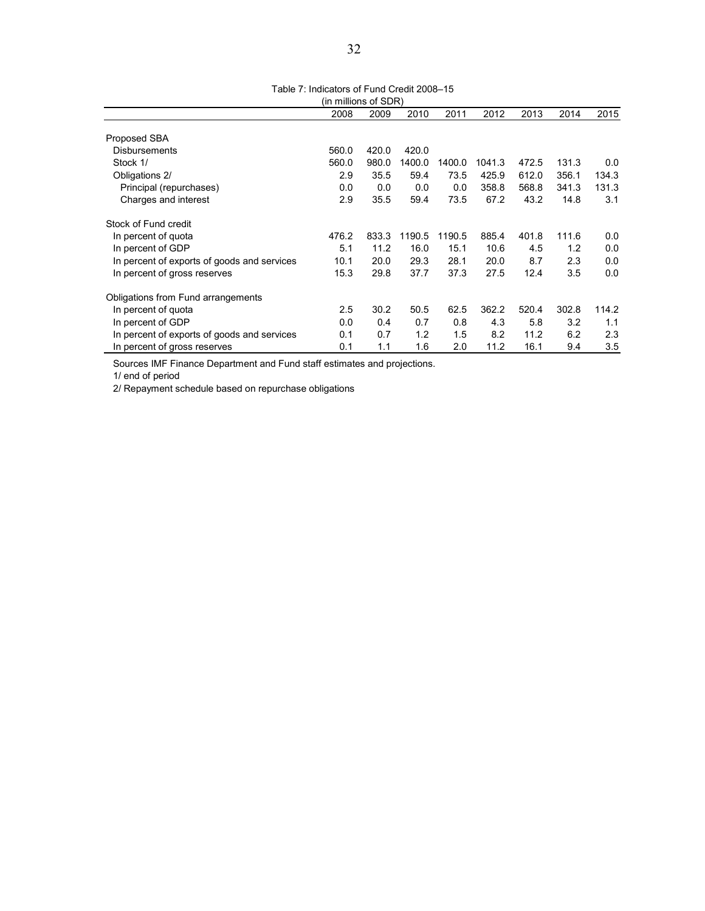Table 7: Indicators of Fund Credit 2008–15

| (in millions of SDR)                        |       |       |        |        |        |       |       |       |
|---------------------------------------------|-------|-------|--------|--------|--------|-------|-------|-------|
|                                             | 2008  | 2009  | 2010   | 2011   | 2012   | 2013  | 2014  | 2015  |
| Proposed SBA                                |       |       |        |        |        |       |       |       |
| <b>Disbursements</b>                        | 560.0 | 420.0 | 420.0  |        |        |       |       |       |
| Stock 1/                                    | 560.0 | 980.0 | 1400.0 | 1400.0 | 1041.3 | 472.5 | 131.3 | 0.0   |
| Obligations 2/                              | 2.9   | 35.5  | 59.4   | 73.5   | 425.9  | 612.0 | 356.1 | 134.3 |
| Principal (repurchases)                     | 0.0   | 0.0   | 0.0    | 0.0    | 358.8  | 568.8 | 341.3 | 131.3 |
| Charges and interest                        | 2.9   | 35.5  | 59.4   | 73.5   | 67.2   | 43.2  | 14.8  | 3.1   |
| Stock of Fund credit                        |       |       |        |        |        |       |       |       |
| In percent of quota                         | 476.2 | 833.3 | 1190.5 | 1190.5 | 885.4  | 401.8 | 111.6 | 0.0   |
| In percent of GDP                           | 5.1   | 11.2  | 16.0   | 15.1   | 10.6   | 4.5   | 1.2   | 0.0   |
| In percent of exports of goods and services | 10.1  | 20.0  | 29.3   | 28.1   | 20.0   | 8.7   | 2.3   | 0.0   |
| In percent of gross reserves                | 15.3  | 29.8  | 37.7   | 37.3   | 27.5   | 12.4  | 3.5   | 0.0   |
| Obligations from Fund arrangements          |       |       |        |        |        |       |       |       |
| In percent of quota                         | 2.5   | 30.2  | 50.5   | 62.5   | 362.2  | 520.4 | 302.8 | 114.2 |
| In percent of GDP                           | 0.0   | 0.4   | 0.7    | 0.8    | 4.3    | 5.8   | 3.2   | 1.1   |
| In percent of exports of goods and services | 0.1   | 0.7   | 1.2    | 1.5    | 8.2    | 11.2  | 6.2   | 2.3   |
| In percent of gross reserves                | 0.1   | 1.1   | 1.6    | 2.0    | 11.2   | 16.1  | 9.4   | 3.5   |

Sources IMF Finance Department and Fund staff estimates and projections.

1/ end of period

2/ Repayment schedule based on repurchase obligations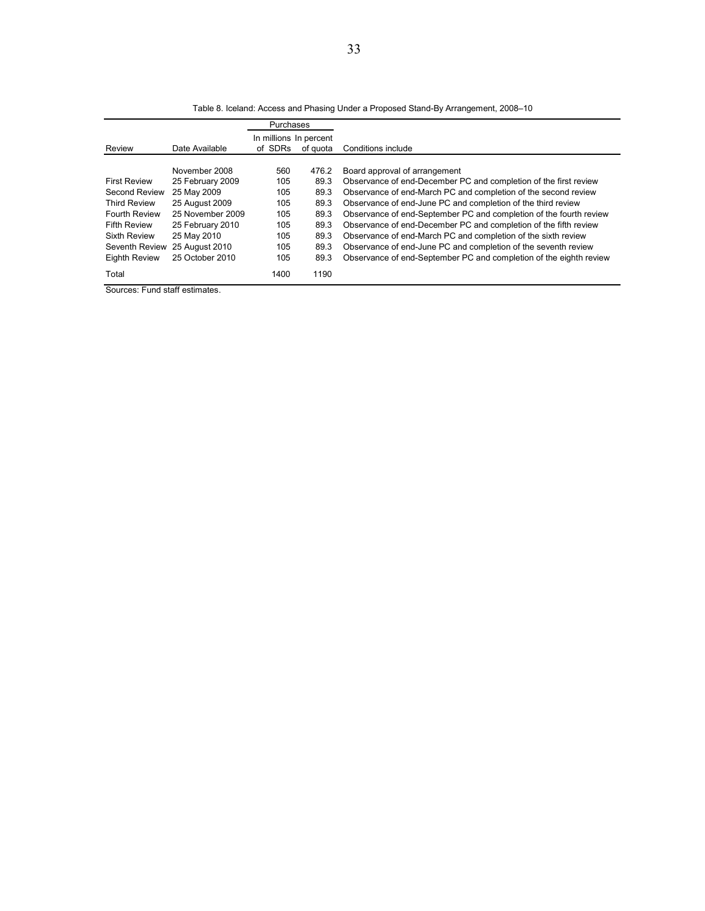|                      |                  | Purchases                         |          |                                                                    |
|----------------------|------------------|-----------------------------------|----------|--------------------------------------------------------------------|
| Review               | Date Available   | In millions In percent<br>of SDRs |          | Conditions include                                                 |
|                      |                  |                                   | of quota |                                                                    |
|                      | November 2008    | 560                               | 476.2    | Board approval of arrangement                                      |
| <b>First Review</b>  | 25 February 2009 | 105                               | 89.3     | Observance of end-December PC and completion of the first review   |
| Second Review        | 25 May 2009      | 105                               | 89.3     | Observance of end-March PC and completion of the second review     |
| <b>Third Review</b>  | 25 August 2009   | 105                               | 89.3     | Observance of end-June PC and completion of the third review       |
| Fourth Review        | 25 November 2009 | 105                               | 89.3     | Observance of end-September PC and completion of the fourth review |
| <b>Fifth Review</b>  | 25 February 2010 | 105                               | 89.3     | Observance of end-December PC and completion of the fifth review   |
| <b>Sixth Review</b>  | 25 May 2010      | 105                               | 89.3     | Observance of end-March PC and completion of the sixth review      |
| Seventh Review       | 25 August 2010   | 105                               | 89.3     | Observance of end-June PC and completion of the seventh review     |
| <b>Eighth Review</b> | 25 October 2010  | 105                               | 89.3     | Observance of end-September PC and completion of the eighth review |
| Total                |                  | 1400                              | 1190     |                                                                    |

Table 8. Iceland: Access and Phasing Under a Proposed Stand-By Arrangement, 2008–10

Sources: Fund staff estimates.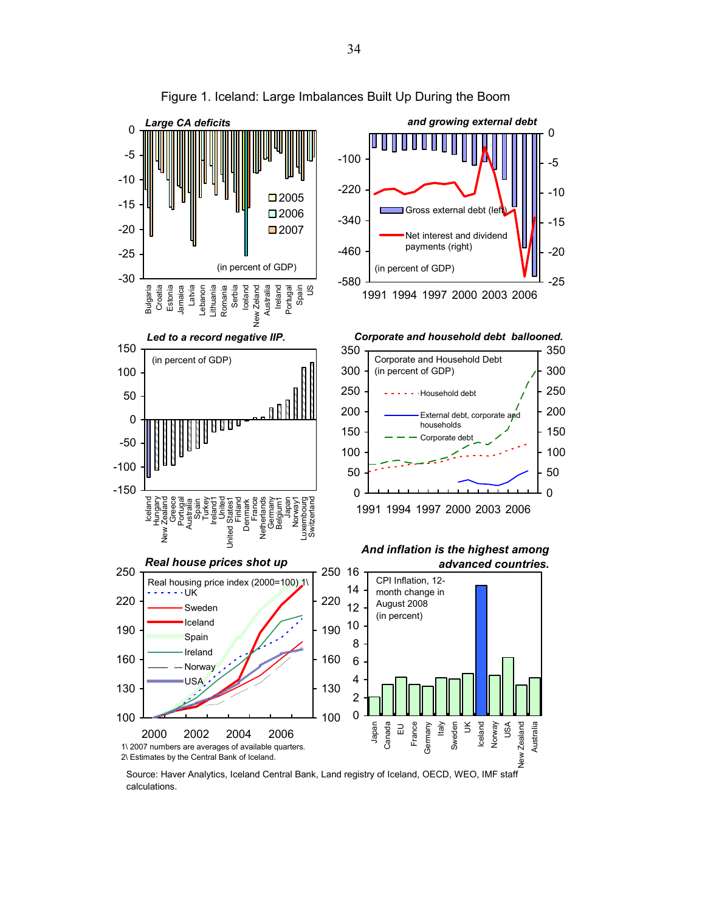

Figure 1. Iceland: Large Imbalances Built Up During the Boom

Source: Haver Analytics, Iceland Central Bank, Land registry of Iceland, OECD, WEO, IMF staff calculations.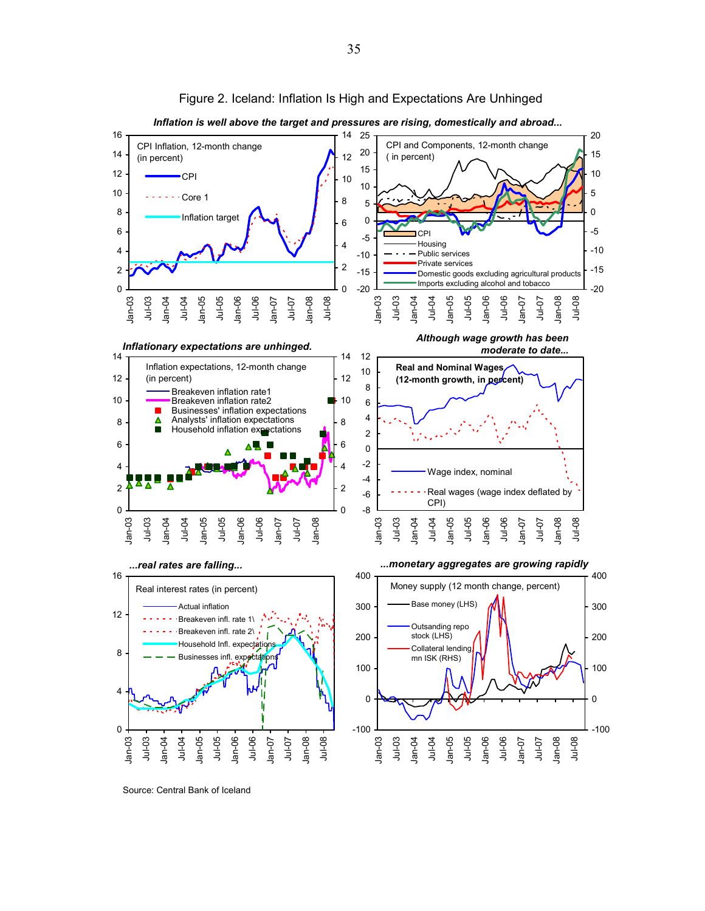

Figure 2. Iceland: Inflation Is High and Expectations Are Unhinged

Source: Central Bank of Iceland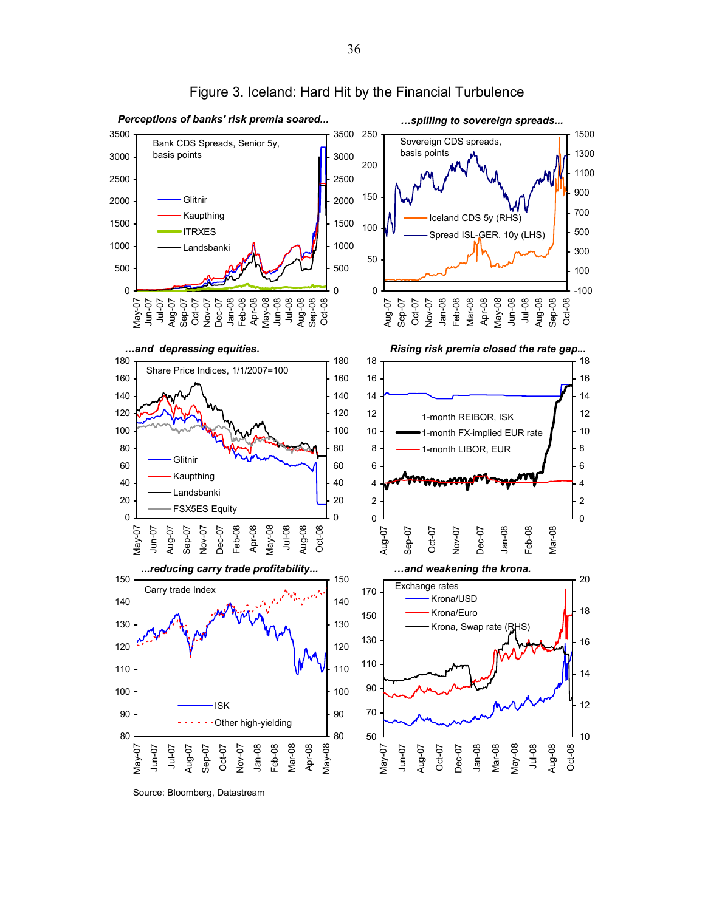

#### Figure 3. Iceland: Hard Hit by the Financial Turbulence

Source: Bloomberg, Datastream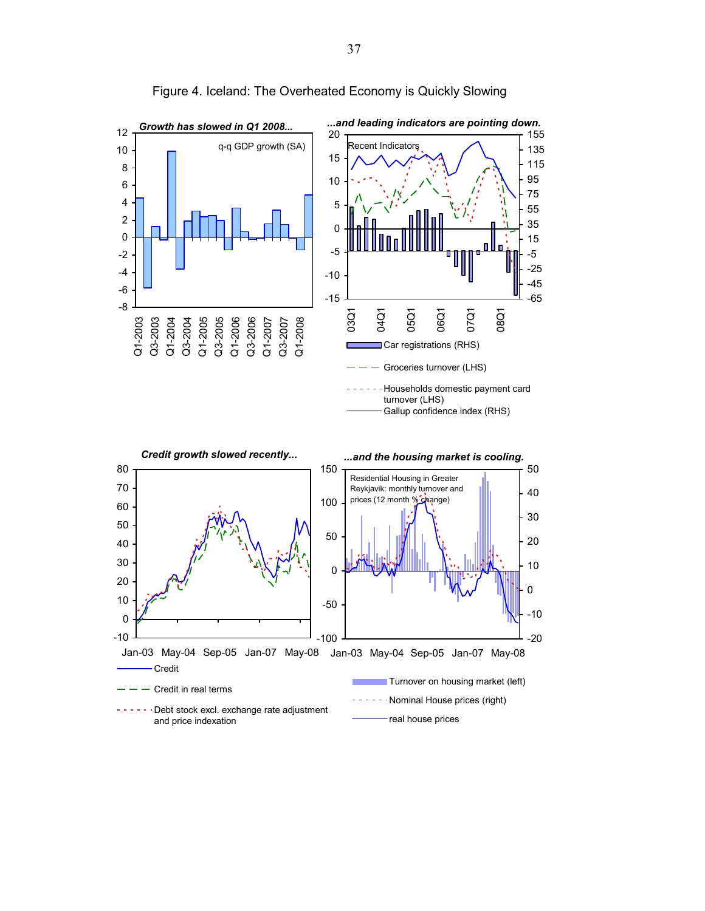

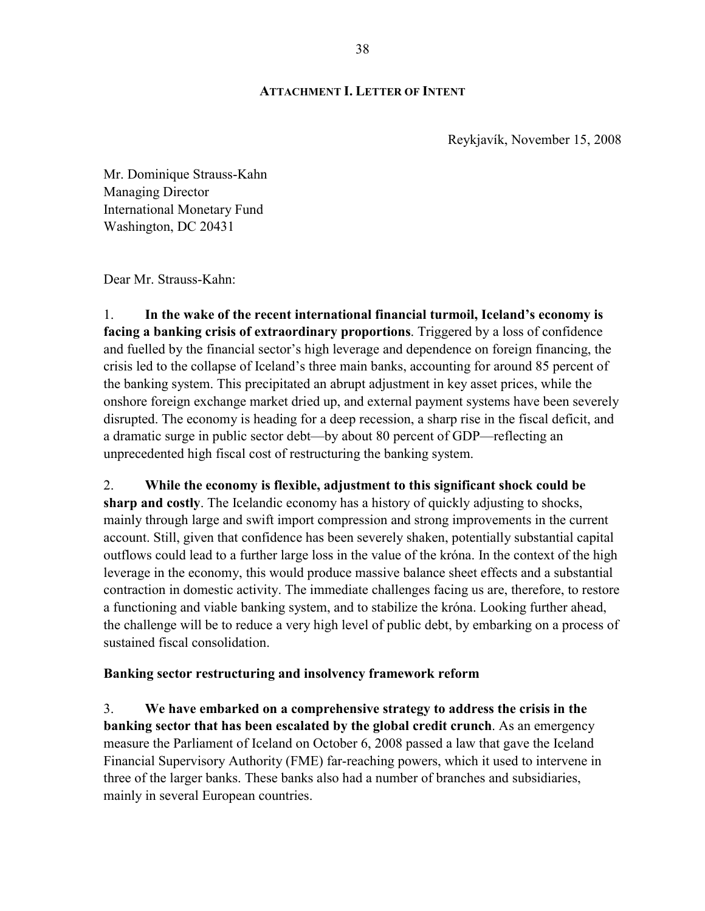## **ATTACHMENT I. LETTER OF INTENT**

Reykjavík, November 15, 2008

Mr. Dominique Strauss-Kahn Managing Director International Monetary Fund Washington, DC 20431

Dear Mr. Strauss-Kahn:

1. **In the wake of the recent international financial turmoil, Iceland's economy is facing a banking crisis of extraordinary proportions**. Triggered by a loss of confidence and fuelled by the financial sector's high leverage and dependence on foreign financing, the crisis led to the collapse of Iceland's three main banks, accounting for around 85 percent of the banking system. This precipitated an abrupt adjustment in key asset prices, while the onshore foreign exchange market dried up, and external payment systems have been severely disrupted. The economy is heading for a deep recession, a sharp rise in the fiscal deficit, and a dramatic surge in public sector debt—by about 80 percent of GDP—reflecting an unprecedented high fiscal cost of restructuring the banking system.

2. **While the economy is flexible, adjustment to this significant shock could be sharp and costly**. The Icelandic economy has a history of quickly adjusting to shocks, mainly through large and swift import compression and strong improvements in the current account. Still, given that confidence has been severely shaken, potentially substantial capital outflows could lead to a further large loss in the value of the króna. In the context of the high leverage in the economy, this would produce massive balance sheet effects and a substantial contraction in domestic activity. The immediate challenges facing us are, therefore, to restore a functioning and viable banking system, and to stabilize the króna. Looking further ahead, the challenge will be to reduce a very high level of public debt, by embarking on a process of sustained fiscal consolidation.

## **Banking sector restructuring and insolvency framework reform**

3. **We have embarked on a comprehensive strategy to address the crisis in the banking sector that has been escalated by the global credit crunch**. As an emergency measure the Parliament of Iceland on October 6, 2008 passed a law that gave the Iceland Financial Supervisory Authority (FME) far-reaching powers, which it used to intervene in three of the larger banks. These banks also had a number of branches and subsidiaries, mainly in several European countries.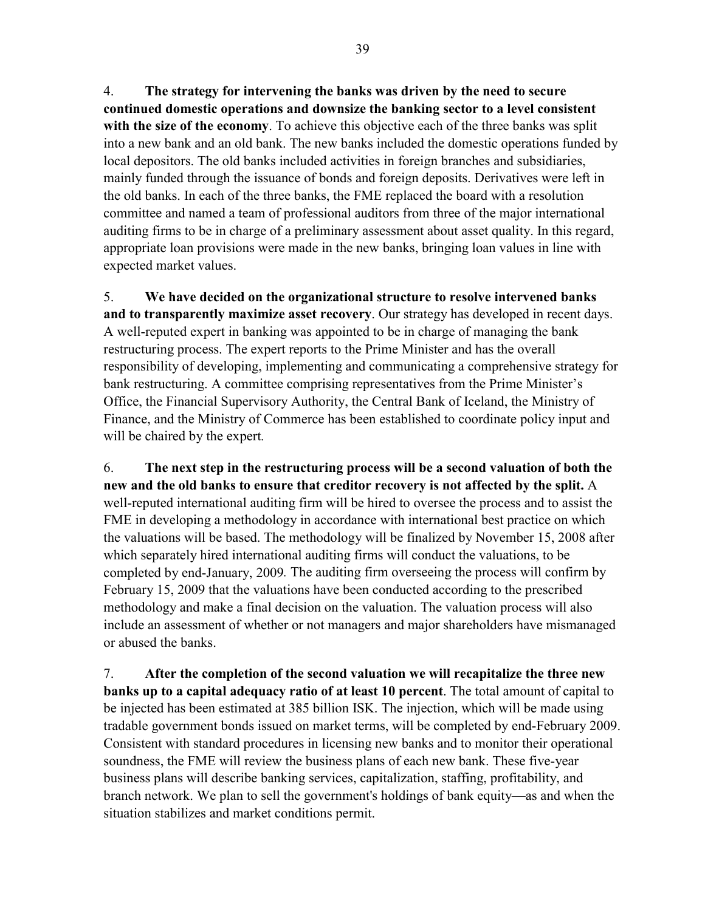4. **The strategy for intervening the banks was driven by the need to secure continued domestic operations and downsize the banking sector to a level consistent with the size of the economy**. To achieve this objective each of the three banks was split into a new bank and an old bank. The new banks included the domestic operations funded by local depositors. The old banks included activities in foreign branches and subsidiaries, mainly funded through the issuance of bonds and foreign deposits. Derivatives were left in the old banks. In each of the three banks, the FME replaced the board with a resolution committee and named a team of professional auditors from three of the major international auditing firms to be in charge of a preliminary assessment about asset quality. In this regard, appropriate loan provisions were made in the new banks, bringing loan values in line with expected market values.

5. **We have decided on the organizational structure to resolve intervened banks and to transparently maximize asset recovery**. Our strategy has developed in recent days. A well-reputed expert in banking was appointed to be in charge of managing the bank restructuring process. The expert reports to the Prime Minister and has the overall responsibility of developing, implementing and communicating a comprehensive strategy for bank restructuring. A committee comprising representatives from the Prime Minister's Office, the Financial Supervisory Authority, the Central Bank of Iceland, the Ministry of Finance, and the Ministry of Commerce has been established to coordinate policy input and will be chaired by the expert*.*

6. **The next step in the restructuring process will be a second valuation of both the new and the old banks to ensure that creditor recovery is not affected by the split.** A well-reputed international auditing firm will be hired to oversee the process and to assist the FME in developing a methodology in accordance with international best practice on which the valuations will be based. The methodology will be finalized by November 15, 2008 after which separately hired international auditing firms will conduct the valuations, to be completed by end-January, 2009*.* The auditing firm overseeing the process will confirm by February 15, 2009 that the valuations have been conducted according to the prescribed methodology and make a final decision on the valuation. The valuation process will also include an assessment of whether or not managers and major shareholders have mismanaged or abused the banks.

7. **After the completion of the second valuation we will recapitalize the three new banks up to a capital adequacy ratio of at least 10 percent**. The total amount of capital to be injected has been estimated at 385 billion ISK. The injection, which will be made using tradable government bonds issued on market terms, will be completed by end-February 2009. Consistent with standard procedures in licensing new banks and to monitor their operational soundness, the FME will review the business plans of each new bank. These five-year business plans will describe banking services, capitalization, staffing, profitability, and branch network. We plan to sell the government's holdings of bank equity—as and when the situation stabilizes and market conditions permit.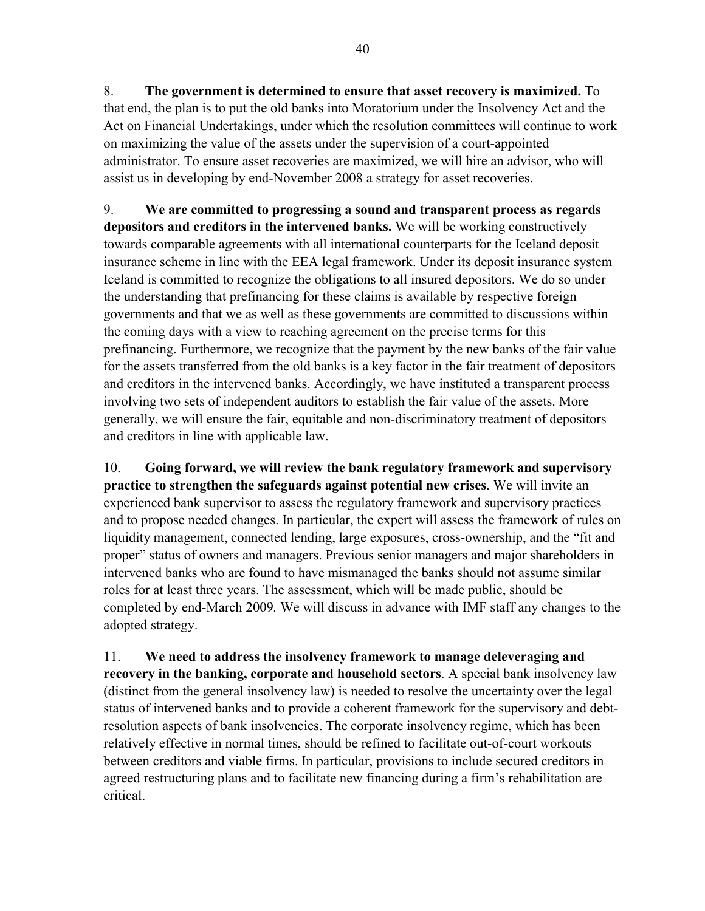8. **The government is determined to ensure that asset recovery is maximized.** To that end, the plan is to put the old banks into Moratorium under the Insolvency Act and the Act on Financial Undertakings, under which the resolution committees will continue to work on maximizing the value of the assets under the supervision of a court-appointed administrator. To ensure asset recoveries are maximized, we will hire an advisor, who will assist us in developing by end-November 2008 a strategy for asset recoveries.

9. **We are committed to progressing a sound and transparent process as regards depositors and creditors in the intervened banks.** We will be working constructively towards comparable agreements with all international counterparts for the Iceland deposit insurance scheme in line with the EEA legal framework. Under its deposit insurance system Iceland is committed to recognize the obligations to all insured depositors. We do so under the understanding that prefinancing for these claims is available by respective foreign governments and that we as well as these governments are committed to discussions within the coming days with a view to reaching agreement on the precise terms for this prefinancing. Furthermore, we recognize that the payment by the new banks of the fair value for the assets transferred from the old banks is a key factor in the fair treatment of depositors and creditors in the intervened banks. Accordingly, we have instituted a transparent process involving two sets of independent auditors to establish the fair value of the assets. More generally, we will ensure the fair, equitable and non-discriminatory treatment of depositors and creditors in line with applicable law.

10. **Going forward, we will review the bank regulatory framework and supervisory practice to strengthen the safeguards against potential new crises**. We will invite an experienced bank supervisor to assess the regulatory framework and supervisory practices and to propose needed changes. In particular, the expert will assess the framework of rules on liquidity management, connected lending, large exposures, cross-ownership, and the "fit and proper" status of owners and managers. Previous senior managers and major shareholders in intervened banks who are found to have mismanaged the banks should not assume similar roles for at least three years. The assessment, which will be made public, should be completed by end-March 2009*.* We will discuss in advance with IMF staff any changes to the adopted strategy.

11. **We need to address the insolvency framework to manage deleveraging and recovery in the banking, corporate and household sectors**. A special bank insolvency law (distinct from the general insolvency law) is needed to resolve the uncertainty over the legal status of intervened banks and to provide a coherent framework for the supervisory and debtresolution aspects of bank insolvencies. The corporate insolvency regime, which has been relatively effective in normal times, should be refined to facilitate out-of-court workouts between creditors and viable firms. In particular, provisions to include secured creditors in agreed restructuring plans and to facilitate new financing during a firm's rehabilitation are critical.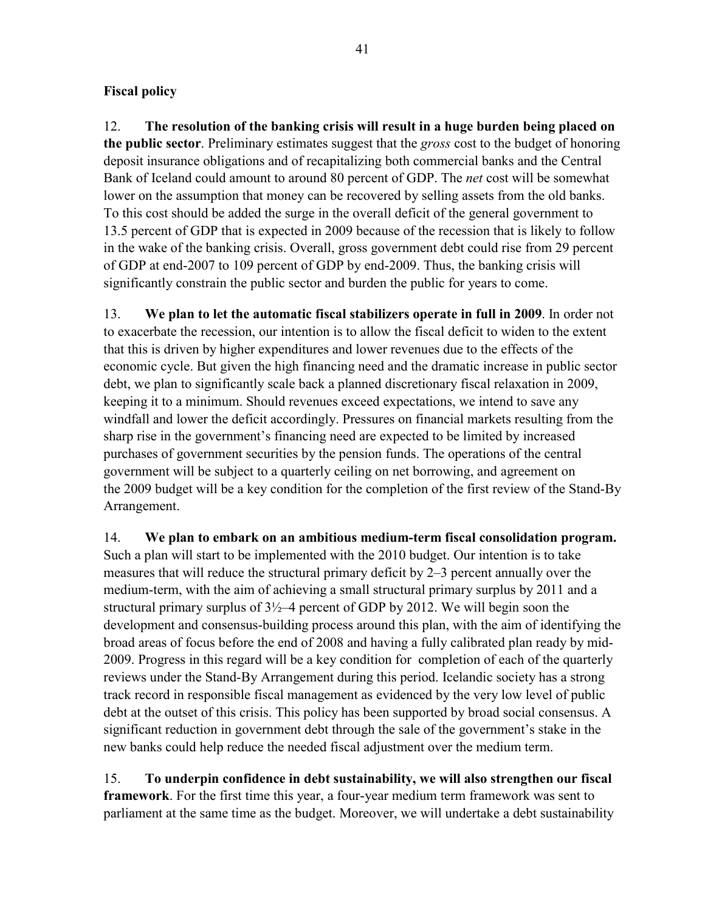# **Fiscal policy**

12. **The resolution of the banking crisis will result in a huge burden being placed on the public sector**. Preliminary estimates suggest that the *gross* cost to the budget of honoring deposit insurance obligations and of recapitalizing both commercial banks and the Central Bank of Iceland could amount to around 80 percent of GDP. The *net* cost will be somewhat lower on the assumption that money can be recovered by selling assets from the old banks. To this cost should be added the surge in the overall deficit of the general government to 13.5 percent of GDP that is expected in 2009 because of the recession that is likely to follow in the wake of the banking crisis. Overall, gross government debt could rise from 29 percent of GDP at end-2007 to 109 percent of GDP by end-2009. Thus, the banking crisis will significantly constrain the public sector and burden the public for years to come.

13. **We plan to let the automatic fiscal stabilizers operate in full in 2009**. In order not to exacerbate the recession, our intention is to allow the fiscal deficit to widen to the extent that this is driven by higher expenditures and lower revenues due to the effects of the economic cycle. But given the high financing need and the dramatic increase in public sector debt, we plan to significantly scale back a planned discretionary fiscal relaxation in 2009, keeping it to a minimum. Should revenues exceed expectations, we intend to save any windfall and lower the deficit accordingly. Pressures on financial markets resulting from the sharp rise in the government's financing need are expected to be limited by increased purchases of government securities by the pension funds. The operations of the central government will be subject to a quarterly ceiling on net borrowing, and agreement on the 2009 budget will be a key condition for the completion of the first review of the Stand-By Arrangement.

14. **We plan to embark on an ambitious medium-term fiscal consolidation program.** Such a plan will start to be implemented with the 2010 budget. Our intention is to take measures that will reduce the structural primary deficit by 2–3 percent annually over the medium-term, with the aim of achieving a small structural primary surplus by 2011 and a structural primary surplus of  $3\frac{1}{2}$ –4 percent of GDP by 2012. We will begin soon the development and consensus-building process around this plan, with the aim of identifying the broad areas of focus before the end of 2008 and having a fully calibrated plan ready by mid-2009. Progress in this regard will be a key condition for completion of each of the quarterly reviews under the Stand-By Arrangement during this period. Icelandic society has a strong track record in responsible fiscal management as evidenced by the very low level of public debt at the outset of this crisis. This policy has been supported by broad social consensus. A significant reduction in government debt through the sale of the government's stake in the new banks could help reduce the needed fiscal adjustment over the medium term.

15. **To underpin confidence in debt sustainability, we will also strengthen our fiscal framework**. For the first time this year, a four-year medium term framework was sent to parliament at the same time as the budget. Moreover, we will undertake a debt sustainability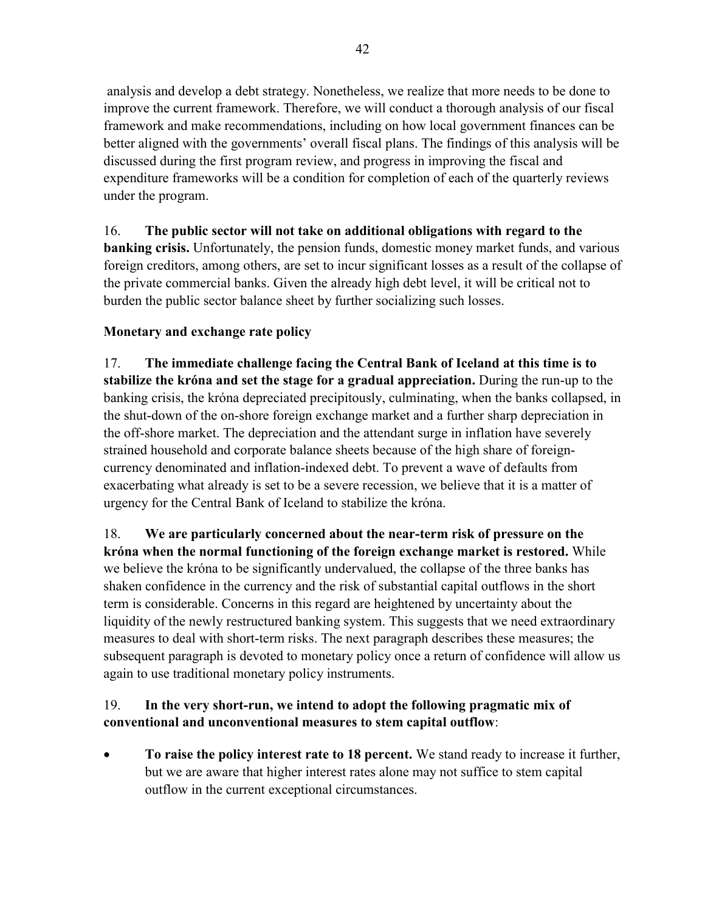analysis and develop a debt strategy. Nonetheless, we realize that more needs to be done to improve the current framework. Therefore, we will conduct a thorough analysis of our fiscal framework and make recommendations, including on how local government finances can be better aligned with the governments' overall fiscal plans. The findings of this analysis will be discussed during the first program review, and progress in improving the fiscal and expenditure frameworks will be a condition for completion of each of the quarterly reviews under the program.

16. **The public sector will not take on additional obligations with regard to the banking crisis.** Unfortunately, the pension funds, domestic money market funds, and various foreign creditors, among others, are set to incur significant losses as a result of the collapse of the private commercial banks. Given the already high debt level, it will be critical not to burden the public sector balance sheet by further socializing such losses.

# **Monetary and exchange rate policy**

17. **The immediate challenge facing the Central Bank of Iceland at this time is to stabilize the króna and set the stage for a gradual appreciation.** During the run-up to the banking crisis, the króna depreciated precipitously, culminating, when the banks collapsed, in the shut-down of the on-shore foreign exchange market and a further sharp depreciation in the off-shore market. The depreciation and the attendant surge in inflation have severely strained household and corporate balance sheets because of the high share of foreigncurrency denominated and inflation-indexed debt. To prevent a wave of defaults from exacerbating what already is set to be a severe recession, we believe that it is a matter of urgency for the Central Bank of Iceland to stabilize the króna.

18. **We are particularly concerned about the near-term risk of pressure on the króna when the normal functioning of the foreign exchange market is restored.** While we believe the króna to be significantly undervalued, the collapse of the three banks has shaken confidence in the currency and the risk of substantial capital outflows in the short term is considerable. Concerns in this regard are heightened by uncertainty about the liquidity of the newly restructured banking system. This suggests that we need extraordinary measures to deal with short-term risks. The next paragraph describes these measures; the subsequent paragraph is devoted to monetary policy once a return of confidence will allow us again to use traditional monetary policy instruments.

# 19. **In the very short-run, we intend to adopt the following pragmatic mix of conventional and unconventional measures to stem capital outflow**:

• **To raise the policy interest rate to 18 percent.** We stand ready to increase it further, but we are aware that higher interest rates alone may not suffice to stem capital outflow in the current exceptional circumstances.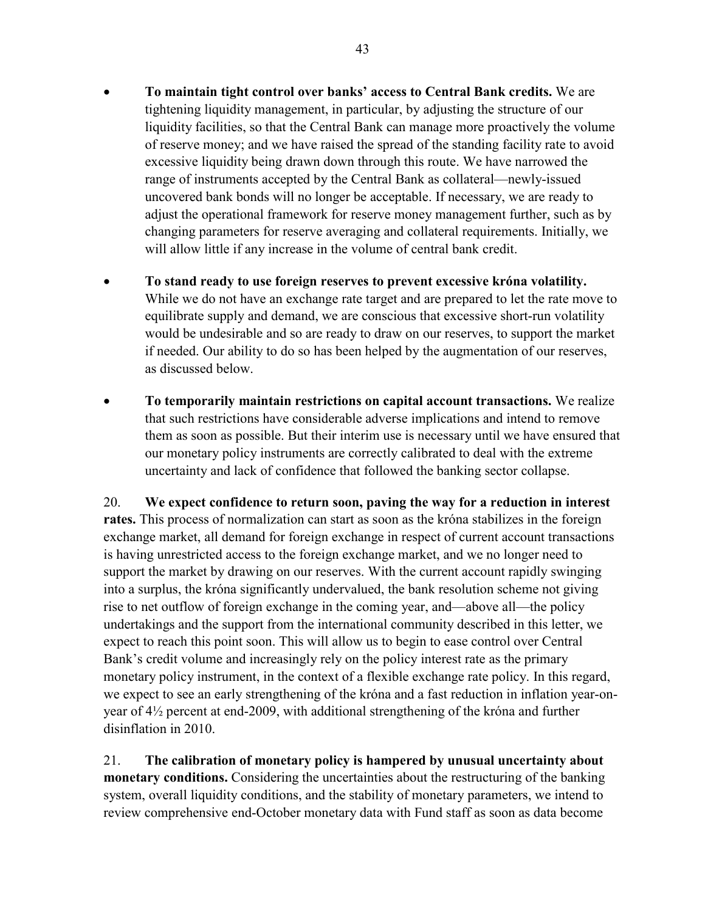- **To maintain tight control over banks' access to Central Bank credits.** We are tightening liquidity management, in particular, by adjusting the structure of our liquidity facilities, so that the Central Bank can manage more proactively the volume of reserve money; and we have raised the spread of the standing facility rate to avoid excessive liquidity being drawn down through this route. We have narrowed the range of instruments accepted by the Central Bank as collateral—newly-issued uncovered bank bonds will no longer be acceptable. If necessary, we are ready to adjust the operational framework for reserve money management further, such as by changing parameters for reserve averaging and collateral requirements. Initially, we will allow little if any increase in the volume of central bank credit.
- **To stand ready to use foreign reserves to prevent excessive króna volatility.**  While we do not have an exchange rate target and are prepared to let the rate move to equilibrate supply and demand, we are conscious that excessive short-run volatility would be undesirable and so are ready to draw on our reserves, to support the market if needed. Our ability to do so has been helped by the augmentation of our reserves, as discussed below.
- **To temporarily maintain restrictions on capital account transactions.** We realize that such restrictions have considerable adverse implications and intend to remove them as soon as possible. But their interim use is necessary until we have ensured that our monetary policy instruments are correctly calibrated to deal with the extreme uncertainty and lack of confidence that followed the banking sector collapse.

20. **We expect confidence to return soon, paving the way for a reduction in interest rates.** This process of normalization can start as soon as the króna stabilizes in the foreign exchange market, all demand for foreign exchange in respect of current account transactions is having unrestricted access to the foreign exchange market, and we no longer need to support the market by drawing on our reserves. With the current account rapidly swinging into a surplus, the króna significantly undervalued, the bank resolution scheme not giving rise to net outflow of foreign exchange in the coming year, and—above all—the policy undertakings and the support from the international community described in this letter, we expect to reach this point soon. This will allow us to begin to ease control over Central Bank's credit volume and increasingly rely on the policy interest rate as the primary monetary policy instrument, in the context of a flexible exchange rate policy. In this regard, we expect to see an early strengthening of the króna and a fast reduction in inflation year-onyear of 4½ percent at end-2009, with additional strengthening of the króna and further disinflation in 2010.

21. **The calibration of monetary policy is hampered by unusual uncertainty about monetary conditions.** Considering the uncertainties about the restructuring of the banking system, overall liquidity conditions, and the stability of monetary parameters, we intend to review comprehensive end-October monetary data with Fund staff as soon as data become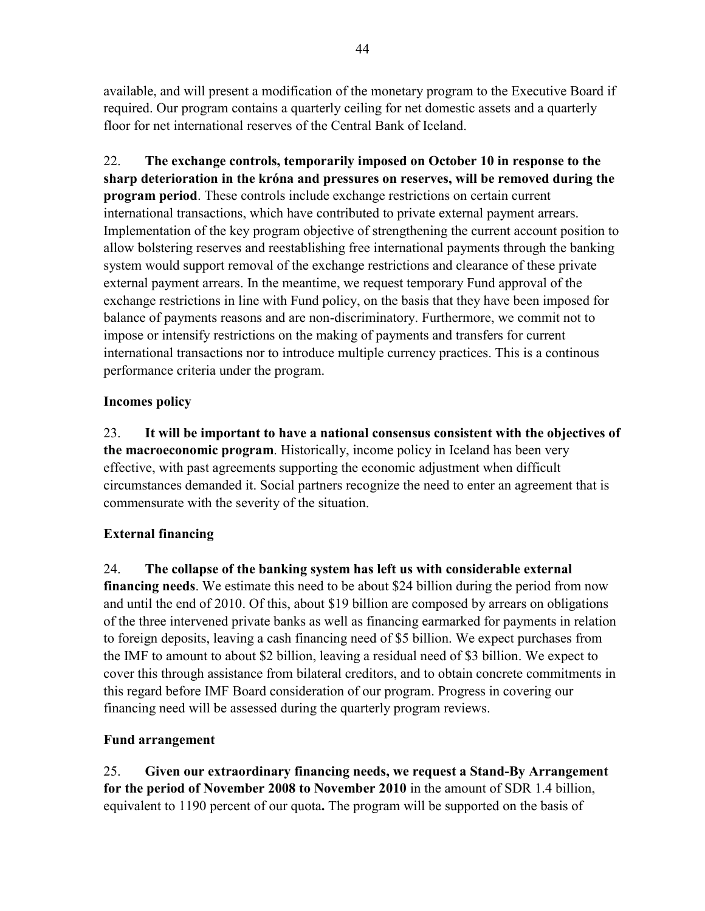available, and will present a modification of the monetary program to the Executive Board if required. Our program contains a quarterly ceiling for net domestic assets and a quarterly floor for net international reserves of the Central Bank of Iceland.

22. **The exchange controls, temporarily imposed on October 10 in response to the sharp deterioration in the króna and pressures on reserves, will be removed during the program period**. These controls include exchange restrictions on certain current international transactions, which have contributed to private external payment arrears. Implementation of the key program objective of strengthening the current account position to allow bolstering reserves and reestablishing free international payments through the banking system would support removal of the exchange restrictions and clearance of these private external payment arrears. In the meantime, we request temporary Fund approval of the exchange restrictions in line with Fund policy, on the basis that they have been imposed for balance of payments reasons and are non-discriminatory. Furthermore, we commit not to impose or intensify restrictions on the making of payments and transfers for current international transactions nor to introduce multiple currency practices. This is a continous performance criteria under the program.

# **Incomes policy**

23. **It will be important to have a national consensus consistent with the objectives of the macroeconomic program**. Historically, income policy in Iceland has been very effective, with past agreements supporting the economic adjustment when difficult circumstances demanded it. Social partners recognize the need to enter an agreement that is commensurate with the severity of the situation.

# **External financing**

24. **The collapse of the banking system has left us with considerable external financing needs**. We estimate this need to be about \$24 billion during the period from now and until the end of 2010. Of this, about \$19 billion are composed by arrears on obligations of the three intervened private banks as well as financing earmarked for payments in relation to foreign deposits, leaving a cash financing need of \$5 billion. We expect purchases from the IMF to amount to about \$2 billion, leaving a residual need of \$3 billion. We expect to cover this through assistance from bilateral creditors, and to obtain concrete commitments in this regard before IMF Board consideration of our program. Progress in covering our financing need will be assessed during the quarterly program reviews.

# **Fund arrangement**

25. **Given our extraordinary financing needs, we request a Stand-By Arrangement for the period of November 2008 to November 2010** in the amount of SDR 1.4 billion, equivalent to 1190 percent of our quota**.** The program will be supported on the basis of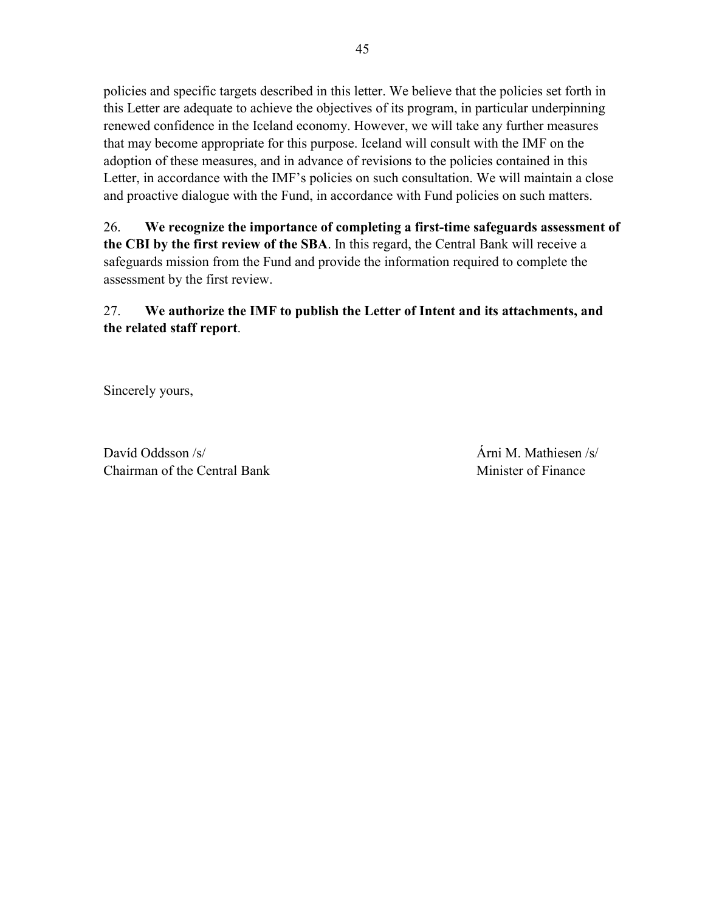policies and specific targets described in this letter. We believe that the policies set forth in this Letter are adequate to achieve the objectives of its program, in particular underpinning renewed confidence in the Iceland economy. However, we will take any further measures that may become appropriate for this purpose. Iceland will consult with the IMF on the adoption of these measures, and in advance of revisions to the policies contained in this Letter, in accordance with the IMF's policies on such consultation. We will maintain a close and proactive dialogue with the Fund, in accordance with Fund policies on such matters.

26. **We recognize the importance of completing a first-time safeguards assessment of the CBI by the first review of the SBA**. In this regard, the Central Bank will receive a safeguards mission from the Fund and provide the information required to complete the assessment by the first review.

# 27. **We authorize the IMF to publish the Letter of Intent and its attachments, and the related staff report**.

Sincerely yours,

Davíd Oddsson /s/ Árni M. Mathiesen /s/ Chairman of the Central Bank Minister of Finance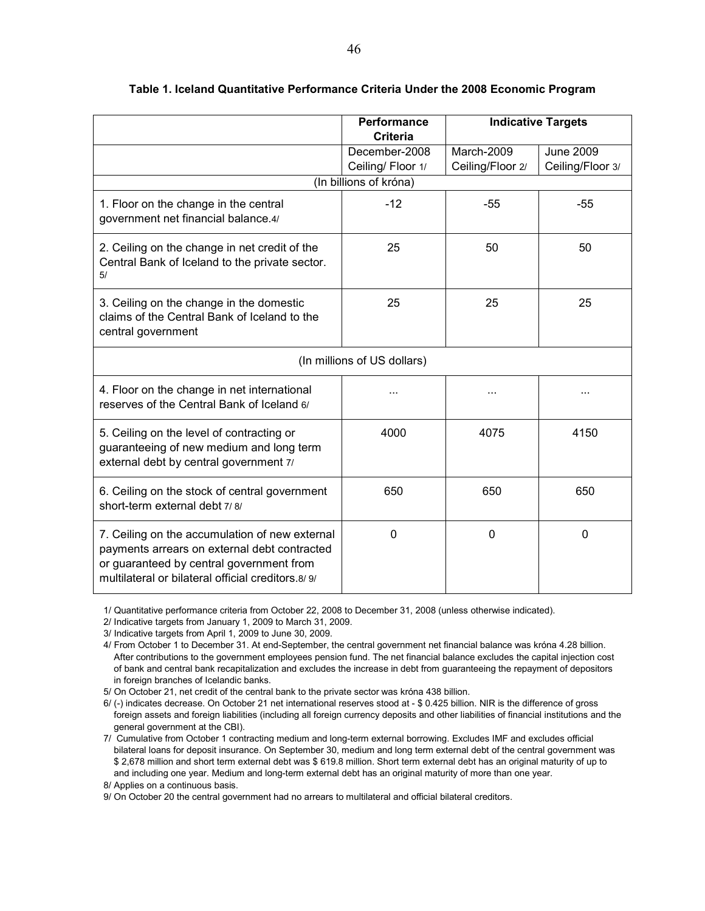|                                                                                                                                                                                                 | <b>Performance</b><br><b>Criteria</b> |                                | <b>Indicative Targets</b>            |
|-------------------------------------------------------------------------------------------------------------------------------------------------------------------------------------------------|---------------------------------------|--------------------------------|--------------------------------------|
|                                                                                                                                                                                                 | December-2008<br>Ceiling/Floor 1/     | March-2009<br>Ceiling/Floor 2/ | <b>June 2009</b><br>Ceiling/Floor 3/ |
|                                                                                                                                                                                                 | (In billions of króna)                |                                |                                      |
| 1. Floor on the change in the central<br>government net financial balance.4/                                                                                                                    | $-12$                                 | $-55$                          | $-55$                                |
| 2. Ceiling on the change in net credit of the<br>Central Bank of Iceland to the private sector.<br>5/                                                                                           | 25                                    | 50                             | 50                                   |
| 3. Ceiling on the change in the domestic<br>claims of the Central Bank of Iceland to the<br>central government                                                                                  | 25                                    | 25                             | 25                                   |
|                                                                                                                                                                                                 | (In millions of US dollars)           |                                |                                      |
| 4. Floor on the change in net international<br>reserves of the Central Bank of Iceland 6/                                                                                                       | .                                     | $\cdots$                       | .                                    |
| 5. Ceiling on the level of contracting or<br>guaranteeing of new medium and long term<br>external debt by central government 7/                                                                 | 4000                                  | 4075                           | 4150                                 |
| 6. Ceiling on the stock of central government<br>short-term external debt 7/8/                                                                                                                  | 650                                   | 650                            | 650                                  |
| 7. Ceiling on the accumulation of new external<br>payments arrears on external debt contracted<br>or guaranteed by central government from<br>multilateral or bilateral official creditors.8/9/ | $\mathbf 0$                           | 0                              | 0                                    |

#### **Table 1. Iceland Quantitative Performance Criteria Under the 2008 Economic Program**

1/ Quantitative performance criteria from October 22, 2008 to December 31, 2008 (unless otherwise indicated).

2/ Indicative targets from January 1, 2009 to March 31, 2009.

3/ Indicative targets from April 1, 2009 to June 30, 2009.

4/ From October 1 to December 31. At end-September, the central government net financial balance was króna 4.28 billion. After contributions to the government employees pension fund. The net financial balance excludes the capital injection cost of bank and central bank recapitalization and excludes the increase in debt from guaranteeing the repayment of depositors in foreign branches of Icelandic banks.

5/ On October 21, net credit of the central bank to the private sector was króna 438 billion.

6/ (-) indicates decrease. On October 21 net international reserves stood at - \$ 0.425 billion. NIR is the difference of gross foreign assets and foreign liabilities (including all foreign currency deposits and other liabilities of financial institutions and the general government at the CBI).

7/ Cumulative from October 1 contracting medium and long-term external borrowing. Excludes IMF and excludes official bilateral loans for deposit insurance. On September 30, medium and long term external debt of the central government was \$ 2,678 million and short term external debt was \$ 619.8 million. Short term external debt has an original maturity of up to and including one year. Medium and long-term external debt has an original maturity of more than one year.

8/ Applies on a continuous basis.

9/ On October 20 the central government had no arrears to multilateral and official bilateral creditors.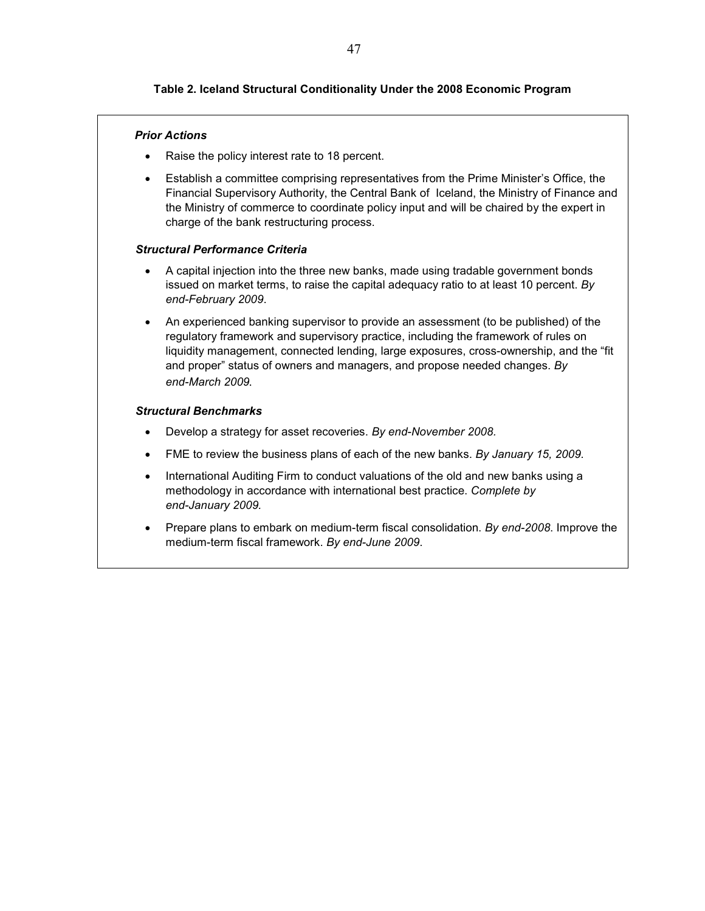## **Table 2. Iceland Structural Conditionality Under the 2008 Economic Program**

#### *Prior Actions*

- Raise the policy interest rate to 18 percent.
- Establish a committee comprising representatives from the Prime Minister's Office, the Financial Supervisory Authority, the Central Bank of Iceland, the Ministry of Finance and the Ministry of commerce to coordinate policy input and will be chaired by the expert in charge of the bank restructuring process.

#### *Structural Performance Criteria*

- A capital injection into the three new banks, made using tradable government bonds issued on market terms, to raise the capital adequacy ratio to at least 10 percent. *By end-February 2009*.
- An experienced banking supervisor to provide an assessment (to be published) of the regulatory framework and supervisory practice, including the framework of rules on liquidity management, connected lending, large exposures, cross-ownership, and the "fit and proper" status of owners and managers, and propose needed changes. *By end-March 2009.*

#### *Structural Benchmarks*

- Develop a strategy for asset recoveries. *By end-November 2008.*
- FME to review the business plans of each of the new banks. *By January 15, 2009.*
- International Auditing Firm to conduct valuations of the old and new banks using a methodology in accordance with international best practice. *Complete by end-January 2009.*
- Prepare plans to embark on medium-term fiscal consolidation. *By end-2008*. Improve the medium-term fiscal framework. *By end-June 2009*.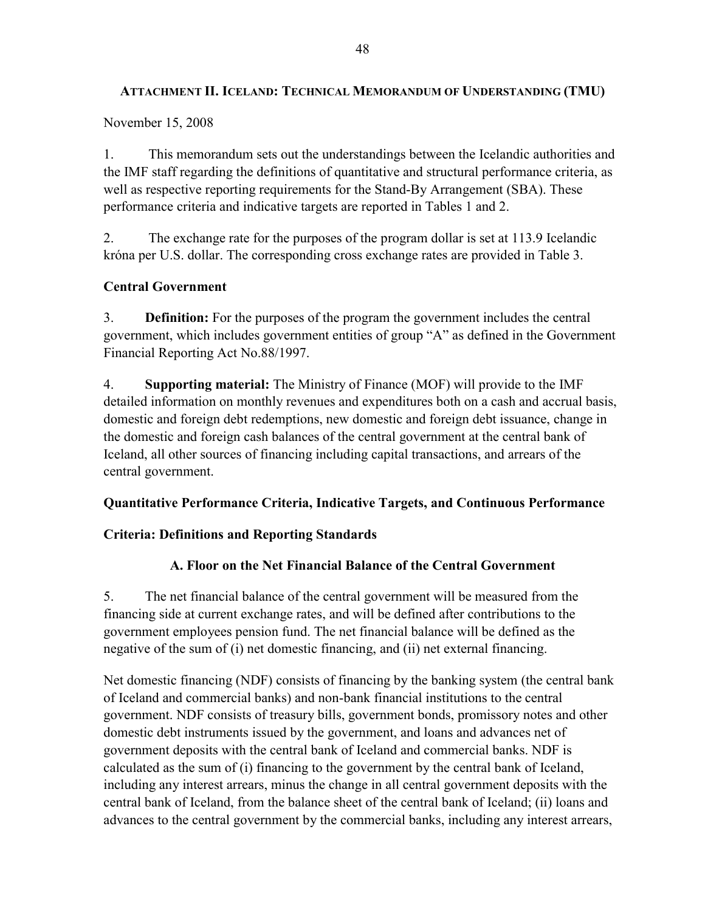# **ATTACHMENT II. ICELAND: TECHNICAL MEMORANDUM OF UNDERSTANDING (TMU)**

November 15, 2008

1. This memorandum sets out the understandings between the Icelandic authorities and the IMF staff regarding the definitions of quantitative and structural performance criteria, as well as respective reporting requirements for the Stand-By Arrangement (SBA). These performance criteria and indicative targets are reported in Tables 1 and 2.

2. The exchange rate for the purposes of the program dollar is set at 113.9 Icelandic króna per U.S. dollar. The corresponding cross exchange rates are provided in Table 3.

# **Central Government**

3. **Definition:** For the purposes of the program the government includes the central government, which includes government entities of group "A" as defined in the Government Financial Reporting Act No.88/1997.

4. **Supporting material:** The Ministry of Finance (MOF) will provide to the IMF detailed information on monthly revenues and expenditures both on a cash and accrual basis, domestic and foreign debt redemptions, new domestic and foreign debt issuance, change in the domestic and foreign cash balances of the central government at the central bank of Iceland, all other sources of financing including capital transactions, and arrears of the central government.

# **Quantitative Performance Criteria, Indicative Targets, and Continuous Performance**

# **Criteria: Definitions and Reporting Standards**

# **A. Floor on the Net Financial Balance of the Central Government**

5. The net financial balance of the central government will be measured from the financing side at current exchange rates, and will be defined after contributions to the government employees pension fund. The net financial balance will be defined as the negative of the sum of (i) net domestic financing, and (ii) net external financing.

Net domestic financing (NDF) consists of financing by the banking system (the central bank of Iceland and commercial banks) and non-bank financial institutions to the central government. NDF consists of treasury bills, government bonds, promissory notes and other domestic debt instruments issued by the government, and loans and advances net of government deposits with the central bank of Iceland and commercial banks. NDF is calculated as the sum of (i) financing to the government by the central bank of Iceland, including any interest arrears, minus the change in all central government deposits with the central bank of Iceland, from the balance sheet of the central bank of Iceland; (ii) loans and advances to the central government by the commercial banks, including any interest arrears,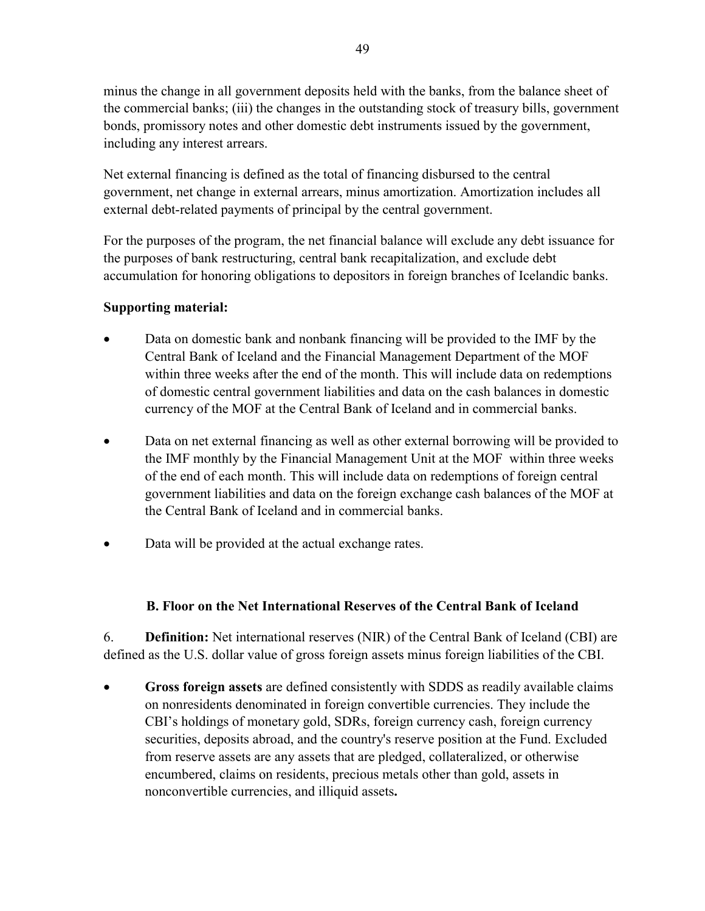minus the change in all government deposits held with the banks, from the balance sheet of the commercial banks; (iii) the changes in the outstanding stock of treasury bills, government bonds, promissory notes and other domestic debt instruments issued by the government, including any interest arrears.

Net external financing is defined as the total of financing disbursed to the central government, net change in external arrears, minus amortization. Amortization includes all external debt-related payments of principal by the central government.

For the purposes of the program, the net financial balance will exclude any debt issuance for the purposes of bank restructuring, central bank recapitalization, and exclude debt accumulation for honoring obligations to depositors in foreign branches of Icelandic banks.

## **Supporting material:**

- Data on domestic bank and nonbank financing will be provided to the IMF by the Central Bank of Iceland and the Financial Management Department of the MOF within three weeks after the end of the month. This will include data on redemptions of domestic central government liabilities and data on the cash balances in domestic currency of the MOF at the Central Bank of Iceland and in commercial banks.
- Data on net external financing as well as other external borrowing will be provided to the IMF monthly by the Financial Management Unit at the MOF within three weeks of the end of each month. This will include data on redemptions of foreign central government liabilities and data on the foreign exchange cash balances of the MOF at the Central Bank of Iceland and in commercial banks.
- Data will be provided at the actual exchange rates.

# **B. Floor on the Net International Reserves of the Central Bank of Iceland**

6. **Definition:** Net international reserves (NIR) of the Central Bank of Iceland (CBI) are defined as the U.S. dollar value of gross foreign assets minus foreign liabilities of the CBI.

• **Gross foreign assets** are defined consistently with SDDS as readily available claims on nonresidents denominated in foreign convertible currencies. They include the CBI's holdings of monetary gold, SDRs, foreign currency cash, foreign currency securities, deposits abroad, and the country's reserve position at the Fund. Excluded from reserve assets are any assets that are pledged, collateralized, or otherwise encumbered, claims on residents, precious metals other than gold, assets in nonconvertible currencies, and illiquid assets**.**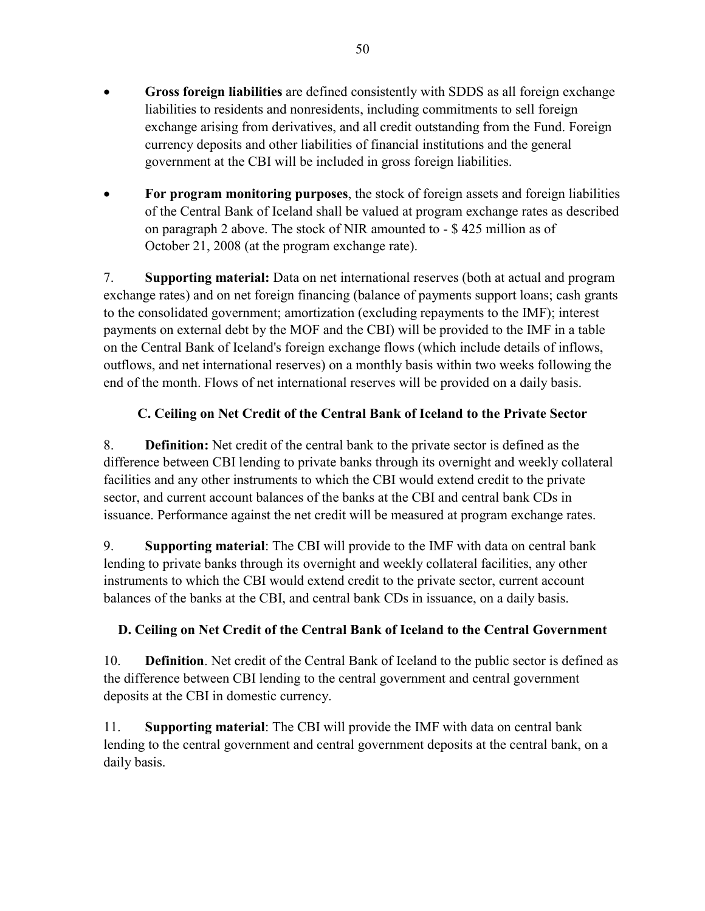- **Gross foreign liabilities** are defined consistently with SDDS as all foreign exchange liabilities to residents and nonresidents, including commitments to sell foreign exchange arising from derivatives, and all credit outstanding from the Fund. Foreign currency deposits and other liabilities of financial institutions and the general government at the CBI will be included in gross foreign liabilities.
- **For program monitoring purposes**, the stock of foreign assets and foreign liabilities of the Central Bank of Iceland shall be valued at program exchange rates as described on paragraph 2 above. The stock of NIR amounted to - \$ 425 million as of October 21, 2008 (at the program exchange rate).

7. **Supporting material:** Data on net international reserves (both at actual and program exchange rates) and on net foreign financing (balance of payments support loans; cash grants to the consolidated government; amortization (excluding repayments to the IMF); interest payments on external debt by the MOF and the CBI) will be provided to the IMF in a table on the Central Bank of Iceland's foreign exchange flows (which include details of inflows, outflows, and net international reserves) on a monthly basis within two weeks following the end of the month. Flows of net international reserves will be provided on a daily basis.

# **C. Ceiling on Net Credit of the Central Bank of Iceland to the Private Sector**

8. **Definition:** Net credit of the central bank to the private sector is defined as the difference between CBI lending to private banks through its overnight and weekly collateral facilities and any other instruments to which the CBI would extend credit to the private sector, and current account balances of the banks at the CBI and central bank CDs in issuance. Performance against the net credit will be measured at program exchange rates.

9. **Supporting material**: The CBI will provide to the IMF with data on central bank lending to private banks through its overnight and weekly collateral facilities, any other instruments to which the CBI would extend credit to the private sector, current account balances of the banks at the CBI, and central bank CDs in issuance, on a daily basis.

# **D. Ceiling on Net Credit of the Central Bank of Iceland to the Central Government**

10. **Definition**. Net credit of the Central Bank of Iceland to the public sector is defined as the difference between CBI lending to the central government and central government deposits at the CBI in domestic currency.

11. **Supporting material**: The CBI will provide the IMF with data on central bank lending to the central government and central government deposits at the central bank, on a daily basis.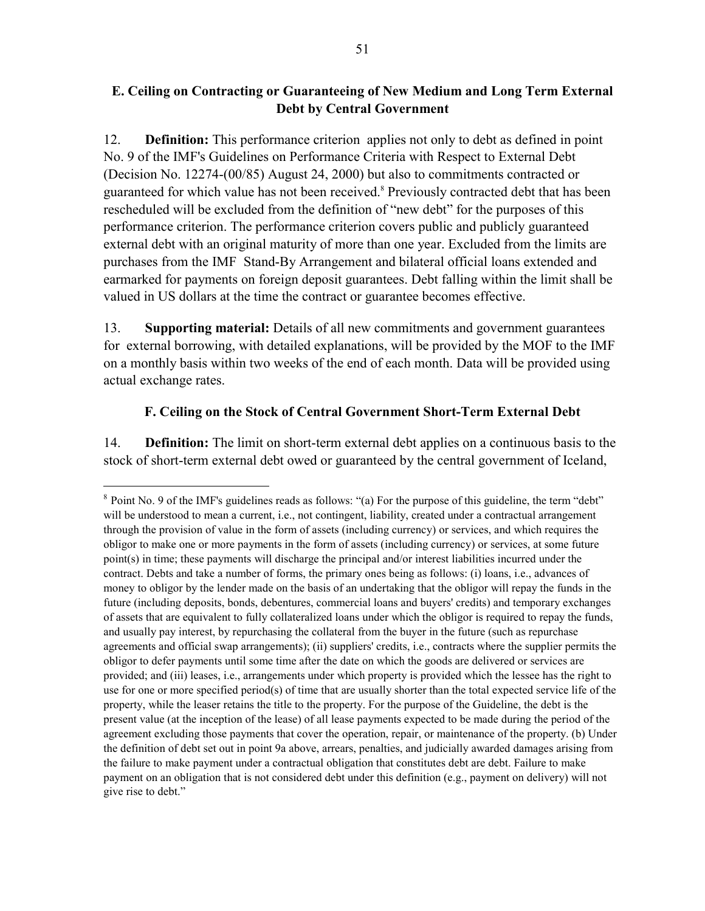## **E. Ceiling on Contracting or Guaranteeing of New Medium and Long Term External Debt by Central Government**

12. **Definition:** This performance criterion applies not only to debt as defined in point No. 9 of the IMF's Guidelines on Performance Criteria with Respect to External Debt (Decision No. 12274-(00/85) August 24, 2000) but also to commitments contracted or guaranteed for which value has not been received.<sup>8</sup> Previously contracted debt that has been rescheduled will be excluded from the definition of "new debt" for the purposes of this performance criterion. The performance criterion covers public and publicly guaranteed external debt with an original maturity of more than one year. Excluded from the limits are purchases from the IMF Stand-By Arrangement and bilateral official loans extended and earmarked for payments on foreign deposit guarantees. Debt falling within the limit shall be valued in US dollars at the time the contract or guarantee becomes effective.

13. **Supporting material:** Details of all new commitments and government guarantees for external borrowing, with detailed explanations, will be provided by the MOF to the IMF on a monthly basis within two weeks of the end of each month. Data will be provided using actual exchange rates.

# **F. Ceiling on the Stock of Central Government Short-Term External Debt**

14. **Definition:** The limit on short-term external debt applies on a continuous basis to the stock of short-term external debt owed or guaranteed by the central government of Iceland,

 $\overline{a}$ 

<sup>8</sup> Point No. 9 of the IMF's guidelines reads as follows: "(a) For the purpose of this guideline, the term "debt" will be understood to mean a current, i.e., not contingent, liability, created under a contractual arrangement through the provision of value in the form of assets (including currency) or services, and which requires the obligor to make one or more payments in the form of assets (including currency) or services, at some future point(s) in time; these payments will discharge the principal and/or interest liabilities incurred under the contract. Debts and take a number of forms, the primary ones being as follows: (i) loans, i.e., advances of money to obligor by the lender made on the basis of an undertaking that the obligor will repay the funds in the future (including deposits, bonds, debentures, commercial loans and buyers' credits) and temporary exchanges of assets that are equivalent to fully collateralized loans under which the obligor is required to repay the funds, and usually pay interest, by repurchasing the collateral from the buyer in the future (such as repurchase agreements and official swap arrangements); (ii) suppliers' credits, i.e., contracts where the supplier permits the obligor to defer payments until some time after the date on which the goods are delivered or services are provided; and (iii) leases, i.e., arrangements under which property is provided which the lessee has the right to use for one or more specified period(s) of time that are usually shorter than the total expected service life of the property, while the leaser retains the title to the property. For the purpose of the Guideline, the debt is the present value (at the inception of the lease) of all lease payments expected to be made during the period of the agreement excluding those payments that cover the operation, repair, or maintenance of the property. (b) Under the definition of debt set out in point 9a above, arrears, penalties, and judicially awarded damages arising from the failure to make payment under a contractual obligation that constitutes debt are debt. Failure to make payment on an obligation that is not considered debt under this definition (e.g., payment on delivery) will not give rise to debt."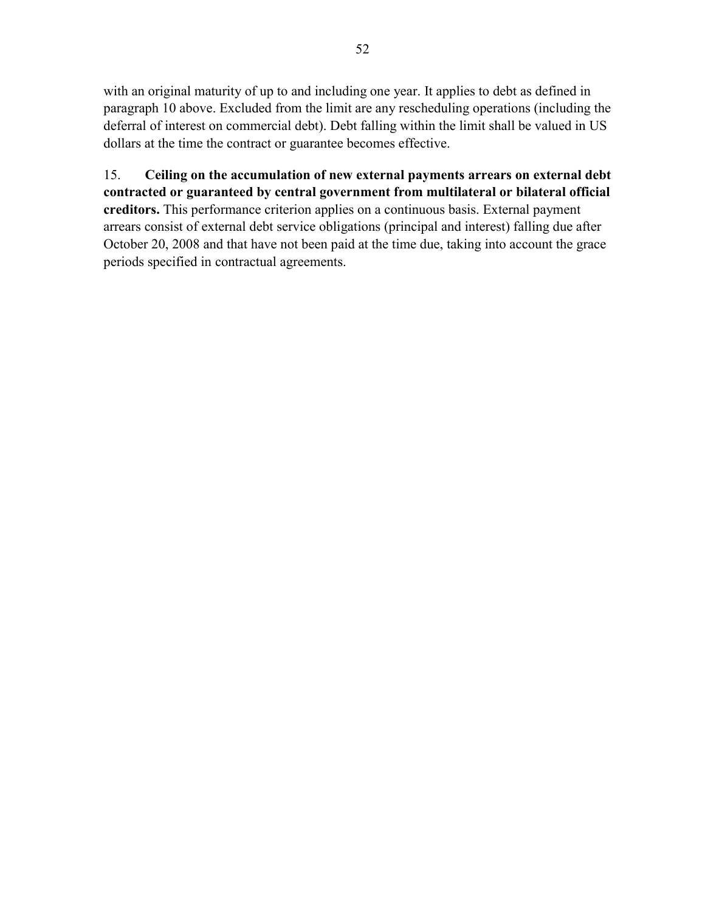with an original maturity of up to and including one year. It applies to debt as defined in paragraph 10 above. Excluded from the limit are any rescheduling operations (including the deferral of interest on commercial debt). Debt falling within the limit shall be valued in US dollars at the time the contract or guarantee becomes effective.

15. **Ceiling on the accumulation of new external payments arrears on external debt contracted or guaranteed by central government from multilateral or bilateral official creditors.** This performance criterion applies on a continuous basis. External payment arrears consist of external debt service obligations (principal and interest) falling due after October 20, 2008 and that have not been paid at the time due, taking into account the grace periods specified in contractual agreements.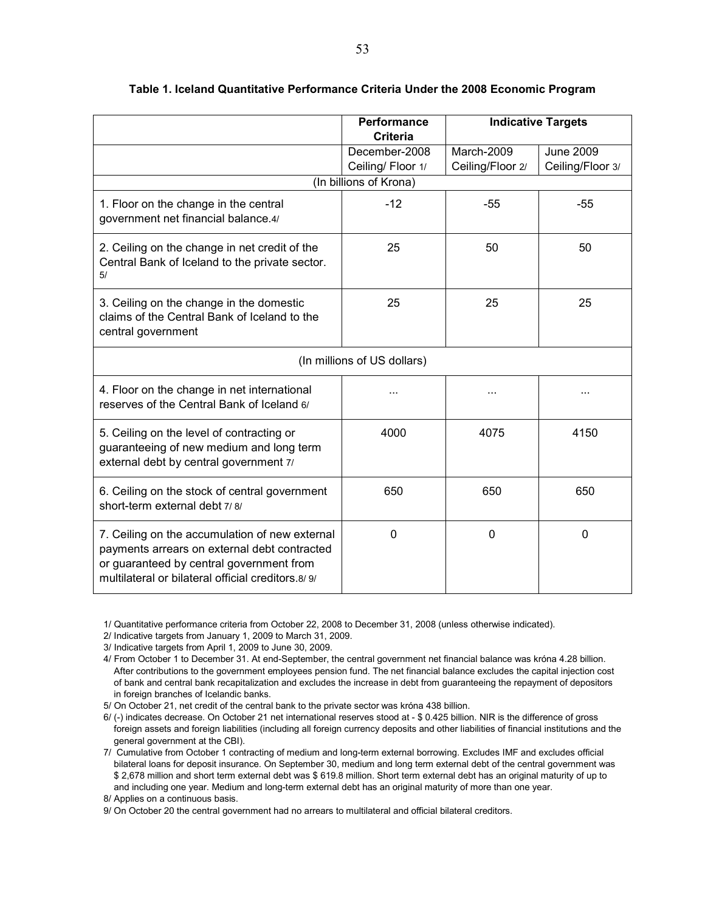|                                                                                                                                                                                                  | <b>Performance</b><br><b>Criteria</b> |                                | <b>Indicative Targets</b>            |
|--------------------------------------------------------------------------------------------------------------------------------------------------------------------------------------------------|---------------------------------------|--------------------------------|--------------------------------------|
|                                                                                                                                                                                                  | December-2008<br>Ceiling/Floor 1/     | March-2009<br>Ceiling/Floor 2/ | <b>June 2009</b><br>Ceiling/Floor 3/ |
|                                                                                                                                                                                                  | (In billions of Krona)                |                                |                                      |
| 1. Floor on the change in the central<br>government net financial balance.4/                                                                                                                     | $-12$                                 | $-55$                          | $-55$                                |
| 2. Ceiling on the change in net credit of the<br>Central Bank of Iceland to the private sector.<br>5/                                                                                            | 25                                    | 50                             | 50                                   |
| 3. Ceiling on the change in the domestic<br>claims of the Central Bank of Iceland to the<br>central government                                                                                   | 25                                    | 25                             | 25                                   |
|                                                                                                                                                                                                  | (In millions of US dollars)           |                                |                                      |
| 4. Floor on the change in net international<br>reserves of the Central Bank of Iceland 6/                                                                                                        | .                                     | $\cdots$                       |                                      |
| 5. Ceiling on the level of contracting or<br>guaranteeing of new medium and long term<br>external debt by central government 7/                                                                  | 4000                                  | 4075                           | 4150                                 |
| 6. Ceiling on the stock of central government<br>short-term external debt 7/8/                                                                                                                   | 650                                   | 650                            | 650                                  |
| 7. Ceiling on the accumulation of new external<br>payments arrears on external debt contracted<br>or guaranteed by central government from<br>multilateral or bilateral official creditors. 8/9/ | 0                                     | 0                              | 0                                    |

#### **Table 1. Iceland Quantitative Performance Criteria Under the 2008 Economic Program**

1/ Quantitative performance criteria from October 22, 2008 to December 31, 2008 (unless otherwise indicated).

2/ Indicative targets from January 1, 2009 to March 31, 2009.

3/ Indicative targets from April 1, 2009 to June 30, 2009.

4/ From October 1 to December 31. At end-September, the central government net financial balance was króna 4.28 billion. After contributions to the government employees pension fund. The net financial balance excludes the capital injection cost of bank and central bank recapitalization and excludes the increase in debt from guaranteeing the repayment of depositors in foreign branches of Icelandic banks.

5/ On October 21, net credit of the central bank to the private sector was króna 438 billion.

6/ (-) indicates decrease. On October 21 net international reserves stood at - \$ 0.425 billion. NIR is the difference of gross foreign assets and foreign liabilities (including all foreign currency deposits and other liabilities of financial institutions and the general government at the CBI).

7/ Cumulative from October 1 contracting of medium and long-term external borrowing. Excludes IMF and excludes official bilateral loans for deposit insurance. On September 30, medium and long term external debt of the central government was \$ 2,678 million and short term external debt was \$ 619.8 million. Short term external debt has an original maturity of up to and including one year. Medium and long-term external debt has an original maturity of more than one year.

8/ Applies on a continuous basis.

9/ On October 20 the central government had no arrears to multilateral and official bilateral creditors.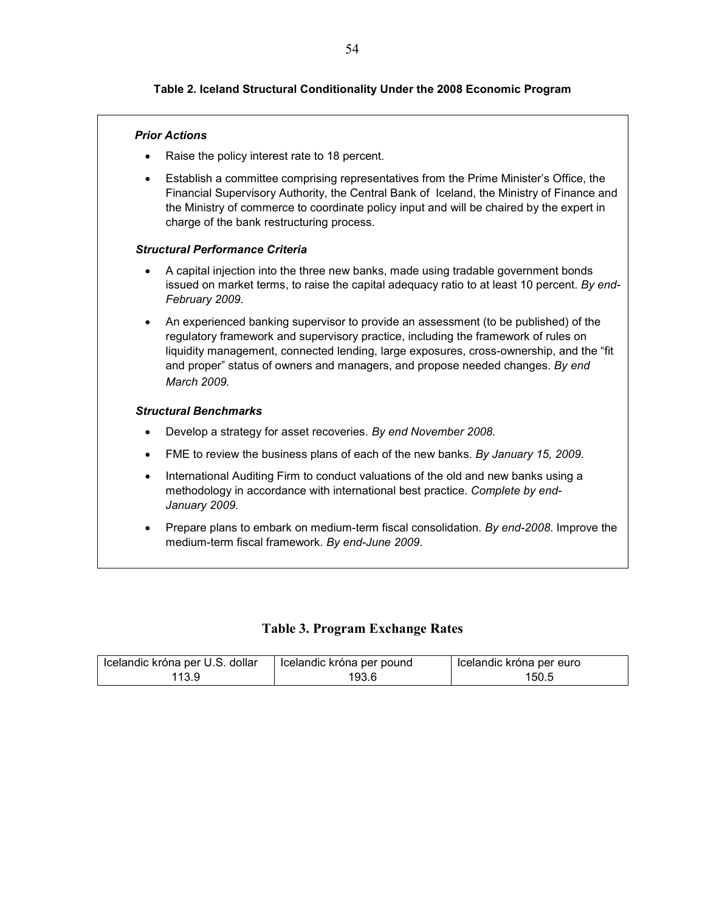## **Table 2. Iceland Structural Conditionality Under the 2008 Economic Program**

#### *Prior Actions*

- Raise the policy interest rate to 18 percent.
- Establish a committee comprising representatives from the Prime Minister's Office, the Financial Supervisory Authority, the Central Bank of Iceland, the Ministry of Finance and the Ministry of commerce to coordinate policy input and will be chaired by the expert in charge of the bank restructuring process.

#### *Structural Performance Criteria*

- A capital injection into the three new banks, made using tradable government bonds issued on market terms, to raise the capital adequacy ratio to at least 10 percent. *By end-February 2009*.
- An experienced banking supervisor to provide an assessment (to be published) of the regulatory framework and supervisory practice, including the framework of rules on liquidity management, connected lending, large exposures, cross-ownership, and the "fit and proper" status of owners and managers, and propose needed changes. *By end March 2009.*

#### *Structural Benchmarks*

- Develop a strategy for asset recoveries. *By end November 2008.*
- FME to review the business plans of each of the new banks. *By January 15, 2009.*
- International Auditing Firm to conduct valuations of the old and new banks using a methodology in accordance with international best practice. *Complete by end-January 2009.*
- Prepare plans to embark on medium-term fiscal consolidation. *By end-2008*. Improve the medium-term fiscal framework. *By end-June 2009*.

#### **Table 3. Program Exchange Rates**

| Icelandic króna per U.S. dollar | Icelandic króna per pound | Icelandic króna per euro |
|---------------------------------|---------------------------|--------------------------|
| 113.9                           | 193.6                     | 150.5                    |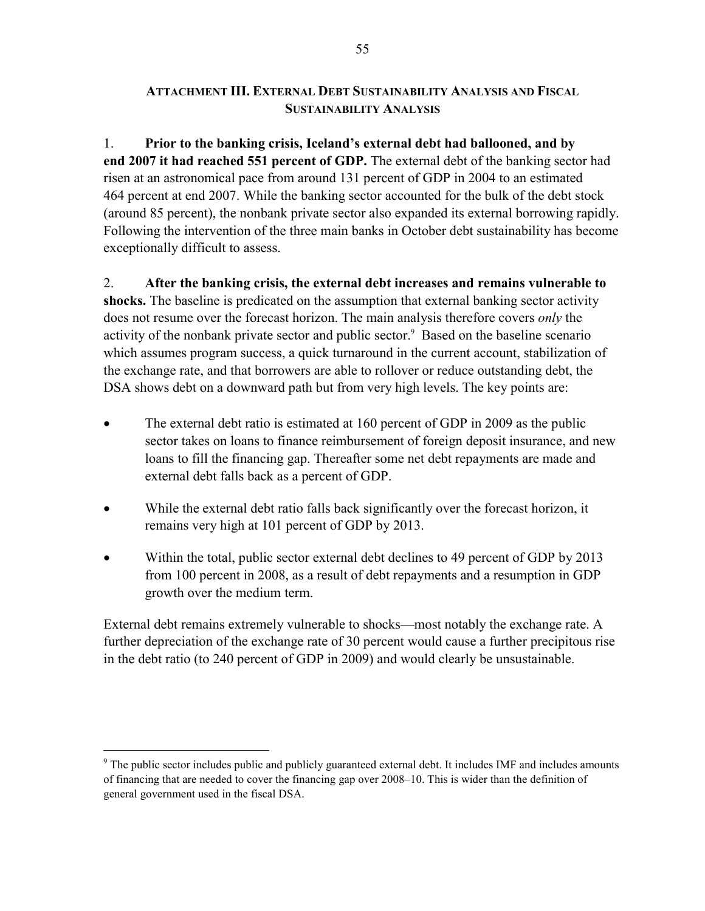## **ATTACHMENT III. EXTERNAL DEBT SUSTAINABILITY ANALYSIS AND FISCAL SUSTAINABILITY ANALYSIS**

1. **Prior to the banking crisis, Iceland's external debt had ballooned, and by end 2007 it had reached 551 percent of GDP.** The external debt of the banking sector had risen at an astronomical pace from around 131 percent of GDP in 2004 to an estimated 464 percent at end 2007. While the banking sector accounted for the bulk of the debt stock (around 85 percent), the nonbank private sector also expanded its external borrowing rapidly. Following the intervention of the three main banks in October debt sustainability has become exceptionally difficult to assess.

2. **After the banking crisis, the external debt increases and remains vulnerable to shocks.** The baseline is predicated on the assumption that external banking sector activity does not resume over the forecast horizon. The main analysis therefore covers *only* the activity of the nonbank private sector and public sector.<sup>9</sup> Based on the baseline scenario which assumes program success, a quick turnaround in the current account, stabilization of the exchange rate, and that borrowers are able to rollover or reduce outstanding debt, the DSA shows debt on a downward path but from very high levels. The key points are:

- The external debt ratio is estimated at 160 percent of GDP in 2009 as the public sector takes on loans to finance reimbursement of foreign deposit insurance, and new loans to fill the financing gap. Thereafter some net debt repayments are made and external debt falls back as a percent of GDP.
- While the external debt ratio falls back significantly over the forecast horizon, it remains very high at 101 percent of GDP by 2013.
- Within the total, public sector external debt declines to 49 percent of GDP by 2013 from 100 percent in 2008, as a result of debt repayments and a resumption in GDP growth over the medium term.

External debt remains extremely vulnerable to shocks—most notably the exchange rate. A further depreciation of the exchange rate of 30 percent would cause a further precipitous rise in the debt ratio (to 240 percent of GDP in 2009) and would clearly be unsustainable.

 $\overline{a}$ 

 $9$  The public sector includes public and publicly guaranteed external debt. It includes IMF and includes amounts of financing that are needed to cover the financing gap over 2008–10. This is wider than the definition of general government used in the fiscal DSA.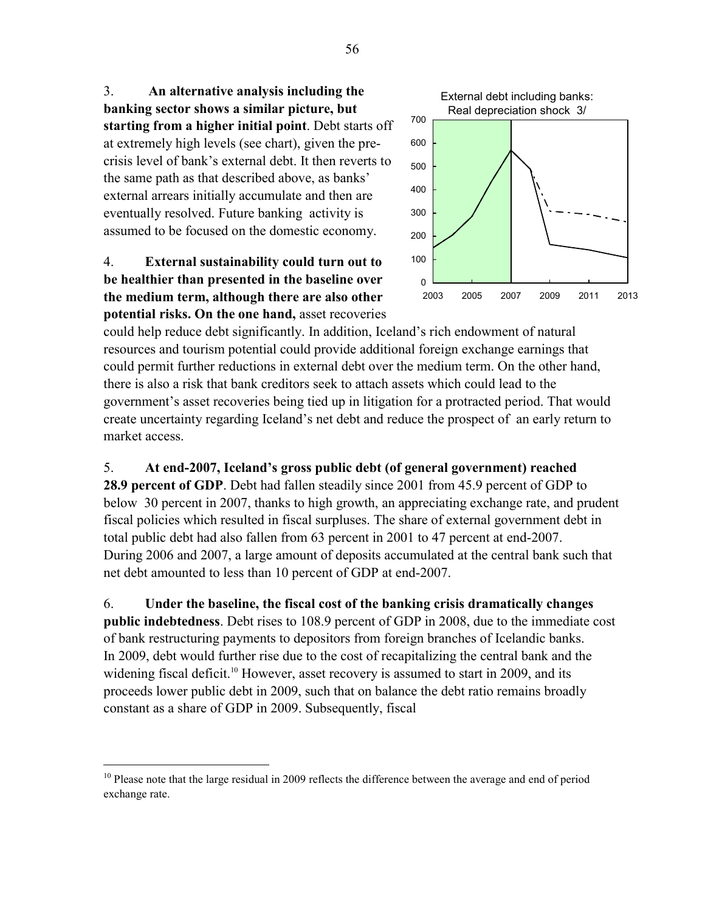3. **An alternative analysis including the banking sector shows a similar picture, but starting from a higher initial point**. Debt starts off at extremely high levels (see chart), given the precrisis level of bank's external debt. It then reverts to the same path as that described above, as banks' external arrears initially accumulate and then are eventually resolved. Future banking activity is assumed to be focused on the domestic economy.

# 4. **External sustainability could turn out to be healthier than presented in the baseline over the medium term, although there are also other potential risks. On the one hand,** asset recoveries

<u>.</u>



could help reduce debt significantly. In addition, Iceland's rich endowment of natural resources and tourism potential could provide additional foreign exchange earnings that could permit further reductions in external debt over the medium term. On the other hand, there is also a risk that bank creditors seek to attach assets which could lead to the government's asset recoveries being tied up in litigation for a protracted period. That would create uncertainty regarding Iceland's net debt and reduce the prospect of an early return to market access.

5. **At end-2007, Iceland's gross public debt (of general government) reached 28.9 percent of GDP**. Debt had fallen steadily since 2001 from 45.9 percent of GDP to below 30 percent in 2007, thanks to high growth, an appreciating exchange rate, and prudent fiscal policies which resulted in fiscal surpluses. The share of external government debt in total public debt had also fallen from 63 percent in 2001 to 47 percent at end-2007. During 2006 and 2007, a large amount of deposits accumulated at the central bank such that net debt amounted to less than 10 percent of GDP at end-2007.

6. **Under the baseline, the fiscal cost of the banking crisis dramatically changes public indebtedness**. Debt rises to 108.9 percent of GDP in 2008, due to the immediate cost of bank restructuring payments to depositors from foreign branches of Icelandic banks. In 2009, debt would further rise due to the cost of recapitalizing the central bank and the widening fiscal deficit.<sup>10</sup> However, asset recovery is assumed to start in 2009, and its proceeds lower public debt in 2009, such that on balance the debt ratio remains broadly constant as a share of GDP in 2009. Subsequently, fiscal

<sup>&</sup>lt;sup>10</sup> Please note that the large residual in 2009 reflects the difference between the average and end of period exchange rate.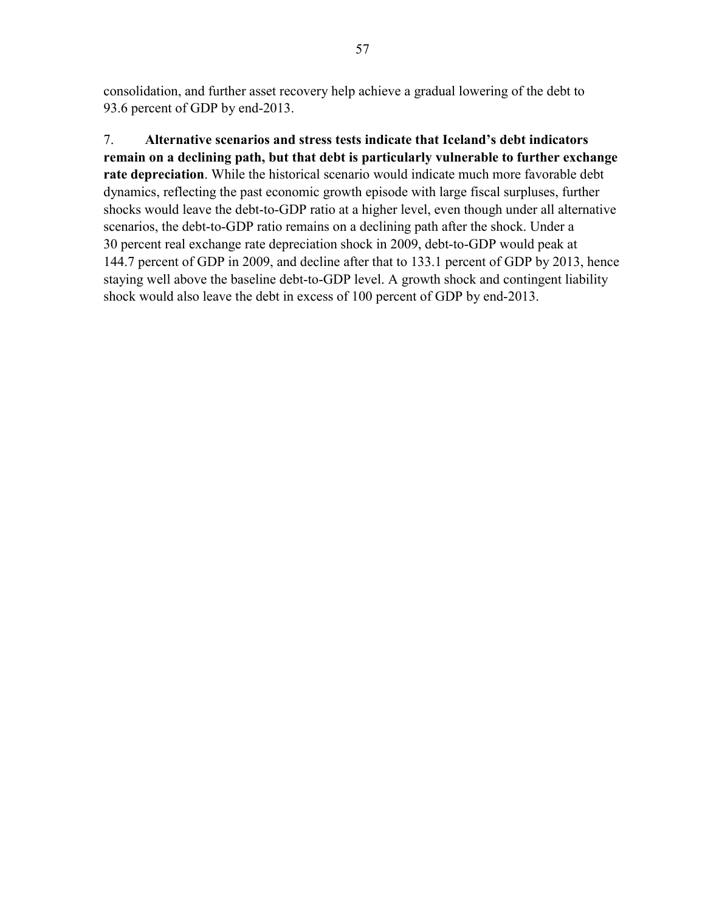consolidation, and further asset recovery help achieve a gradual lowering of the debt to 93.6 percent of GDP by end-2013.

7. **Alternative scenarios and stress tests indicate that Iceland's debt indicators remain on a declining path, but that debt is particularly vulnerable to further exchange rate depreciation**. While the historical scenario would indicate much more favorable debt dynamics, reflecting the past economic growth episode with large fiscal surpluses, further shocks would leave the debt-to-GDP ratio at a higher level, even though under all alternative scenarios, the debt-to-GDP ratio remains on a declining path after the shock. Under a 30 percent real exchange rate depreciation shock in 2009, debt-to-GDP would peak at 144.7 percent of GDP in 2009, and decline after that to 133.1 percent of GDP by 2013, hence staying well above the baseline debt-to-GDP level. A growth shock and contingent liability shock would also leave the debt in excess of 100 percent of GDP by end-2013.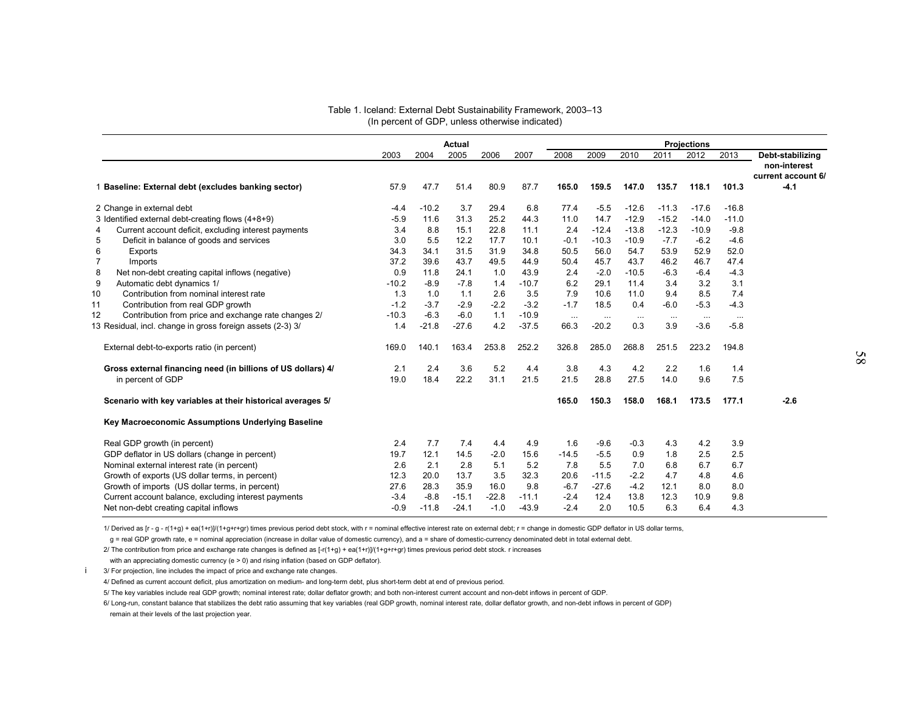|                                                              |         |         | Actual  |         |         |          |          |          |          | <b>Projections</b> |          |                                                        |
|--------------------------------------------------------------|---------|---------|---------|---------|---------|----------|----------|----------|----------|--------------------|----------|--------------------------------------------------------|
|                                                              | 2003    | 2004    | 2005    | 2006    | 2007    | 2008     | 2009     | 2010     | 2011     | 2012               | 2013     | Debt-stabilizing<br>non-interest<br>current account 6/ |
| 1 Baseline: External debt (excludes banking sector)          | 57.9    | 47.7    | 51.4    | 80.9    | 87.7    | 165.0    | 159.5    | 147.0    | 135.7    | 118.1              | 101.3    | $-4.1$                                                 |
| 2 Change in external debt                                    | $-4.4$  | $-10.2$ | 3.7     | 29.4    | 6.8     | 77.4     | $-5.5$   | $-12.6$  | $-11.3$  | $-17.6$            | $-16.8$  |                                                        |
| 3 Identified external debt-creating flows (4+8+9)            | $-5.9$  | 11.6    | 31.3    | 25.2    | 44.3    | 11.0     | 14.7     | $-12.9$  | $-15.2$  | $-14.0$            | $-11.0$  |                                                        |
| Current account deficit, excluding interest payments<br>4    | 3.4     | 8.8     | 15.1    | 22.8    | 11.1    | 2.4      | $-12.4$  | $-13.8$  | $-12.3$  | $-10.9$            | $-9.8$   |                                                        |
| $\sqrt{5}$<br>Deficit in balance of goods and services       | 3.0     | 5.5     | 12.2    | 17.7    | 10.1    | $-0.1$   | $-10.3$  | $-10.9$  | $-7.7$   | $-6.2$             | $-4.6$   |                                                        |
| 6<br>Exports                                                 | 34.3    | 34.1    | 31.5    | 31.9    | 34.8    | 50.5     | 56.0     | 54.7     | 53.9     | 52.9               | 52.0     |                                                        |
| $\overline{7}$<br>Imports                                    | 37.2    | 39.6    | 43.7    | 49.5    | 44.9    | 50.4     | 45.7     | 43.7     | 46.2     | 46.7               | 47.4     |                                                        |
| 8<br>Net non-debt creating capital inflows (negative)        | 0.9     | 11.8    | 24.1    | 1.0     | 43.9    | 2.4      | $-2.0$   | $-10.5$  | $-6.3$   | $-6.4$             | $-4.3$   |                                                        |
| 9<br>Automatic debt dynamics 1/                              | $-10.2$ | $-8.9$  | $-7.8$  | 1.4     | $-10.7$ | 6.2      | 29.1     | 11.4     | 3.4      | 3.2                | 3.1      |                                                        |
| Contribution from nominal interest rate                      | 1.3     | 1.0     | 1.1     | 2.6     | 3.5     | 7.9      | 10.6     | 11.0     | 9.4      | 8.5                | 7.4      |                                                        |
| Contribution from real GDP growth                            | $-1.2$  | $-3.7$  | $-2.9$  | $-2.2$  | $-3.2$  | $-1.7$   | 18.5     | 0.4      | $-6.0$   | $-5.3$             | $-4.3$   |                                                        |
| Contribution from price and exchange rate changes 2/         | $-10.3$ | $-6.3$  | $-6.0$  | 1.1     | $-10.9$ | $\ldots$ | $\ddots$ | $\ldots$ | $\ddots$ | $\ddots$           | $\cdots$ |                                                        |
| 13 Residual, incl. change in gross foreign assets (2-3) 3/   | 1.4     | $-21.8$ | $-27.6$ | 4.2     | $-37.5$ | 66.3     | $-20.2$  | 0.3      | 3.9      | $-3.6$             | $-5.8$   |                                                        |
| External debt-to-exports ratio (in percent)                  | 169.0   | 140.1   | 163.4   | 253.8   | 252.2   | 326.8    | 285.0    | 268.8    | 251.5    | 223.2              | 194.8    |                                                        |
| Gross external financing need (in billions of US dollars) 4/ | 2.1     | 2.4     | 3.6     | 5.2     | 4.4     | 3.8      | 4.3      | 4.2      | 2.2      | 1.6                | 1.4      |                                                        |
| in percent of GDP                                            | 19.0    | 18.4    | 22.2    | 31.1    | 21.5    | 21.5     | 28.8     | 27.5     | 14.0     | 9.6                | 7.5      |                                                        |
| Scenario with key variables at their historical averages 5/  |         |         |         |         |         | 165.0    | 150.3    | 158.0    | 168.1    | 173.5              | 177.1    | $-2.6$                                                 |
| Key Macroeconomic Assumptions Underlying Baseline            |         |         |         |         |         |          |          |          |          |                    |          |                                                        |
| Real GDP growth (in percent)                                 | 2.4     | 7.7     | 7.4     | 4.4     | 4.9     | 1.6      | $-9.6$   | $-0.3$   | 4.3      | 4.2                | 3.9      |                                                        |
| GDP deflator in US dollars (change in percent)               | 19.7    | 12.1    | 14.5    | $-2.0$  | 15.6    | $-14.5$  | $-5.5$   | 0.9      | 1.8      | 2.5                | 2.5      |                                                        |
| Nominal external interest rate (in percent)                  | 2.6     | 2.1     | 2.8     | 5.1     | 5.2     | 7.8      | 5.5      | 7.0      | 6.8      | 6.7                | 6.7      |                                                        |
| Growth of exports (US dollar terms, in percent)              | 12.3    | 20.0    | 13.7    | 3.5     | 32.3    | 20.6     | $-11.5$  | $-2.2$   | 4.7      | 4.8                | 4.6      |                                                        |
| Growth of imports (US dollar terms, in percent)              | 27.6    | 28.3    | 35.9    | 16.0    | 9.8     | $-6.7$   | $-27.6$  | $-4.2$   | 12.1     | 8.0                | 8.0      |                                                        |
| Current account balance, excluding interest payments         | $-3.4$  | $-8.8$  | $-15.1$ | $-22.8$ | $-11.1$ | $-2.4$   | 12.4     | 13.8     | 12.3     | 10.9               | 9.8      |                                                        |
| Net non-debt creating capital inflows                        | -0.9    | $-11.8$ | $-24.1$ | $-1.0$  | $-43.9$ | $-2.4$   | 2.0      | 10.5     | 6.3      | 6.4                | 4.3      |                                                        |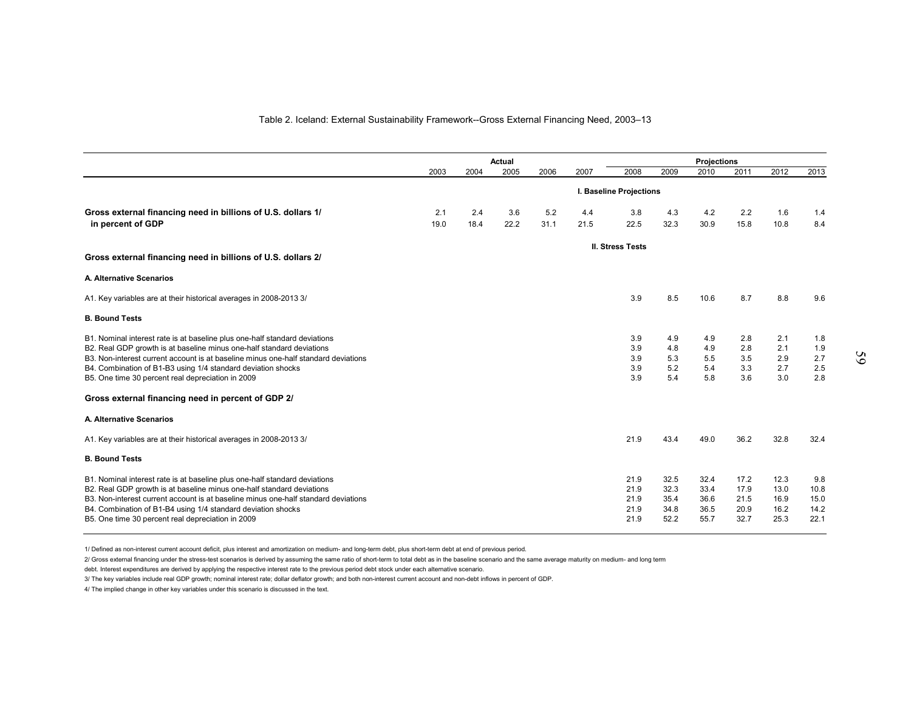#### Table 2. Iceland: External Sustainability Framework--Gross External Financing Need, 2003–13

|                                                                                                                                                             |      |      | Actual |      |      |                         |              | <b>Projections</b> |              |              |              |  |  |  |
|-------------------------------------------------------------------------------------------------------------------------------------------------------------|------|------|--------|------|------|-------------------------|--------------|--------------------|--------------|--------------|--------------|--|--|--|
|                                                                                                                                                             | 2003 | 2004 | 2005   | 2006 | 2007 | 2008                    | 2009         | 2010               | 2011         | 2012         | 2013         |  |  |  |
|                                                                                                                                                             |      |      |        |      |      | I. Baseline Projections |              |                    |              |              |              |  |  |  |
| Gross external financing need in billions of U.S. dollars 1/                                                                                                | 2.1  | 2.4  | 3.6    | 5.2  | 4.4  | 3.8                     | 4.3          | 4.2                | 2.2          | 1.6          | 1.4          |  |  |  |
| in percent of GDP                                                                                                                                           | 19.0 | 18.4 | 22.2   | 31.1 | 21.5 | 22.5                    | 32.3         | 30.9               | 15.8         | 10.8         | 8.4          |  |  |  |
|                                                                                                                                                             |      |      |        |      |      | <b>II. Stress Tests</b> |              |                    |              |              |              |  |  |  |
| Gross external financing need in billions of U.S. dollars 2/                                                                                                |      |      |        |      |      |                         |              |                    |              |              |              |  |  |  |
| A. Alternative Scenarios                                                                                                                                    |      |      |        |      |      |                         |              |                    |              |              |              |  |  |  |
| A1. Key variables are at their historical averages in 2008-2013 3/                                                                                          |      |      |        |      |      | 3.9                     | 8.5          | 10.6               | 8.7          | 8.8          | 9.6          |  |  |  |
| <b>B. Bound Tests</b>                                                                                                                                       |      |      |        |      |      |                         |              |                    |              |              |              |  |  |  |
| B1. Nominal interest rate is at baseline plus one-half standard deviations                                                                                  |      |      |        |      |      | 3.9                     | 4.9          | 4.9                | 2.8          | 2.1          | 1.8          |  |  |  |
| B2. Real GDP growth is at baseline minus one-half standard deviations<br>B3. Non-interest current account is at baseline minus one-half standard deviations |      |      |        |      |      | 3.9<br>3.9              | 4.8<br>5.3   | 4.9<br>5.5         | 2.8<br>3.5   | 2.1<br>2.9   | 1.9<br>2.7   |  |  |  |
| B4. Combination of B1-B3 using 1/4 standard deviation shocks                                                                                                |      |      |        |      |      | 3.9                     | 5.2          | 5.4                | 3.3          | 2.7          | 2.5          |  |  |  |
| B5. One time 30 percent real depreciation in 2009                                                                                                           |      |      |        |      |      | 3.9                     | 5.4          | 5.8                | 3.6          | 3.0          | 2.8          |  |  |  |
| Gross external financing need in percent of GDP 2/                                                                                                          |      |      |        |      |      |                         |              |                    |              |              |              |  |  |  |
| A. Alternative Scenarios                                                                                                                                    |      |      |        |      |      |                         |              |                    |              |              |              |  |  |  |
| A1. Key variables are at their historical averages in 2008-2013 3/                                                                                          |      |      |        |      |      | 21.9                    | 43.4         | 49.0               | 36.2         | 32.8         | 32.4         |  |  |  |
| <b>B. Bound Tests</b>                                                                                                                                       |      |      |        |      |      |                         |              |                    |              |              |              |  |  |  |
| B1. Nominal interest rate is at baseline plus one-half standard deviations                                                                                  |      |      |        |      |      | 21.9                    | 32.5         | 32.4               | 17.2         | 12.3         | 9.8          |  |  |  |
| B2. Real GDP growth is at baseline minus one-half standard deviations                                                                                       |      |      |        |      |      | 21.9                    | 32.3         | 33.4               | 17.9         | 13.0         | 10.8         |  |  |  |
| B3. Non-interest current account is at baseline minus one-half standard deviations<br>B4. Combination of B1-B4 using 1/4 standard deviation shocks          |      |      |        |      |      | 21.9<br>21.9            | 35.4<br>34.8 | 36.6<br>36.5       | 21.5<br>20.9 | 16.9<br>16.2 | 15.0<br>14.2 |  |  |  |
| B5. One time 30 percent real depreciation in 2009                                                                                                           |      |      |        |      |      | 21.9                    | 52.2         | 55.7               | 32.7         | 25.3         | 22.1         |  |  |  |

1/ Defined as non-interest current account deficit, plus interest and amortization on medium- and long-term debt, plus short-term debt at end of previous period.

2/ Gross external financing under the stress-test scenarios is derived by assuming the same ratio of short-term to total debt as in the baseline scenario and the same average maturity on medium- and long term

debt. Interest expenditures are derived by applying the respective interest rate to the previous period debt stock under each alternative scenario.

3/ The key variables include real GDP growth; nominal interest rate; dollar deflator growth; and both non-interest current account and non-debt inflows in percent of GDP.

4/ The implied change in other key variables under this scenario is discussed in the text.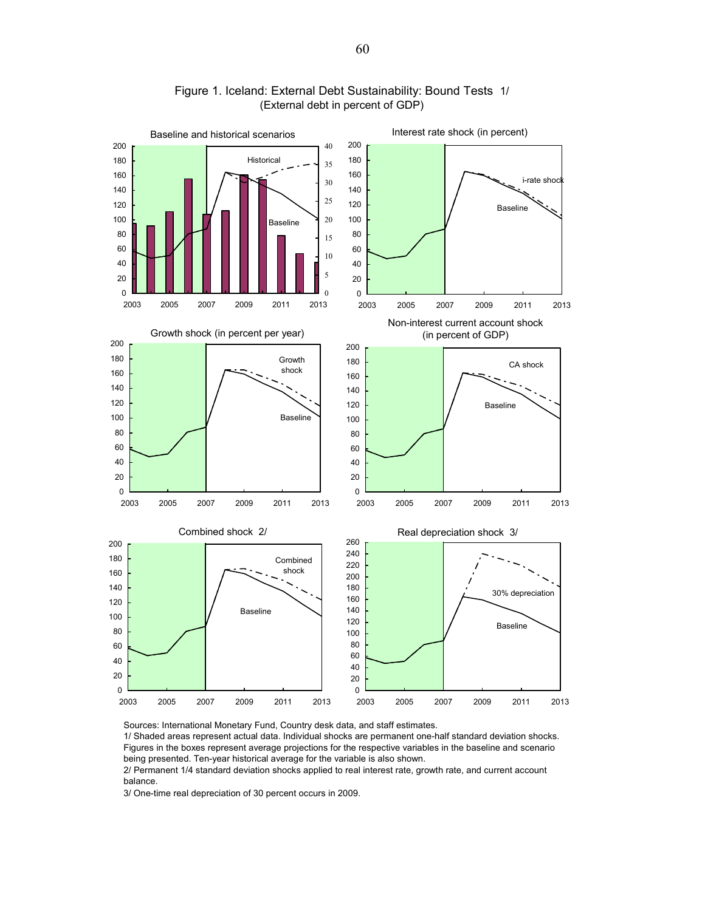

#### Figure 1. Iceland: External Debt Sustainability: Bound Tests 1/ (External debt in percent of GDP)

Sources: International Monetary Fund, Country desk data, and staff estimates.

1/ Shaded areas represent actual data. Individual shocks are permanent one-half standard deviation shocks. Figures in the boxes represent average projections for the respective variables in the baseline and scenario being presented. Ten-year historical average for the variable is also shown.

2/ Permanent 1/4 standard deviation shocks applied to real interest rate, growth rate, and current account balance.

3/ One-time real depreciation of 30 percent occurs in 2009.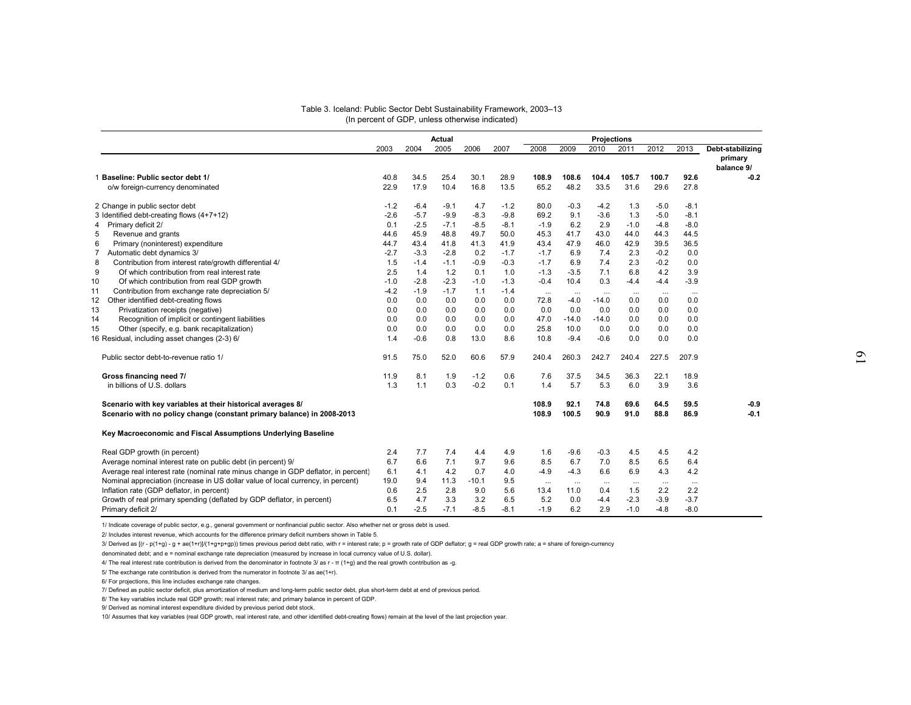|                                                                                    |        |        | Actual |         |        |          |          | Projections |          |          |          |                                           |
|------------------------------------------------------------------------------------|--------|--------|--------|---------|--------|----------|----------|-------------|----------|----------|----------|-------------------------------------------|
|                                                                                    | 2003   | 2004   | 2005   | 2006    | 2007   | 2008     | 2009     | 2010        | 2011     | 2012     | 2013     | Debt-stabilizing<br>primary<br>balance 9/ |
| 1 Baseline: Public sector debt 1/                                                  | 40.8   | 34.5   | 25.4   | 30.1    | 28.9   | 108.9    | 108.6    | 104.4       | 105.7    | 100.7    | 92.6     | $-0.2$                                    |
| o/w foreign-currency denominated                                                   | 22.9   | 17.9   | 10.4   | 16.8    | 13.5   | 65.2     | 48.2     | 33.5        | 31.6     | 29.6     | 27.8     |                                           |
| 2 Change in public sector debt                                                     | $-1.2$ | $-6.4$ | $-9.1$ | 4.7     | $-1.2$ | 80.0     | $-0.3$   | $-4.2$      | 1.3      | $-5.0$   | $-8.1$   |                                           |
| 3 Identified debt-creating flows (4+7+12)                                          | $-2.6$ | $-5.7$ | $-9.9$ | $-8.3$  | $-9.8$ | 69.2     | 9.1      | $-3.6$      | 1.3      | $-5.0$   | $-8.1$   |                                           |
| Primary deficit 2/                                                                 | 0.1    | $-2.5$ | $-7.1$ | $-8.5$  | $-8.1$ | $-1.9$   | 6.2      | 2.9         | $-1.0$   | $-4.8$   | $-8.0$   |                                           |
| Revenue and grants                                                                 | 44.6   | 45.9   | 48.8   | 49.7    | 50.0   | 45.3     | 41.7     | 43.0        | 44.0     | 44.3     | 44.5     |                                           |
| Primary (noninterest) expenditure                                                  | 44.7   | 43.4   | 41.8   | 41.3    | 41.9   | 43.4     | 47.9     | 46.0        | 42.9     | 39.5     | 36.5     |                                           |
| Automatic debt dynamics 3/                                                         | $-2.7$ | $-3.3$ | $-2.8$ | 0.2     | $-1.7$ | $-1.7$   | 6.9      | 7.4         | 2.3      | $-0.2$   | 0.0      |                                           |
| Contribution from interest rate/growth differential 4/                             | 1.5    | $-1.4$ | $-1.1$ | $-0.9$  | $-0.3$ | $-1.7$   | 6.9      | 7.4         | 2.3      | $-0.2$   | 0.0      |                                           |
| Of which contribution from real interest rate                                      | 2.5    | 1.4    | 1.2    | 0.1     | 1.0    | $-1.3$   | $-3.5$   | 7.1         | 6.8      | 4.2      | 3.9      |                                           |
| Of which contribution from real GDP growth                                         | $-1.0$ | $-2.8$ | $-2.3$ | $-1.0$  | $-1.3$ | $-0.4$   | 10.4     | 0.3         | $-4.4$   | $-4.4$   | $-3.9$   |                                           |
| Contribution from exchange rate depreciation 5/                                    | $-4.2$ | $-1.9$ | $-1.7$ | 1.1     | $-1.4$ | $\cdots$ | $\ldots$ |             | $\cdots$ |          | $\cdots$ |                                           |
| Other identified debt-creating flows                                               | 0.0    | 0.0    | 0.0    | 0.0     | 0.0    | 72.8     | $-4.0$   | $-14.0$     | 0.0      | 0.0      | 0.0      |                                           |
| Privatization receipts (negative)                                                  | 0.0    | 0.0    | 0.0    | 0.0     | 0.0    | 0.0      | 0.0      | 0.0         | 0.0      | 0.0      | 0.0      |                                           |
| Recognition of implicit or contingent liabilities                                  | 0.0    | 0.0    | 0.0    | 0.0     | 0.0    | 47.0     | $-14.0$  | $-14.0$     | 0.0      | 0.0      | 0.0      |                                           |
| Other (specify, e.g. bank recapitalization)                                        | 0.0    | 0.0    | 0.0    | 0.0     | 0.0    | 25.8     | 10.0     | 0.0         | 0.0      | 0.0      | 0.0      |                                           |
| 6 Residual, including asset changes (2-3) 6/                                       | 1.4    | $-0.6$ | 0.8    | 13.0    | 8.6    | 10.8     | $-9.4$   | $-0.6$      | 0.0      | 0.0      | 0.0      |                                           |
| Public sector debt-to-revenue ratio 1/                                             | 91.5   | 75.0   | 52.0   | 60.6    | 57.9   | 240.4    | 260.3    | 242.7       | 240.4    | 227.5    | 207.9    |                                           |
| Gross financing need 7/                                                            | 11.9   | 8.1    | 1.9    | $-1.2$  | 0.6    | 7.6      | 37.5     | 34.5        | 36.3     | 22.1     | 18.9     |                                           |
| in billions of U.S. dollars                                                        | 1.3    | 1.1    | 0.3    | $-0.2$  | 0.1    | 1.4      | 5.7      | 5.3         | 6.0      | 3.9      | 3.6      |                                           |
| Scenario with key variables at their historical averages 8/                        |        |        |        |         |        | 108.9    | 92.1     | 74.8        | 69.6     | 64.5     | 59.5     | -0.9                                      |
| Scenario with no policy change (constant primary balance) in 2008-2013             |        |        |        |         |        | 108.9    | 100.5    | 90.9        | 91.0     | 88.8     | 86.9     | $-0.1$                                    |
| Key Macroeconomic and Fiscal Assumptions Underlying Baseline                       |        |        |        |         |        |          |          |             |          |          |          |                                           |
| Real GDP growth (in percent)                                                       | 2.4    | 7.7    | 7.4    | 4.4     | 4.9    | 1.6      | $-9.6$   | $-0.3$      | 4.5      | 4.5      | 4.2      |                                           |
| Average nominal interest rate on public debt (in percent) 9/                       | 6.7    | 6.6    | 7.1    | 9.7     | 9.6    | 8.5      | 6.7      | 7.0         | 8.5      | 6.5      | 6.4      |                                           |
| Average real interest rate (nominal rate minus change in GDP deflator, in percent) | 6.1    | 4.1    | 4.2    | 0.7     | 4.0    | $-4.9$   | $-4.3$   | 6.6         | 6.9      | 4.3      | 4.2      |                                           |
| Nominal appreciation (increase in US dollar value of local currency, in percent)   | 19.0   | 9.4    | 11.3   | $-10.1$ | 9.5    | $\cdots$ | $\ldots$ | $\cdots$    | $\ldots$ | $\cdots$ |          |                                           |
| Inflation rate (GDP deflator, in percent)                                          | 0.6    | 2.5    | 2.8    | 9.0     | 5.6    | 13.4     | 11.0     | 0.4         | 1.5      | 2.2      | 2.2      |                                           |
| Growth of real primary spending (deflated by GDP deflator, in percent)             | 6.5    | 4.7    | 3.3    | 3.2     | 6.5    | 5.2      | 0.0      | $-4.4$      | $-2.3$   | $-3.9$   | $-3.7$   |                                           |
| Primary deficit 2/                                                                 | 0.1    | $-2.5$ | $-7.1$ | $-8.5$  | -8.1   | $-1.9$   | 6.2      | 2.9         | $-1.0$   | $-4.8$   | $-8.0$   |                                           |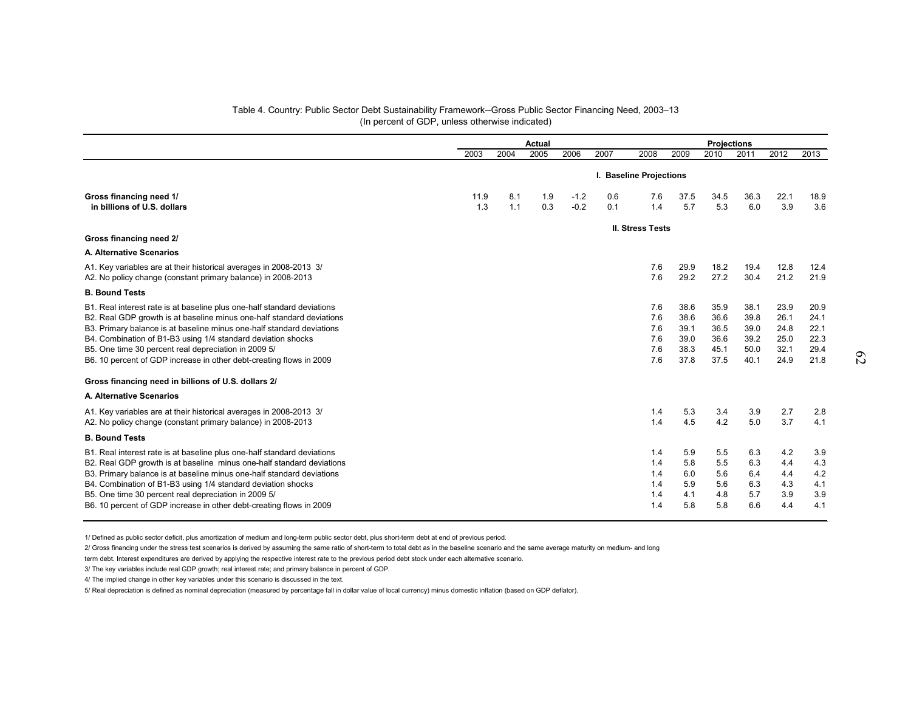#### Table 4. Country: Public Sector Debt Sustainability Framework--Gross Public Sector Financing Need, 2003–13 (In percent of GDP, unless otherwise indicated)

|                                                                                                                                                                                                                                                                                                                                                                                                                          |             |            | Actual     |                  |                         | <b>Projections</b>                     |                                              |                                              |                                              |                                              |                                              |
|--------------------------------------------------------------------------------------------------------------------------------------------------------------------------------------------------------------------------------------------------------------------------------------------------------------------------------------------------------------------------------------------------------------------------|-------------|------------|------------|------------------|-------------------------|----------------------------------------|----------------------------------------------|----------------------------------------------|----------------------------------------------|----------------------------------------------|----------------------------------------------|
|                                                                                                                                                                                                                                                                                                                                                                                                                          | 2003        | 2004       | 2005       | 2006             | 2007                    | 2008                                   | 2009                                         | 2010                                         | 2011                                         | 2012                                         | 2013                                         |
|                                                                                                                                                                                                                                                                                                                                                                                                                          |             |            |            |                  | I. Baseline Projections |                                        |                                              |                                              |                                              |                                              |                                              |
| Gross financing need 1/<br>in billions of U.S. dollars                                                                                                                                                                                                                                                                                                                                                                   | 11.9<br>1.3 | 8.1<br>1.1 | 1.9<br>0.3 | $-1.2$<br>$-0.2$ | 0.6<br>0.1              | 7.6<br>1.4                             | 37.5<br>5.7                                  | 34.5<br>5.3                                  | 36.3<br>6.0                                  | 22.1<br>3.9                                  | 18.9<br>3.6                                  |
| Gross financing need 2/                                                                                                                                                                                                                                                                                                                                                                                                  |             |            |            |                  |                         | <b>II. Stress Tests</b>                |                                              |                                              |                                              |                                              |                                              |
| A. Alternative Scenarios                                                                                                                                                                                                                                                                                                                                                                                                 |             |            |            |                  |                         |                                        |                                              |                                              |                                              |                                              |                                              |
| A1. Key variables are at their historical averages in 2008-2013 3/<br>A2. No policy change (constant primary balance) in 2008-2013                                                                                                                                                                                                                                                                                       |             |            |            |                  |                         | 7.6<br>7.6                             | 29.9<br>29.2                                 | 18.2<br>27.2                                 | 19.4<br>30.4                                 | 12.8<br>21.2                                 | 12.4<br>21.9                                 |
| <b>B. Bound Tests</b>                                                                                                                                                                                                                                                                                                                                                                                                    |             |            |            |                  |                         |                                        |                                              |                                              |                                              |                                              |                                              |
| B1. Real interest rate is at baseline plus one-half standard deviations<br>B2. Real GDP growth is at baseline minus one-half standard deviations<br>B3. Primary balance is at baseline minus one-half standard deviations<br>B4. Combination of B1-B3 using 1/4 standard deviation shocks<br>B5. One time 30 percent real depreciation in 2009 5/<br>B6. 10 percent of GDP increase in other debt-creating flows in 2009 |             |            |            |                  |                         | 7.6<br>7.6<br>7.6<br>7.6<br>7.6<br>7.6 | 38.6<br>38.6<br>39.1<br>39.0<br>38.3<br>37.8 | 35.9<br>36.6<br>36.5<br>36.6<br>45.1<br>37.5 | 38.1<br>39.8<br>39.0<br>39.2<br>50.0<br>40.1 | 23.9<br>26.1<br>24.8<br>25.0<br>32.1<br>24.9 | 20.9<br>24.1<br>22.1<br>22.3<br>29.4<br>21.8 |
| Gross financing need in billions of U.S. dollars 2/                                                                                                                                                                                                                                                                                                                                                                      |             |            |            |                  |                         |                                        |                                              |                                              |                                              |                                              |                                              |
| A. Alternative Scenarios                                                                                                                                                                                                                                                                                                                                                                                                 |             |            |            |                  |                         |                                        |                                              |                                              |                                              |                                              |                                              |
| A1. Key variables are at their historical averages in 2008-2013 3/<br>A2. No policy change (constant primary balance) in 2008-2013                                                                                                                                                                                                                                                                                       |             |            |            |                  |                         | 1.4<br>1.4                             | 5.3<br>4.5                                   | 3.4<br>4.2                                   | 3.9<br>5.0                                   | 2.7<br>3.7                                   | 2.8<br>4.1                                   |
| <b>B. Bound Tests</b>                                                                                                                                                                                                                                                                                                                                                                                                    |             |            |            |                  |                         |                                        |                                              |                                              |                                              |                                              |                                              |
| B1. Real interest rate is at baseline plus one-half standard deviations<br>B2. Real GDP growth is at baseline minus one-half standard deviations<br>B3. Primary balance is at baseline minus one-half standard deviations<br>B4. Combination of B1-B3 using 1/4 standard deviation shocks<br>B5. One time 30 percent real depreciation in 2009 5/<br>B6. 10 percent of GDP increase in other debt-creating flows in 2009 |             |            |            |                  |                         | 1.4<br>1.4<br>1.4<br>1.4<br>1.4<br>1.4 | 5.9<br>5.8<br>6.0<br>5.9<br>4.1<br>5.8       | 5.5<br>5.5<br>5.6<br>5.6<br>4.8<br>5.8       | 6.3<br>6.3<br>6.4<br>6.3<br>5.7<br>6.6       | 4.2<br>4.4<br>4.4<br>4.3<br>3.9<br>4.4       | 3.9<br>4.3<br>4.2<br>4.1<br>3.9<br>4.1       |

1/ Defined as public sector deficit, plus amortization of medium and long-term public sector debt, plus short-term debt at end of previous period.

2/ Gross financing under the stress test scenarios is derived by assuming the same ratio of short-term to total debt as in the baseline scenario and the same average maturity on medium- and long

term debt. Interest expenditures are derived by applying the respective interest rate to the previous period debt stock under each alternative scenario.

3/ The key variables include real GDP growth; real interest rate; and primary balance in percent of GDP.

4/ The implied change in other key variables under this scenario is discussed in the text.

5/ Real depreciation is defined as nominal depreciation (measured by percentage fall in dollar value of local currency) minus domestic inflation (based on GDP deflator).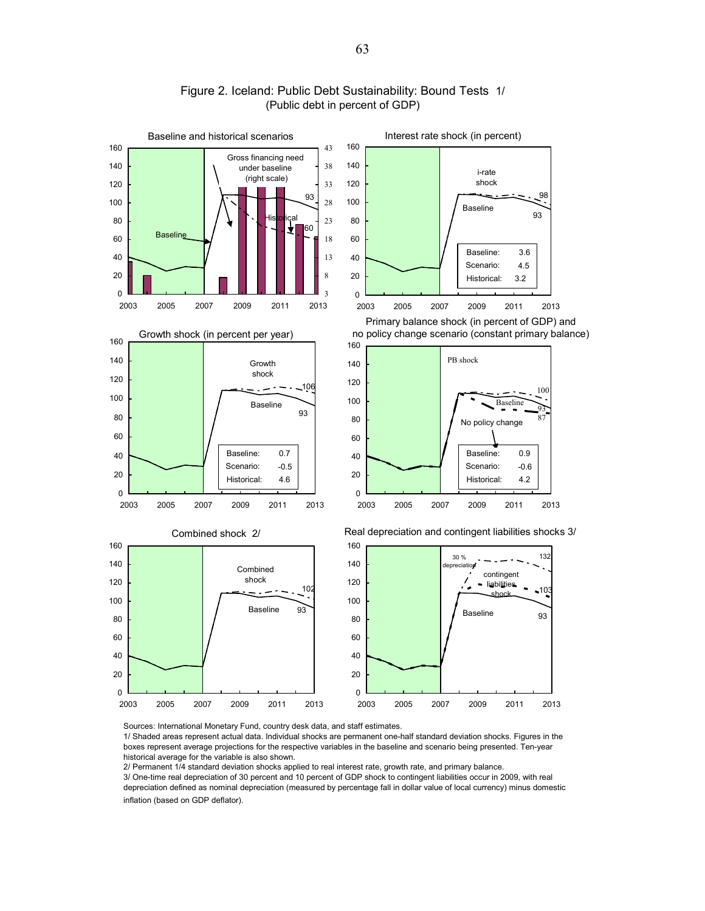

#### Figure 2. Iceland: Public Debt Sustainability: Bound Tests 1/ (Public debt in percent of GDP)

Sources: International Monetary Fund, country desk data, and staff estimates.

1/ Shaded areas represent actual data. Individual shocks are permanent one-half standard deviation shocks. Figures in the boxes represent average projections for the respective variables in the baseline and scenario being presented. Ten-year historical average for the variable is also shown.

2/ Permanent 1/4 standard deviation shocks applied to real interest rate, growth rate, and primary balance.

3/ One-time real depreciation of 30 percent and 10 percent of GDP shock to contingent liabilities occur in 2009, with real depreciation defined as nominal depreciation (measured by percentage fall in dollar value of local currency) minus domestic inflation (based on GDP deflator).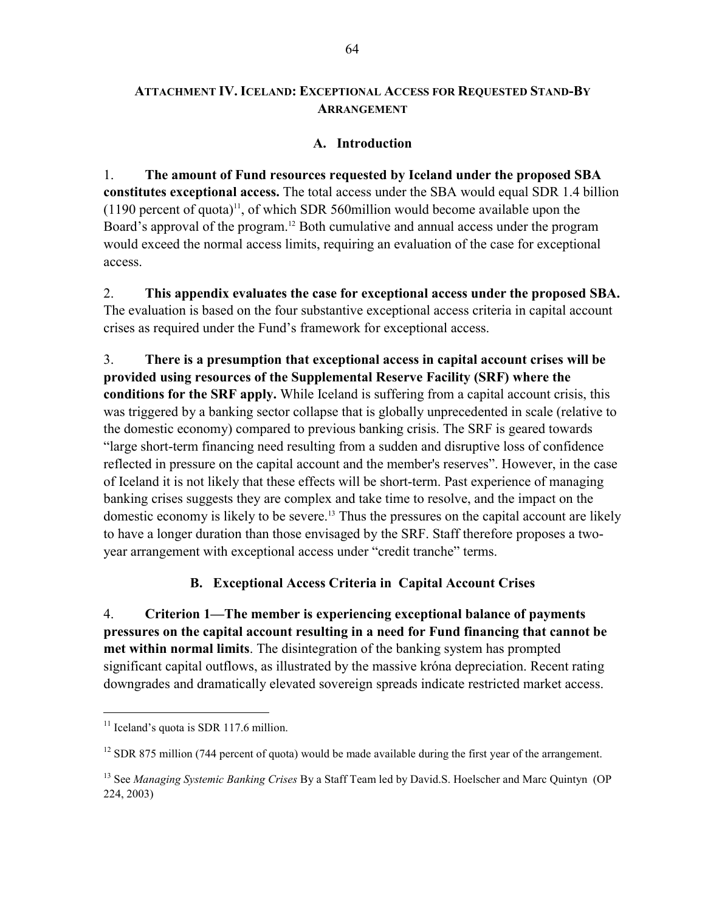## **ATTACHMENT IV. ICELAND: EXCEPTIONAL ACCESS FOR REQUESTED STAND-BY ARRANGEMENT**

## **A. Introduction**

1. **The amount of Fund resources requested by Iceland under the proposed SBA constitutes exceptional access.** The total access under the SBA would equal SDR 1.4 billion  $(1190)$  percent of quota)<sup>11</sup>, of which SDR 560million would become available upon the Board's approval of the program.<sup>12</sup> Both cumulative and annual access under the program would exceed the normal access limits, requiring an evaluation of the case for exceptional access.

2. **This appendix evaluates the case for exceptional access under the proposed SBA.** The evaluation is based on the four substantive exceptional access criteria in capital account crises as required under the Fund's framework for exceptional access.

3. **There is a presumption that exceptional access in capital account crises will be provided using resources of the Supplemental Reserve Facility (SRF) where the conditions for the SRF apply.** While Iceland is suffering from a capital account crisis, this was triggered by a banking sector collapse that is globally unprecedented in scale (relative to the domestic economy) compared to previous banking crisis. The SRF is geared towards "large short-term financing need resulting from a sudden and disruptive loss of confidence reflected in pressure on the capital account and the member's reserves". However, in the case of Iceland it is not likely that these effects will be short-term. Past experience of managing banking crises suggests they are complex and take time to resolve, and the impact on the domestic economy is likely to be severe.<sup>13</sup> Thus the pressures on the capital account are likely to have a longer duration than those envisaged by the SRF. Staff therefore proposes a twoyear arrangement with exceptional access under "credit tranche" terms.

## **B. Exceptional Access Criteria in Capital Account Crises**

4. **Criterion 1—The member is experiencing exceptional balance of payments pressures on the capital account resulting in a need for Fund financing that cannot be met within normal limits**. The disintegration of the banking system has prompted significant capital outflows, as illustrated by the massive króna depreciation. Recent rating downgrades and dramatically elevated sovereign spreads indicate restricted market access.

<u>.</u>

 $11$  Iceland's quota is SDR 117.6 million.

<sup>&</sup>lt;sup>12</sup> SDR 875 million (744 percent of quota) would be made available during the first year of the arrangement.

<sup>13</sup> See *Managing Systemic Banking Crises* By a Staff Team led by David.S. Hoelscher and Marc Quintyn (OP 224, 2003)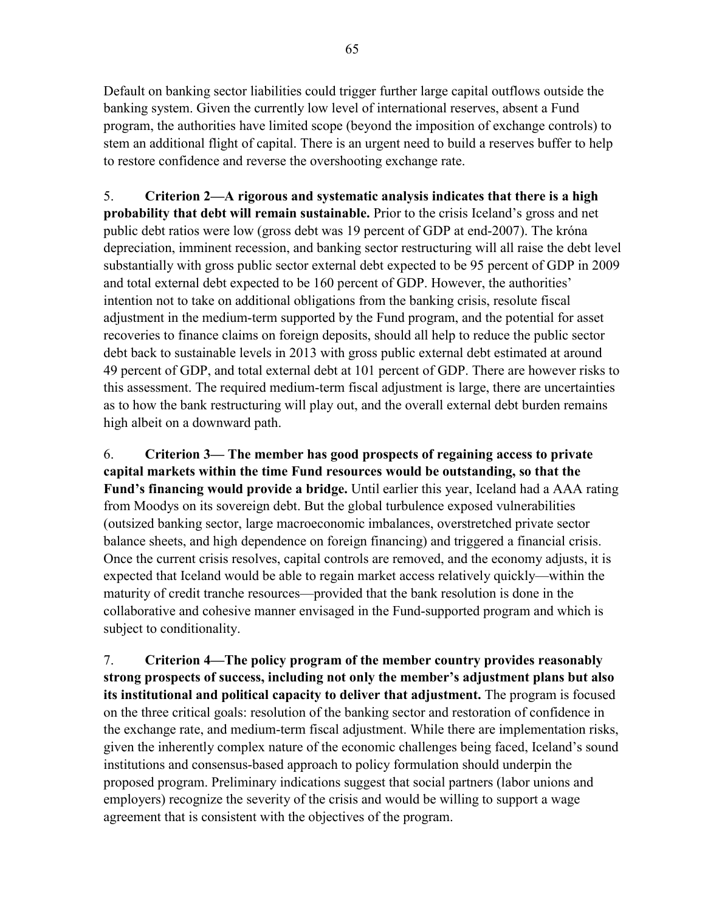Default on banking sector liabilities could trigger further large capital outflows outside the banking system. Given the currently low level of international reserves, absent a Fund program, the authorities have limited scope (beyond the imposition of exchange controls) to stem an additional flight of capital. There is an urgent need to build a reserves buffer to help to restore confidence and reverse the overshooting exchange rate.

5. **Criterion 2—A rigorous and systematic analysis indicates that there is a high probability that debt will remain sustainable.** Prior to the crisis Iceland's gross and net public debt ratios were low (gross debt was 19 percent of GDP at end-2007). The króna depreciation, imminent recession, and banking sector restructuring will all raise the debt level substantially with gross public sector external debt expected to be 95 percent of GDP in 2009 and total external debt expected to be 160 percent of GDP. However, the authorities' intention not to take on additional obligations from the banking crisis, resolute fiscal adjustment in the medium-term supported by the Fund program, and the potential for asset recoveries to finance claims on foreign deposits, should all help to reduce the public sector debt back to sustainable levels in 2013 with gross public external debt estimated at around 49 percent of GDP, and total external debt at 101 percent of GDP. There are however risks to this assessment. The required medium-term fiscal adjustment is large, there are uncertainties as to how the bank restructuring will play out, and the overall external debt burden remains high albeit on a downward path.

6. **Criterion 3— The member has good prospects of regaining access to private capital markets within the time Fund resources would be outstanding, so that the Fund's financing would provide a bridge.** Until earlier this year, Iceland had a AAA rating from Moodys on its sovereign debt. But the global turbulence exposed vulnerabilities (outsized banking sector, large macroeconomic imbalances, overstretched private sector balance sheets, and high dependence on foreign financing) and triggered a financial crisis. Once the current crisis resolves, capital controls are removed, and the economy adjusts, it is expected that Iceland would be able to regain market access relatively quickly—within the maturity of credit tranche resources—provided that the bank resolution is done in the collaborative and cohesive manner envisaged in the Fund-supported program and which is subject to conditionality.

7. **Criterion 4—The policy program of the member country provides reasonably strong prospects of success, including not only the member's adjustment plans but also its institutional and political capacity to deliver that adjustment.** The program is focused on the three critical goals: resolution of the banking sector and restoration of confidence in the exchange rate, and medium-term fiscal adjustment. While there are implementation risks, given the inherently complex nature of the economic challenges being faced, Iceland's sound institutions and consensus-based approach to policy formulation should underpin the proposed program. Preliminary indications suggest that social partners (labor unions and employers) recognize the severity of the crisis and would be willing to support a wage agreement that is consistent with the objectives of the program.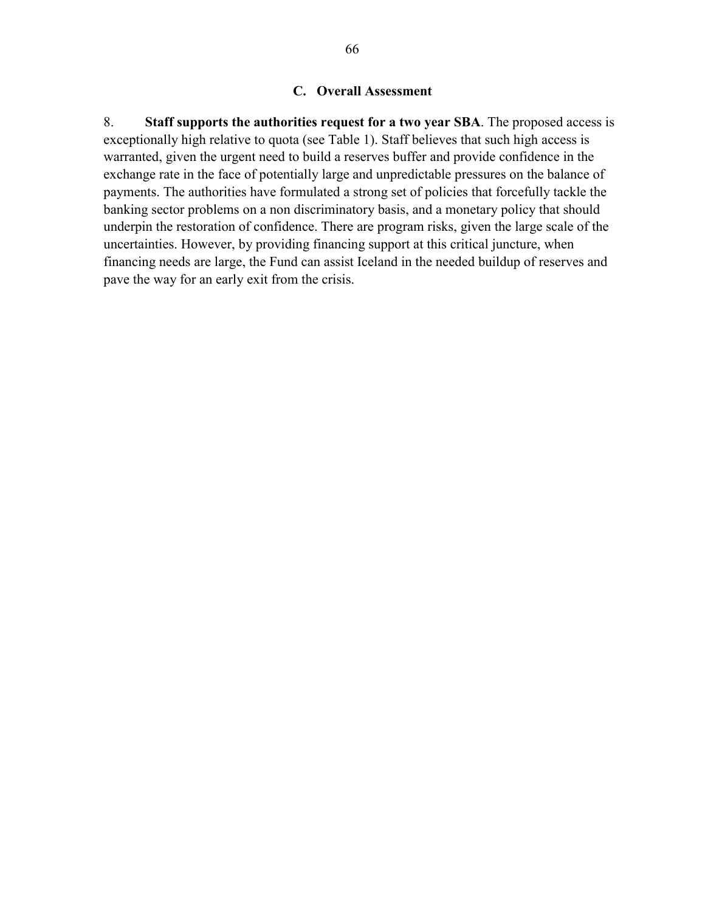### **C. Overall Assessment**

8. **Staff supports the authorities request for a two year SBA**. The proposed access is exceptionally high relative to quota (see Table 1). Staff believes that such high access is warranted, given the urgent need to build a reserves buffer and provide confidence in the exchange rate in the face of potentially large and unpredictable pressures on the balance of payments. The authorities have formulated a strong set of policies that forcefully tackle the banking sector problems on a non discriminatory basis, and a monetary policy that should underpin the restoration of confidence. There are program risks, given the large scale of the uncertainties. However, by providing financing support at this critical juncture, when financing needs are large, the Fund can assist Iceland in the needed buildup of reserves and pave the way for an early exit from the crisis.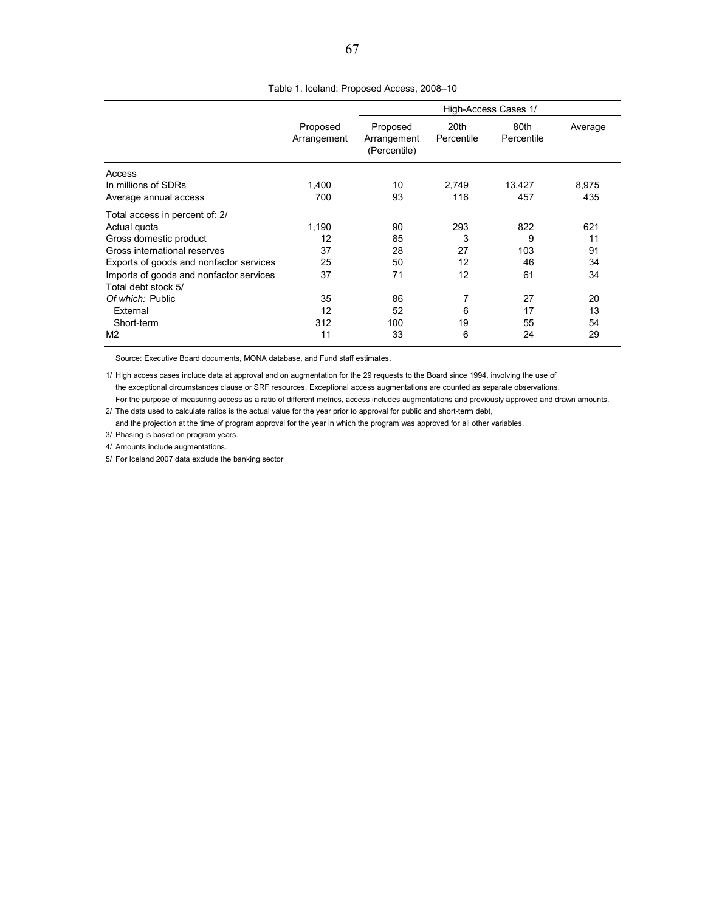|                                         |                         |                                         | High-Access Cases 1/ |                    |         |  |  |  |  |
|-----------------------------------------|-------------------------|-----------------------------------------|----------------------|--------------------|---------|--|--|--|--|
|                                         | Proposed<br>Arrangement | Proposed<br>Arrangement<br>(Percentile) | 20th<br>Percentile   | 80th<br>Percentile | Average |  |  |  |  |
| Access                                  |                         |                                         |                      |                    |         |  |  |  |  |
| In millions of SDRs                     | 1.400                   | 10                                      | 2.749                | 13.427             | 8.975   |  |  |  |  |
| Average annual access                   | 700                     | 93                                      | 116                  | 457                | 435     |  |  |  |  |
| Total access in percent of: 2/          |                         |                                         |                      |                    |         |  |  |  |  |
| Actual quota                            | 1,190                   | 90                                      | 293                  | 822                | 621     |  |  |  |  |
| Gross domestic product                  | 12                      | 85                                      | 3                    | 9                  | 11      |  |  |  |  |
| Gross international reserves            | 37                      | 28                                      | 27                   | 103                | 91      |  |  |  |  |
| Exports of goods and nonfactor services | 25                      | 50                                      | 12                   | 46                 | 34      |  |  |  |  |
| Imports of goods and nonfactor services | 37                      | 71                                      | 12                   | 61                 | 34      |  |  |  |  |

Table 1. Iceland: Proposed Access, 2008–10

Source: Executive Board documents, MONA database, and Fund staff estimates.

1/ High access cases include data at approval and on augmentation for the 29 requests to the Board since 1994, involving the use of the exceptional circumstances clause or SRF resources. Exceptional access augmentations are counted as separate observations.

For the purpose of measuring access as a ratio of different metrics, access includes augmentations and previously approved and drawn amounts. 2/ The data used to calculate ratios is the actual value for the year prior to approval for public and short-term debt,

*Of which:* Public 20<br> **Definition 12** 35 86 7 27 20<br>
External 12 52 6 17 13 External 12 52 6 17 13 Short-term 312 100 19 55 54 M2 29 20 21 33 6 24 29

and the projection at the time of program approval for the year in which the program was approved for all other variables.

3/ Phasing is based on program years.

Total debt stock 5/

4/ Amounts include augmentations.

5/ For Iceland 2007 data exclude the banking sector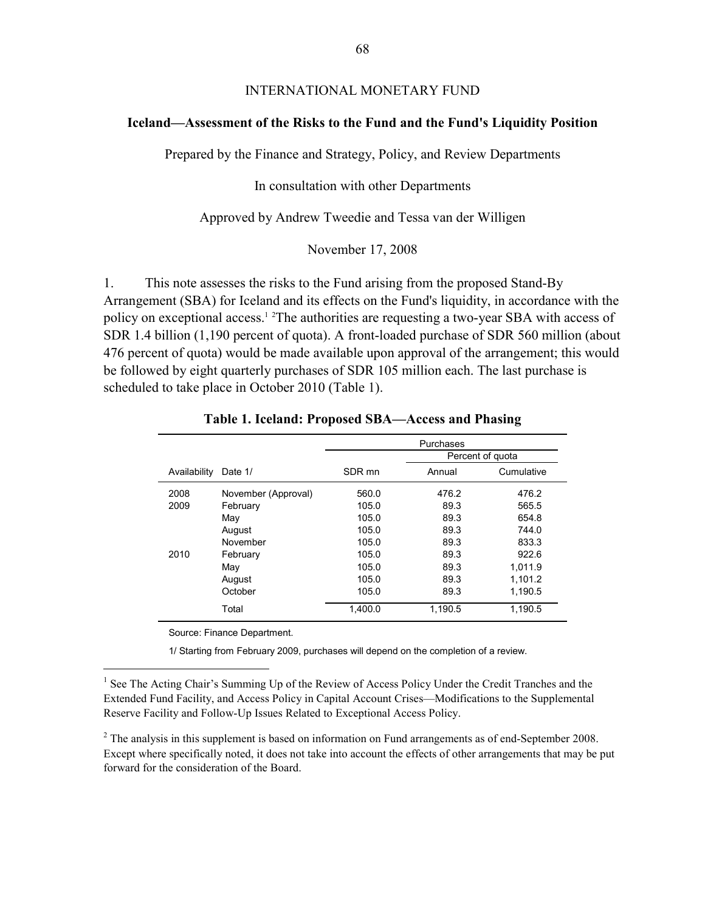### INTERNATIONAL MONETARY FUND

#### **Iceland—Assessment of the Risks to the Fund and the Fund's Liquidity Position**

Prepared by the Finance and Strategy, Policy, and Review Departments

In consultation with other Departments

Approved by Andrew Tweedie and Tessa van der Willigen

November 17, 2008

1. This note assesses the risks to the Fund arising from the proposed Stand-By Arrangement (SBA) for Iceland and its effects on the Fund's liquidity, in accordance with the policy on exceptional access.<sup>12</sup> The authorities are requesting a two-year SBA with access of SDR 1.4 billion (1,190 percent of quota). A front-loaded purchase of SDR 560 million (about 476 percent of quota) would be made available upon approval of the arrangement; this would be followed by eight quarterly purchases of SDR 105 million each. The last purchase is scheduled to take place in October 2010 (Table 1).

|              |                     | Purchases        |         |            |  |  |  |  |
|--------------|---------------------|------------------|---------|------------|--|--|--|--|
|              |                     | Percent of quota |         |            |  |  |  |  |
| Availability | Date 1/             | SDR mn           | Annual  | Cumulative |  |  |  |  |
| 2008         | November (Approval) | 560.0            | 476.2   | 476.2      |  |  |  |  |
| 2009         | February            | 105.0            | 89.3    | 565.5      |  |  |  |  |
|              | May                 | 105.0            | 89.3    | 654.8      |  |  |  |  |
|              | August              | 105.0            | 89.3    | 744.0      |  |  |  |  |
|              | November            | 105.0            | 89.3    | 833.3      |  |  |  |  |
| 2010         | February            | 105.0            | 89.3    | 922.6      |  |  |  |  |
|              | May                 | 105.0            | 89.3    | 1.011.9    |  |  |  |  |
|              | August              | 105.0            | 89.3    | 1,101.2    |  |  |  |  |
|              | October             | 105.0            | 89.3    | 1,190.5    |  |  |  |  |
|              | Total               | 1.400.0          | 1.190.5 | 1.190.5    |  |  |  |  |

**Table 1. Iceland: Proposed SBA—Access and Phasing**

Source: Finance Department.

 $\overline{a}$ 

1/ Starting from February 2009, purchases will depend on the completion of a review.

<sup>1</sup> See The Acting Chair's Summing Up of the Review of Access Policy Under the Credit Tranches and the Extended Fund Facility, and Access Policy in Capital Account Crises—Modifications to the Supplemental Reserve Facility and Follow-Up Issues Related to Exceptional Access Policy.

 $2^2$  The analysis in this supplement is based on information on Fund arrangements as of end-September 2008. Except where specifically noted, it does not take into account the effects of other arrangements that may be put forward for the consideration of the Board.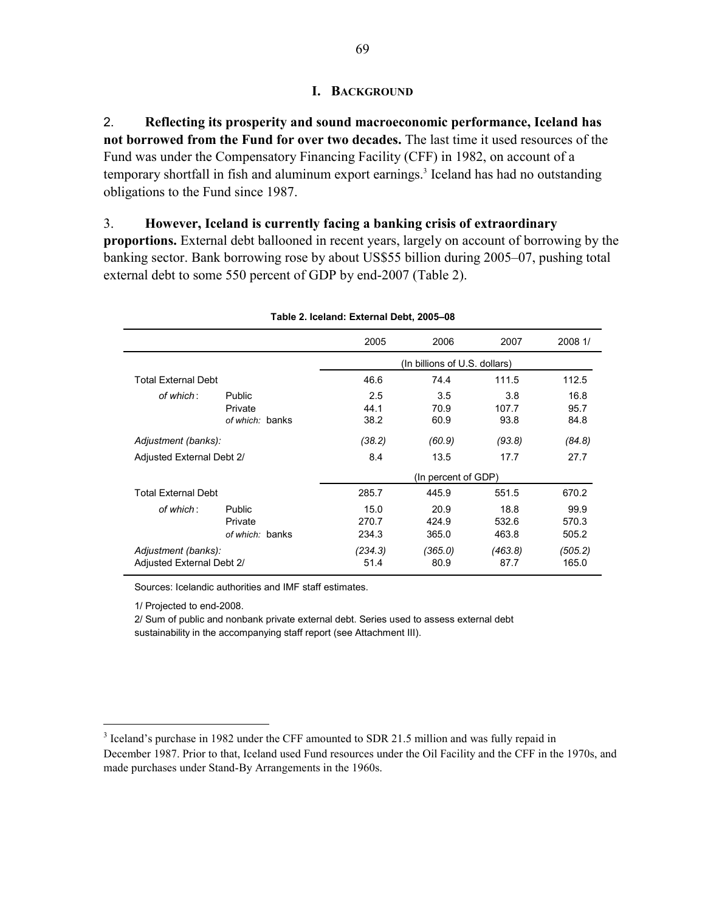## **I. BACKGROUND**

2. **Reflecting its prosperity and sound macroeconomic performance, Iceland has not borrowed from the Fund for over two decades.** The last time it used resources of the Fund was under the Compensatory Financing Facility (CFF) in 1982, on account of a temporary shortfall in fish and aluminum export earnings.<sup>3</sup> Iceland has had no outstanding obligations to the Fund since 1987.

3. **However, Iceland is currently facing a banking crisis of extraordinary** 

**proportions.** External debt ballooned in recent years, largely on account of borrowing by the banking sector. Bank borrowing rose by about US\$55 billion during 2005–07, pushing total external debt to some 550 percent of GDP by end-2007 (Table 2).

|                            |                 | $1000C$ E. ICCIDITO. EXIGITION DUDIT, $2000 - 00C$ |                               |         |         |
|----------------------------|-----------------|----------------------------------------------------|-------------------------------|---------|---------|
|                            |                 | 2005                                               | 2006                          | 2007    | 2008 1/ |
|                            |                 |                                                    | (In billions of U.S. dollars) |         |         |
| <b>Total External Debt</b> |                 | 46.6                                               | 74.4                          | 111.5   | 112.5   |
| of which:                  | Public          | 2.5                                                | 3.5                           | 3.8     | 16.8    |
|                            | Private         | 44.1                                               | 70.9                          | 107.7   | 95.7    |
|                            | of which: banks | 38.2                                               | 60.9                          | 93.8    | 84.8    |
| Adjustment (banks):        |                 | (38.2)                                             | (60.9)                        | (93.8)  | (84.8)  |
| Adjusted External Debt 2/  |                 | 8.4                                                | 13.5                          | 17.7    | 27.7    |
|                            |                 |                                                    | (In percent of GDP)           |         |         |
| <b>Total External Debt</b> |                 | 285.7                                              | 445.9                         | 551.5   | 670.2   |
| of which:                  | Public          | 15.0                                               | 20.9                          | 18.8    | 99.9    |
|                            | Private         | 270.7                                              | 424.9                         | 532.6   | 570.3   |
|                            | of which: banks | 234.3                                              | 365.0                         | 463.8   | 505.2   |
| Adjustment (banks):        |                 | (234.3)                                            | (365.0)                       | (463.8) | (505.2) |
| Adjusted External Debt 2/  |                 | 51.4                                               | 80.9                          | 87.7    | 165.0   |
|                            |                 |                                                    |                               |         |         |

**Table 2. Iceland: External Debt, 2005–08**

Sources: Icelandic authorities and IMF staff estimates.

1/ Projected to end-2008.

 $\overline{a}$ 

2/ Sum of public and nonbank private external debt. Series used to assess external debt sustainability in the accompanying staff report (see Attachment III).

<sup>&</sup>lt;sup>3</sup> Iceland's purchase in 1982 under the CFF amounted to SDR 21.5 million and was fully repaid in December 1987. Prior to that, Iceland used Fund resources under the Oil Facility and the CFF in the 1970s, and made purchases under Stand-By Arrangements in the 1960s.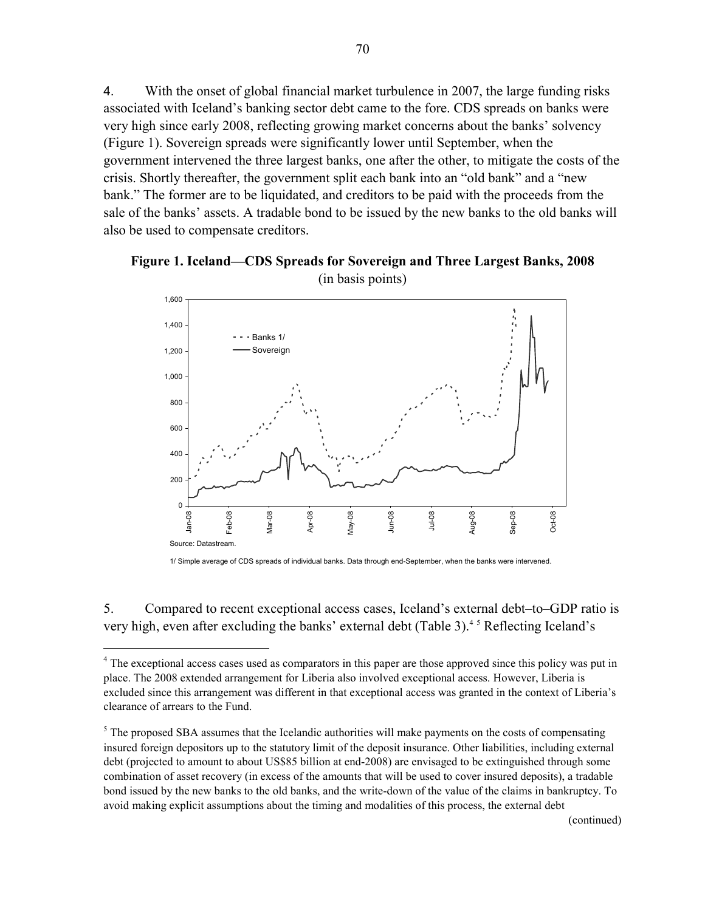4. With the onset of global financial market turbulence in 2007, the large funding risks associated with Iceland's banking sector debt came to the fore. CDS spreads on banks were very high since early 2008, reflecting growing market concerns about the banks' solvency (Figure 1). Sovereign spreads were significantly lower until September, when the government intervened the three largest banks, one after the other, to mitigate the costs of the crisis. Shortly thereafter, the government split each bank into an "old bank" and a "new bank." The former are to be liquidated, and creditors to be paid with the proceeds from the sale of the banks' assets. A tradable bond to be issued by the new banks to the old banks will also be used to compensate creditors.





1/ Simple average of CDS spreads of individual banks. Data through end-September, when the banks were intervened.

5. Compared to recent exceptional access cases, Iceland's external debt–to–GDP ratio is very high, even after excluding the banks' external debt (Table 3).<sup>45</sup> Reflecting Iceland's

1

<sup>&</sup>lt;sup>4</sup> The exceptional access cases used as comparators in this paper are those approved since this policy was put in place. The 2008 extended arrangement for Liberia also involved exceptional access. However, Liberia is excluded since this arrangement was different in that exceptional access was granted in the context of Liberia's clearance of arrears to the Fund.

 $<sup>5</sup>$  The proposed SBA assumes that the Icelandic authorities will make payments on the costs of compensating</sup> insured foreign depositors up to the statutory limit of the deposit insurance. Other liabilities, including external debt (projected to amount to about US\$85 billion at end-2008) are envisaged to be extinguished through some combination of asset recovery (in excess of the amounts that will be used to cover insured deposits), a tradable bond issued by the new banks to the old banks, and the write-down of the value of the claims in bankruptcy. To avoid making explicit assumptions about the timing and modalities of this process, the external debt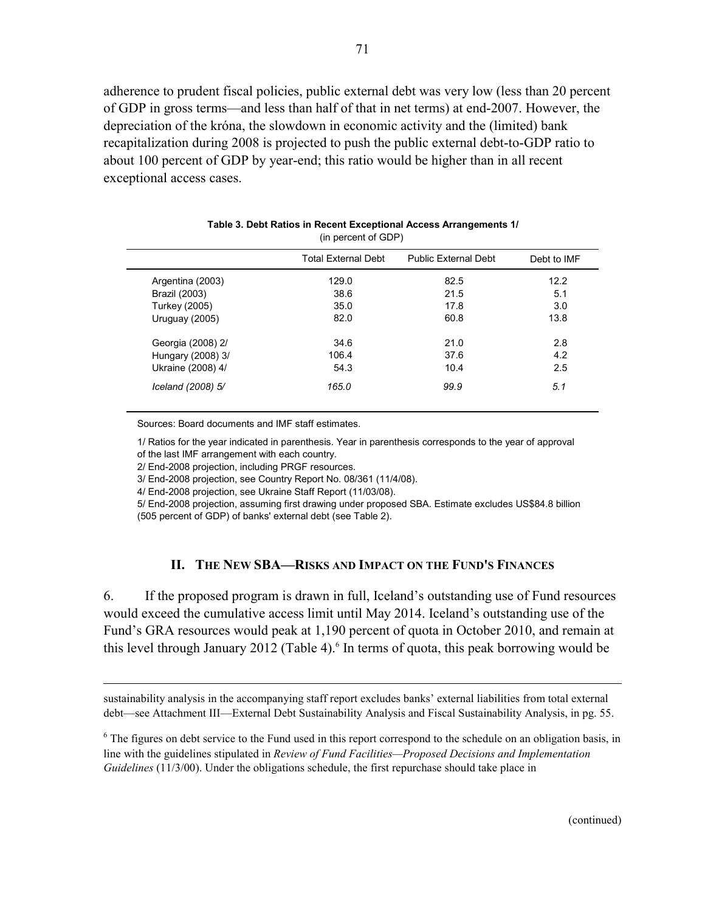adherence to prudent fiscal policies, public external debt was very low (less than 20 percent of GDP in gross terms—and less than half of that in net terms) at end-2007. However, the depreciation of the króna, the slowdown in economic activity and the (limited) bank recapitalization during 2008 is projected to push the public external debt-to-GDP ratio to about 100 percent of GDP by year-end; this ratio would be higher than in all recent exceptional access cases.

|                   | <b>Total External Debt</b> | <b>Public External Debt</b> | Debt to IMF |
|-------------------|----------------------------|-----------------------------|-------------|
| Argentina (2003)  | 129.0                      | 82.5                        | 12.2        |
| Brazil (2003)     | 38.6                       | 21.5                        | 5.1         |
| Turkey (2005)     | 35.0                       | 17.8                        | 3.0         |
| Uruguay (2005)    | 82.0                       | 60.8                        | 13.8        |
| Georgia (2008) 2/ | 34.6                       | 21.0                        | 2.8         |
| Hungary (2008) 3/ | 106.4                      | 37.6                        | 4.2         |
| Ukraine (2008) 4/ | 54.3                       | 10.4                        | 2.5         |
| Iceland (2008) 5/ | 165.0                      | 99.9                        | 5.1         |

| Table 3. Debt Ratios in Recent Exceptional Access Arrangements 1/ |  |
|-------------------------------------------------------------------|--|
| (in percent of GDP)                                               |  |

Sources: Board documents and IMF staff estimates.

1/ Ratios for the year indicated in parenthesis. Year in parenthesis corresponds to the year of approval of the last IMF arrangement with each country.

2/ End-2008 projection, including PRGF resources.

 $\overline{a}$ 

3/ End-2008 projection, see Country Report No. 08/361 (11/4/08).

4/ End-2008 projection, see Ukraine Staff Report (11/03/08).

5/ End-2008 projection, assuming first drawing under proposed SBA. Estimate excludes US\$84.8 billion (505 percent of GDP) of banks' external debt (see Table 2).

#### **II. THE NEW SBA—RISKS AND IMPACT ON THE FUND'S FINANCES**

6. If the proposed program is drawn in full, Iceland's outstanding use of Fund resources would exceed the cumulative access limit until May 2014. Iceland's outstanding use of the Fund's GRA resources would peak at 1,190 percent of quota in October 2010, and remain at this level through January 2012 (Table 4). $6$  In terms of quota, this peak borrowing would be

sustainability analysis in the accompanying staff report excludes banks' external liabilities from total external debt—see Attachment III––External Debt Sustainability Analysis and Fiscal Sustainability Analysis, in pg. 55.

<sup>6</sup> The figures on debt service to the Fund used in this report correspond to the schedule on an obligation basis, in line with the guidelines stipulated in *Review of Fund Facilities—Proposed Decisions and Implementation Guidelines* (11/3/00). Under the obligations schedule, the first repurchase should take place in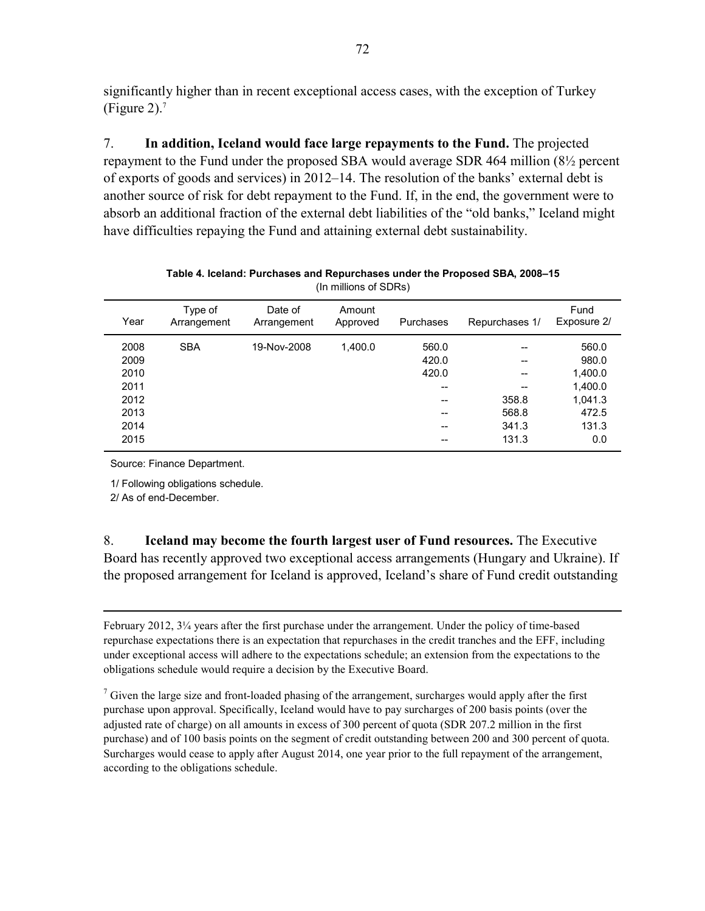significantly higher than in recent exceptional access cases, with the exception of Turkey (Figure 2).<sup>7</sup>

7. **In addition, Iceland would face large repayments to the Fund.** The projected repayment to the Fund under the proposed SBA would average SDR 464 million (8½ percent of exports of goods and services) in 2012–14. The resolution of the banks' external debt is another source of risk for debt repayment to the Fund. If, in the end, the government were to absorb an additional fraction of the external debt liabilities of the "old banks," Iceland might have difficulties repaying the Fund and attaining external debt sustainability.

| Type of<br>Arrangement | Date of<br>Arrangement | Amount<br>Approved | Repurchases 1/<br>Purchases |       |         |  | Fund<br>Exposure 2/ |  |  |  |
|------------------------|------------------------|--------------------|-----------------------------|-------|---------|--|---------------------|--|--|--|
| <b>SBA</b>             | 19-Nov-2008            | 1,400.0            | 560.0                       |       | 560.0   |  |                     |  |  |  |
|                        |                        |                    | 420.0                       | --    | 980.0   |  |                     |  |  |  |
|                        |                        |                    | 420.0                       | --    | 1,400.0 |  |                     |  |  |  |
|                        |                        |                    |                             | --    | 1,400.0 |  |                     |  |  |  |
|                        |                        |                    |                             | 358.8 | 1,041.3 |  |                     |  |  |  |
|                        |                        |                    |                             | 568.8 | 472.5   |  |                     |  |  |  |
|                        |                        |                    |                             | 341.3 | 131.3   |  |                     |  |  |  |
|                        |                        |                    |                             | 131.3 | 0.0     |  |                     |  |  |  |
|                        |                        |                    |                             |       |         |  |                     |  |  |  |

| Table 4. Iceland: Purchases and Repurchases under the Proposed SBA, 2008–15 |  |
|-----------------------------------------------------------------------------|--|
| (In millions of SDRs)                                                       |  |

Source: Finance Department.

1/ Following obligations schedule.

2/ As of end-December.

<u>.</u>

8. **Iceland may become the fourth largest user of Fund resources.** The Executive Board has recently approved two exceptional access arrangements (Hungary and Ukraine). If the proposed arrangement for Iceland is approved, Iceland's share of Fund credit outstanding

February 2012, 3¼ years after the first purchase under the arrangement. Under the policy of time-based repurchase expectations there is an expectation that repurchases in the credit tranches and the EFF, including under exceptional access will adhere to the expectations schedule; an extension from the expectations to the obligations schedule would require a decision by the Executive Board.

 $<sup>7</sup>$  Given the large size and front-loaded phasing of the arrangement, surcharges would apply after the first</sup> purchase upon approval. Specifically, Iceland would have to pay surcharges of 200 basis points (over the adjusted rate of charge) on all amounts in excess of 300 percent of quota (SDR 207.2 million in the first purchase) and of 100 basis points on the segment of credit outstanding between 200 and 300 percent of quota. Surcharges would cease to apply after August 2014, one year prior to the full repayment of the arrangement, according to the obligations schedule.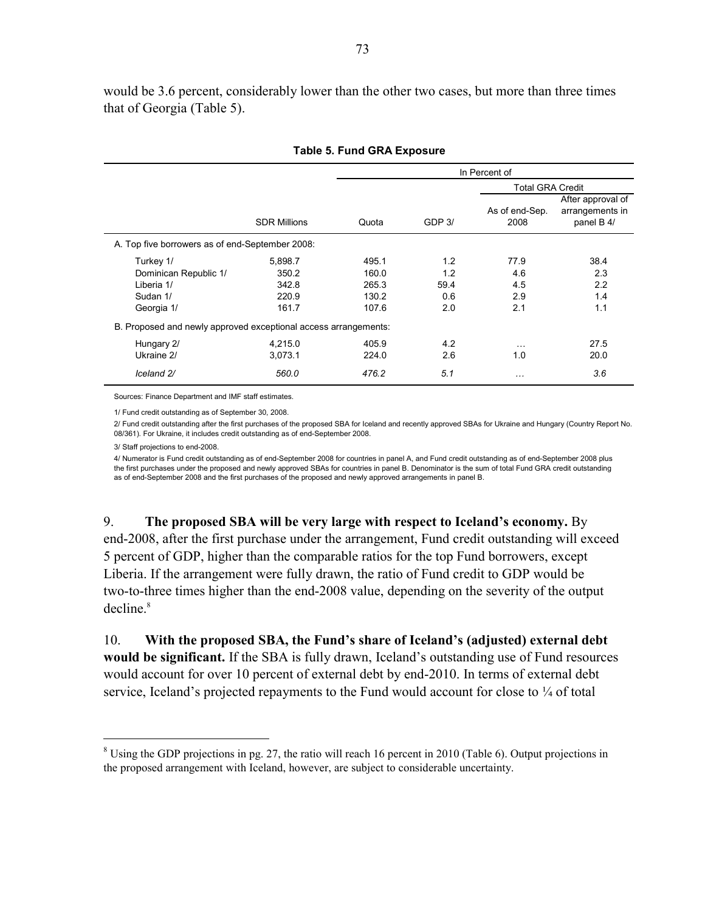would be 3.6 percent, considerably lower than the other two cases, but more than three times that of Georgia (Table 5).

|                                                                 |                     | In Percent of           |                  |                        |                                                    |  |  |  |  |
|-----------------------------------------------------------------|---------------------|-------------------------|------------------|------------------------|----------------------------------------------------|--|--|--|--|
|                                                                 |                     | <b>Total GRA Credit</b> |                  |                        |                                                    |  |  |  |  |
|                                                                 | <b>SDR Millions</b> | Quota                   | GDP <sub>3</sub> | As of end-Sep.<br>2008 | After approval of<br>arrangements in<br>panel B 4/ |  |  |  |  |
| A. Top five borrowers as of end-September 2008:                 |                     |                         |                  |                        |                                                    |  |  |  |  |
| Turkey 1/                                                       | 5,898.7             | 495.1                   | 1.2              | 77.9                   | 38.4                                               |  |  |  |  |
| Dominican Republic 1/                                           | 350.2               | 160.0                   | 1.2              | 4.6                    | 2.3                                                |  |  |  |  |
| Liberia 1/                                                      | 342.8               | 265.3                   | 59.4             | 4.5                    | 2.2                                                |  |  |  |  |
| Sudan 1/                                                        | 220.9               | 130.2                   | 0.6              | 2.9                    | 1.4                                                |  |  |  |  |
| Georgia 1/                                                      | 161.7               | 107.6                   | 2.0              | 2.1                    | 1.1                                                |  |  |  |  |
| B. Proposed and newly approved exceptional access arrangements: |                     |                         |                  |                        |                                                    |  |  |  |  |
| Hungary 2/                                                      | 4,215.0             | 405.9                   | 4.2              | $\cdots$               | 27.5                                               |  |  |  |  |
| Ukraine 2/                                                      | 3,073.1             | 224.0                   | 2.6              | 1.0                    | 20.0                                               |  |  |  |  |
| Iceland 2/                                                      | 560.0               | 476.2                   | 5.1              | .                      | 3.6                                                |  |  |  |  |

#### **Table 5. Fund GRA Exposure**

Sources: Finance Department and IMF staff estimates.

1/ Fund credit outstanding as of September 30, 2008.

2/ Fund credit outstanding after the first purchases of the proposed SBA for Iceland and recently approved SBAs for Ukraine and Hungary (Country Report No. 08/361). For Ukraine, it includes credit outstanding as of end-September 2008.

3/ Staff projections to end-2008.

 $\overline{a}$ 

4/ Numerator is Fund credit outstanding as of end-September 2008 for countries in panel A, and Fund credit outstanding as of end-September 2008 plus the first purchases under the proposed and newly approved SBAs for countries in panel B. Denominator is the sum of total Fund GRA credit outstanding as of end-September 2008 and the first purchases of the proposed and newly approved arrangements in panel B.

9. **The proposed SBA will be very large with respect to Iceland's economy.** By end-2008, after the first purchase under the arrangement, Fund credit outstanding will exceed 5 percent of GDP, higher than the comparable ratios for the top Fund borrowers, except Liberia. If the arrangement were fully drawn, the ratio of Fund credit to GDP would be two-to-three times higher than the end-2008 value, depending on the severity of the output decline.<sup>8</sup>

10. **With the proposed SBA, the Fund's share of Iceland's (adjusted) external debt would be significant.** If the SBA is fully drawn, Iceland's outstanding use of Fund resources would account for over 10 percent of external debt by end-2010. In terms of external debt service, Iceland's projected repayments to the Fund would account for close to  $\frac{1}{4}$  of total

 $8$  Using the GDP projections in pg. 27, the ratio will reach 16 percent in 2010 (Table 6). Output projections in the proposed arrangement with Iceland, however, are subject to considerable uncertainty.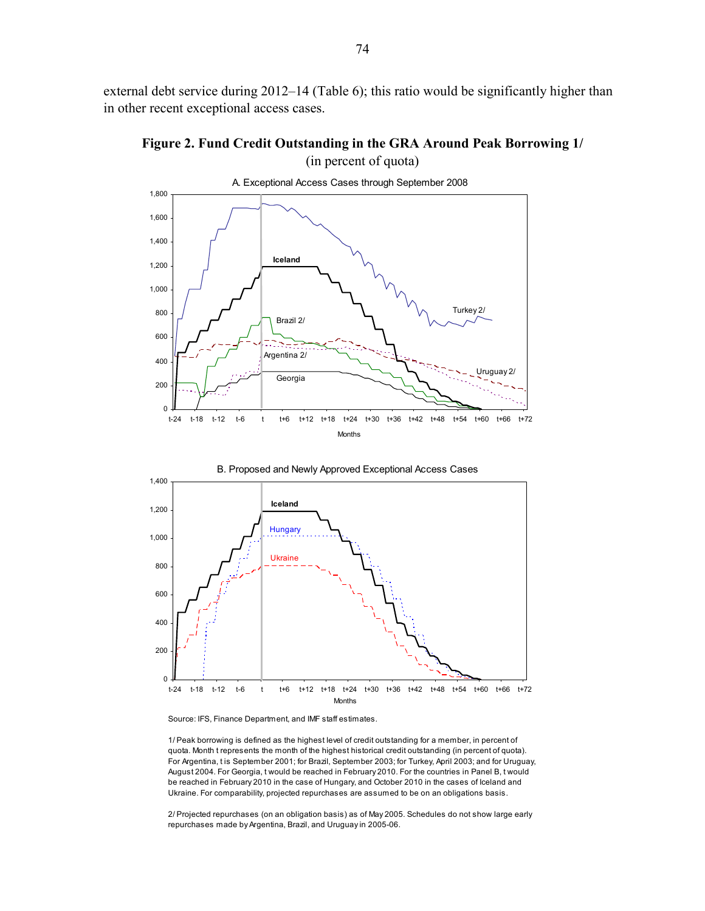external debt service during 2012–14 (Table 6); this ratio would be significantly higher than in other recent exceptional access cases.







Source: IFS, Finance Department, and IMF staff estimates.

1/ Peak borrowing is defined as the highest level of credit outstanding for a member, in percent of quota. Month t represents the month of the highest historical credit outstanding (in percent of quota). For Argentina, t is September 2001; for Brazil, September 2003; for Turkey, April 2003; and for Uruguay, August 2004. For Georgia, t would be reached in February 2010. For the countries in Panel B, t would be reached in February 2010 in the case of Hungary, and October 2010 in the cases of Iceland and Ukraine. For comparability, projected repurchases are assumed to be on an obligations basis.

2/ Projected repurchases (on an obligation basis) as of May 2005. Schedules do not show large early repurchases made by Argentina, Brazil, and Uruguay in 2005-06.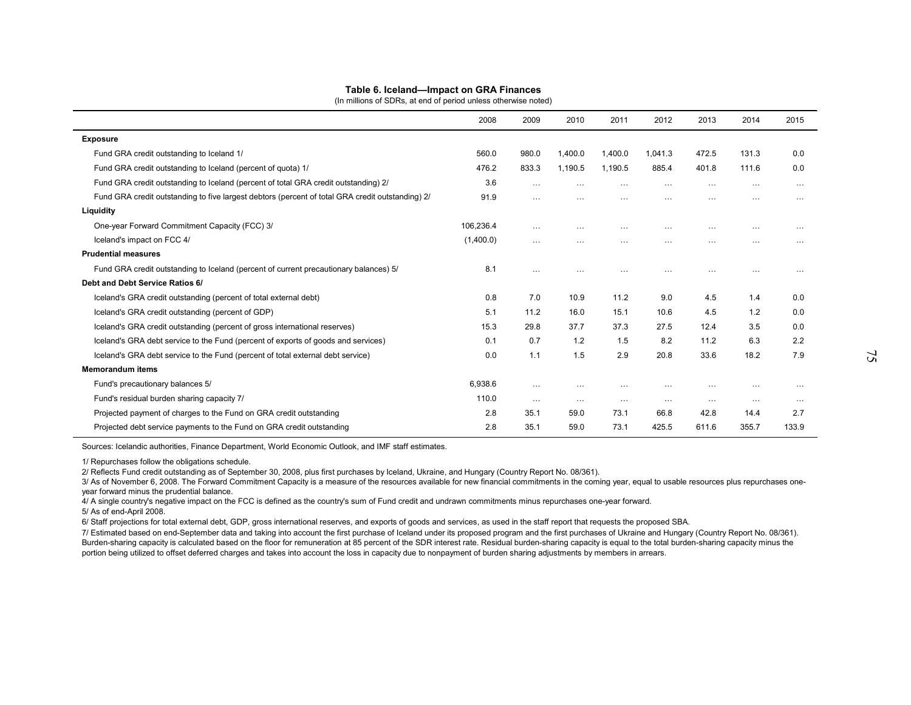| Table 6. Iceland-Impact on GRA Finances                                                          |           |          |          |          |          |          |          |          |
|--------------------------------------------------------------------------------------------------|-----------|----------|----------|----------|----------|----------|----------|----------|
| (In millions of SDRs, at end of period unless otherwise noted)                                   | 2008      | 2009     | 2010     | 2011     | 2012     | 2013     | 2014     | 2015     |
| <b>Exposure</b>                                                                                  |           |          |          |          |          |          |          |          |
| Fund GRA credit outstanding to Iceland 1/                                                        | 560.0     | 980.0    | 1,400.0  | 1,400.0  | 1,041.3  | 472.5    | 131.3    | 0.0      |
| Fund GRA credit outstanding to Iceland (percent of quota) 1/                                     | 476.2     | 833.3    | 1,190.5  | 1,190.5  | 885.4    | 401.8    | 111.6    | 0.0      |
| Fund GRA credit outstanding to Iceland (percent of total GRA credit outstanding) 2/              | 3.6       | $\cdots$ | $\cdots$ | $\cdots$ | $\cdots$ | $\cdots$ | $\cdots$ | $\cdots$ |
| Fund GRA credit outstanding to five largest debtors (percent of total GRA credit outstanding) 2/ | 91.9      | $\cdots$ | $\cdots$ | $\cdots$ | $\cdots$ | $\cdots$ | $\cdots$ | $\cdots$ |
| Liquidity                                                                                        |           |          |          |          |          |          |          |          |
| One-year Forward Commitment Capacity (FCC) 3/                                                    | 106,236.4 | $\cdots$ | $\cdots$ | $\cdots$ | $\cdots$ | $\cdots$ | $\cdots$ | $\cdots$ |
| Iceland's impact on FCC 4/                                                                       | (1,400.0) | $\cdots$ | $\cdots$ | $\cdots$ | $\cdots$ | $\cdots$ | $\cdots$ | $\cdots$ |
| <b>Prudential measures</b>                                                                       |           |          |          |          |          |          |          |          |
| Fund GRA credit outstanding to Iceland (percent of current precautionary balances) 5/            | 8.1       | $\cdots$ | $\cdots$ | $\cdots$ | $\cdots$ | $\cdots$ | $\cdots$ | $\cdots$ |
| Debt and Debt Service Ratios 6/                                                                  |           |          |          |          |          |          |          |          |
| Iceland's GRA credit outstanding (percent of total external debt)                                | 0.8       | 7.0      | 10.9     | 11.2     | 9.0      | 4.5      | 1.4      | 0.0      |
| Iceland's GRA credit outstanding (percent of GDP)                                                | 5.1       | 11.2     | 16.0     | 15.1     | 10.6     | 4.5      | 1.2      | 0.0      |
| Iceland's GRA credit outstanding (percent of gross international reserves)                       | 15.3      | 29.8     | 37.7     | 37.3     | 27.5     | 12.4     | 3.5      | 0.0      |
| Iceland's GRA debt service to the Fund (percent of exports of goods and services)                | 0.1       | 0.7      | 1.2      | 1.5      | 8.2      | 11.2     | 6.3      | 2.2      |
| Iceland's GRA debt service to the Fund (percent of total external debt service)                  | 0.0       | 1.1      | 1.5      | 2.9      | 20.8     | 33.6     | 18.2     | 7.9      |
| <b>Memorandum items</b>                                                                          |           |          |          |          |          |          |          |          |
| Fund's precautionary balances 5/                                                                 | 6.938.6   | $\cdots$ | $\cdots$ | $\cdots$ | $\cdots$ | $\cdots$ | $\cdots$ | $\cdots$ |
| Fund's residual burden sharing capacity 7/                                                       | 110.0     | $\cdots$ | $\cdots$ | $\cdots$ | $\cdots$ | $\cdots$ | $\cdots$ | $\cdots$ |
| Projected payment of charges to the Fund on GRA credit outstanding                               | 2.8       | 35.1     | 59.0     | 73.1     | 66.8     | 42.8     | 14.4     | 2.7      |
| Projected debt service payments to the Fund on GRA credit outstanding                            | 2.8       | 35.1     | 59.0     | 73.1     | 425.5    | 611.6    | 355.7    | 133.9    |

Sources: Icelandic authorities, Finance Department, World Economic Outlook, and IMF staff estimates.

1/ Repurchases follow the obligations schedule.

2/ Reflects Fund credit outstanding as of September 30, 2008, plus first purchases by Iceland, Ukraine, and Hungary (Country Report No. 08/361).<br>3/ As of November 6, 2008. The Forward Commitment Capacity is a measure of th year forward minus the prudential balance.<br>4/ A single country's negative impact on the FCC is defined as the country's sum of Fund credit and undrawn commitments minus repurchases one-year forward.<br>5/ As of end-April 2008

7/ Estimated based on end-September data and taking into account the first purchase of Iceland under its proposed program and the first purchases of Ukraine and Hungary (Country Report No. 08/361). Burden-sharing capacity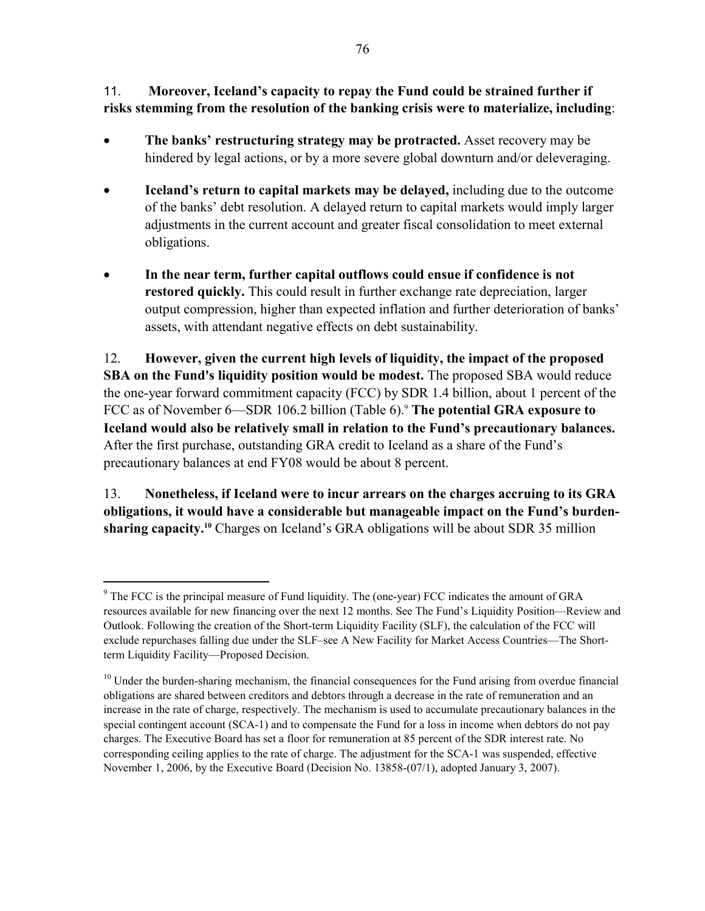11. **Moreover, Iceland's capacity to repay the Fund could be strained further if risks stemming from the resolution of the banking crisis were to materialize, including**:

- **The banks' restructuring strategy may be protracted.** Asset recovery may be hindered by legal actions, or by a more severe global downturn and/or deleveraging.
- **Iceland's return to capital markets may be delayed,** including due to the outcome of the banks' debt resolution. A delayed return to capital markets would imply larger adjustments in the current account and greater fiscal consolidation to meet external obligations.
- **In the near term, further capital outflows could ensue if confidence is not restored quickly.** This could result in further exchange rate depreciation, larger output compression, higher than expected inflation and further deterioration of banks' assets, with attendant negative effects on debt sustainability.

12. **However, given the current high levels of liquidity, the impact of the proposed SBA on the Fund's liquidity position would be modest.** The proposed SBA would reduce the one-year forward commitment capacity (FCC) by SDR 1.4 billion, about 1 percent of the FCC as of November 6—SDR 106.2 billion (Table 6).<sup>9</sup> The potential GRA exposure to **Iceland would also be relatively small in relation to the Fund's precautionary balances.**  After the first purchase, outstanding GRA credit to Iceland as a share of the Fund's precautionary balances at end FY08 would be about 8 percent.

13. **Nonetheless, if Iceland were to incur arrears on the charges accruing to its GRA obligations, it would have a considerable but manageable impact on the Fund's burdensharing capacity.<sup>10</sup>** Charges on Iceland's GRA obligations will be about SDR 35 million

 $\overline{a}$ 

<sup>&</sup>lt;sup>9</sup> The FCC is the principal measure of Fund liquidity. The (one-year) FCC indicates the amount of GRA resources available for new financing over the next 12 months. See The Fund's Liquidity Position—Review and Outlook. Following the creation of the Short-term Liquidity Facility (SLF), the calculation of the FCC will exclude repurchases falling due under the SLF–see A New Facility for Market Access Countries—The Shortterm Liquidity Facility—Proposed Decision.

<sup>&</sup>lt;sup>10</sup> Under the burden-sharing mechanism, the financial consequences for the Fund arising from overdue financial obligations are shared between creditors and debtors through a decrease in the rate of remuneration and an increase in the rate of charge, respectively. The mechanism is used to accumulate precautionary balances in the special contingent account (SCA-1) and to compensate the Fund for a loss in income when debtors do not pay charges. The Executive Board has set a floor for remuneration at 85 percent of the SDR interest rate. No corresponding ceiling applies to the rate of charge. The adjustment for the SCA-1 was suspended, effective November 1, 2006, by the Executive Board (Decision No. 13858-(07/1), adopted January 3, 2007).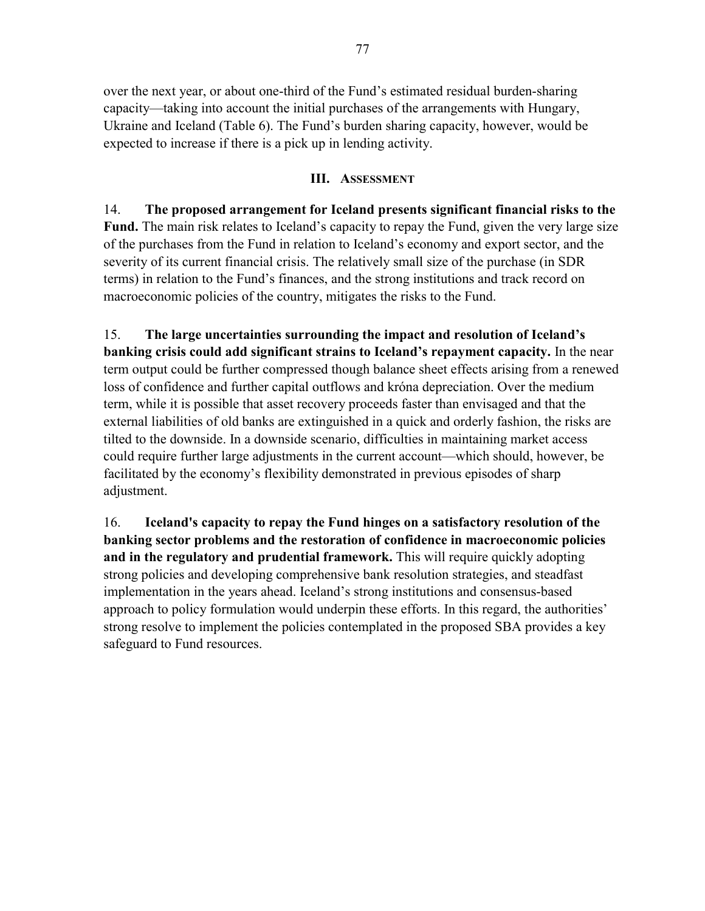over the next year, or about one-third of the Fund's estimated residual burden-sharing capacity—taking into account the initial purchases of the arrangements with Hungary, Ukraine and Iceland (Table 6). The Fund's burden sharing capacity, however, would be expected to increase if there is a pick up in lending activity.

#### **III. ASSESSMENT**

14. **The proposed arrangement for Iceland presents significant financial risks to the Fund.** The main risk relates to Iceland's capacity to repay the Fund, given the very large size of the purchases from the Fund in relation to Iceland's economy and export sector, and the severity of its current financial crisis. The relatively small size of the purchase (in SDR terms) in relation to the Fund's finances, and the strong institutions and track record on macroeconomic policies of the country, mitigates the risks to the Fund.

15. **The large uncertainties surrounding the impact and resolution of Iceland's banking crisis could add significant strains to Iceland's repayment capacity.** In the near term output could be further compressed though balance sheet effects arising from a renewed loss of confidence and further capital outflows and króna depreciation. Over the medium term, while it is possible that asset recovery proceeds faster than envisaged and that the external liabilities of old banks are extinguished in a quick and orderly fashion, the risks are tilted to the downside. In a downside scenario, difficulties in maintaining market access could require further large adjustments in the current account—which should, however, be facilitated by the economy's flexibility demonstrated in previous episodes of sharp adjustment.

16. **Iceland's capacity to repay the Fund hinges on a satisfactory resolution of the banking sector problems and the restoration of confidence in macroeconomic policies and in the regulatory and prudential framework.** This will require quickly adopting strong policies and developing comprehensive bank resolution strategies, and steadfast implementation in the years ahead. Iceland's strong institutions and consensus-based approach to policy formulation would underpin these efforts. In this regard, the authorities' strong resolve to implement the policies contemplated in the proposed SBA provides a key safeguard to Fund resources.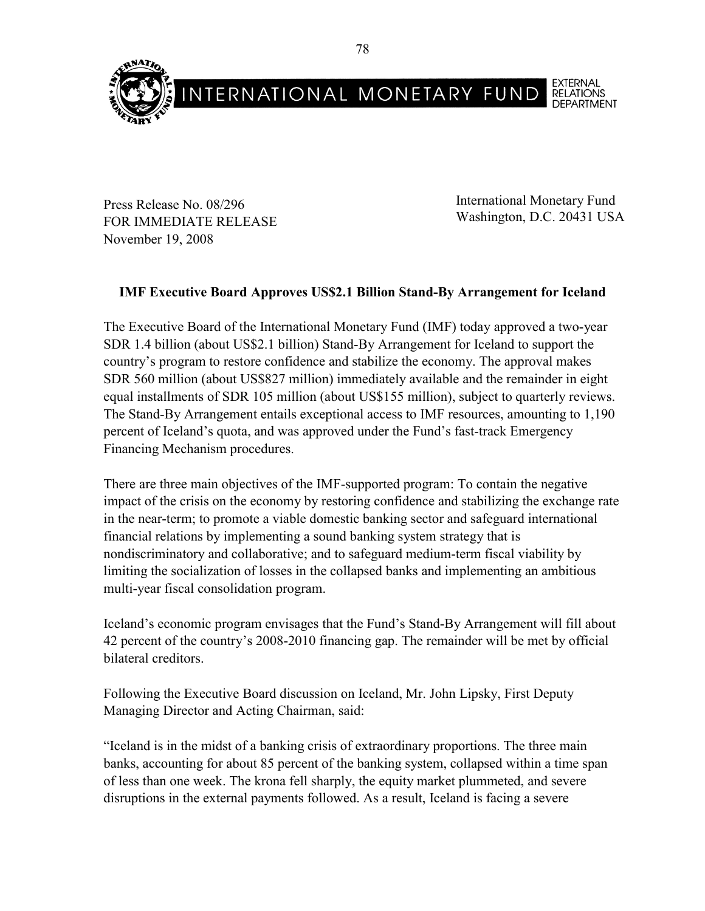

Press Release No. 08/296 FOR IMMEDIATE RELEASE November 19, 2008

International Monetary Fund Washington, D.C. 20431 USA

# **IMF Executive Board Approves US\$2.1 Billion Stand-By Arrangement for Iceland**

The Executive Board of the International Monetary Fund (IMF) today approved a two-year SDR 1.4 billion (about US\$2.1 billion) Stand-By Arrangement for Iceland to support the country's program to restore confidence and stabilize the economy. The approval makes SDR 560 million (about US\$827 million) immediately available and the remainder in eight equal installments of SDR 105 million (about US\$155 million), subject to quarterly reviews. The Stand-By Arrangement entails exceptional access to IMF resources, amounting to 1,190 percent of Iceland's quota, and was approved under the Fund's fast-track Emergency Financing Mechanism procedures.

There are three main objectives of the IMF-supported program: To contain the negative impact of the crisis on the economy by restoring confidence and stabilizing the exchange rate in the near-term; to promote a viable domestic banking sector and safeguard international financial relations by implementing a sound banking system strategy that is nondiscriminatory and collaborative; and to safeguard medium-term fiscal viability by limiting the socialization of losses in the collapsed banks and implementing an ambitious multi-year fiscal consolidation program.

Iceland's economic program envisages that the Fund's Stand-By Arrangement will fill about 42 percent of the country's 2008-2010 financing gap. The remainder will be met by official bilateral creditors.

Following the Executive Board discussion on Iceland, Mr. John Lipsky, First Deputy Managing Director and Acting Chairman, said:

"Iceland is in the midst of a banking crisis of extraordinary proportions. The three main banks, accounting for about 85 percent of the banking system, collapsed within a time span of less than one week. The krona fell sharply, the equity market plummeted, and severe disruptions in the external payments followed. As a result, Iceland is facing a severe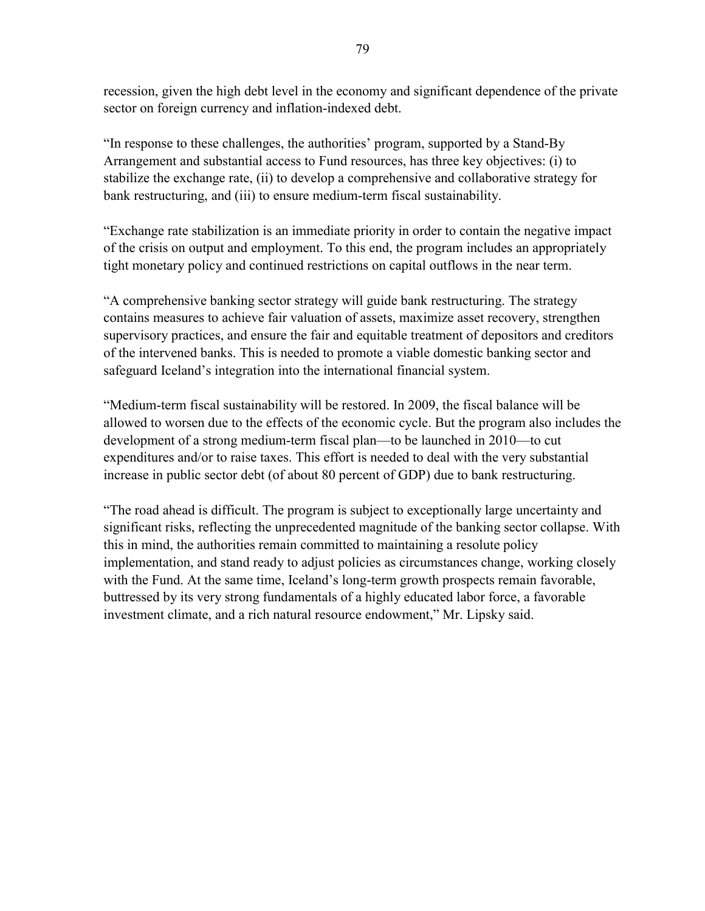recession, given the high debt level in the economy and significant dependence of the private sector on foreign currency and inflation-indexed debt.

"In response to these challenges, the authorities' program, supported by a Stand-By Arrangement and substantial access to Fund resources, has three key objectives: (i) to stabilize the exchange rate, (ii) to develop a comprehensive and collaborative strategy for bank restructuring, and (iii) to ensure medium-term fiscal sustainability.

"Exchange rate stabilization is an immediate priority in order to contain the negative impact of the crisis on output and employment. To this end, the program includes an appropriately tight monetary policy and continued restrictions on capital outflows in the near term.

"A comprehensive banking sector strategy will guide bank restructuring. The strategy contains measures to achieve fair valuation of assets, maximize asset recovery, strengthen supervisory practices, and ensure the fair and equitable treatment of depositors and creditors of the intervened banks. This is needed to promote a viable domestic banking sector and safeguard Iceland's integration into the international financial system.

"Medium-term fiscal sustainability will be restored. In 2009, the fiscal balance will be allowed to worsen due to the effects of the economic cycle. But the program also includes the development of a strong medium-term fiscal plan—to be launched in 2010—to cut expenditures and/or to raise taxes. This effort is needed to deal with the very substantial increase in public sector debt (of about 80 percent of GDP) due to bank restructuring.

"The road ahead is difficult. The program is subject to exceptionally large uncertainty and significant risks, reflecting the unprecedented magnitude of the banking sector collapse. With this in mind, the authorities remain committed to maintaining a resolute policy implementation, and stand ready to adjust policies as circumstances change, working closely with the Fund. At the same time, Iceland's long-term growth prospects remain favorable, buttressed by its very strong fundamentals of a highly educated labor force, a favorable investment climate, and a rich natural resource endowment," Mr. Lipsky said.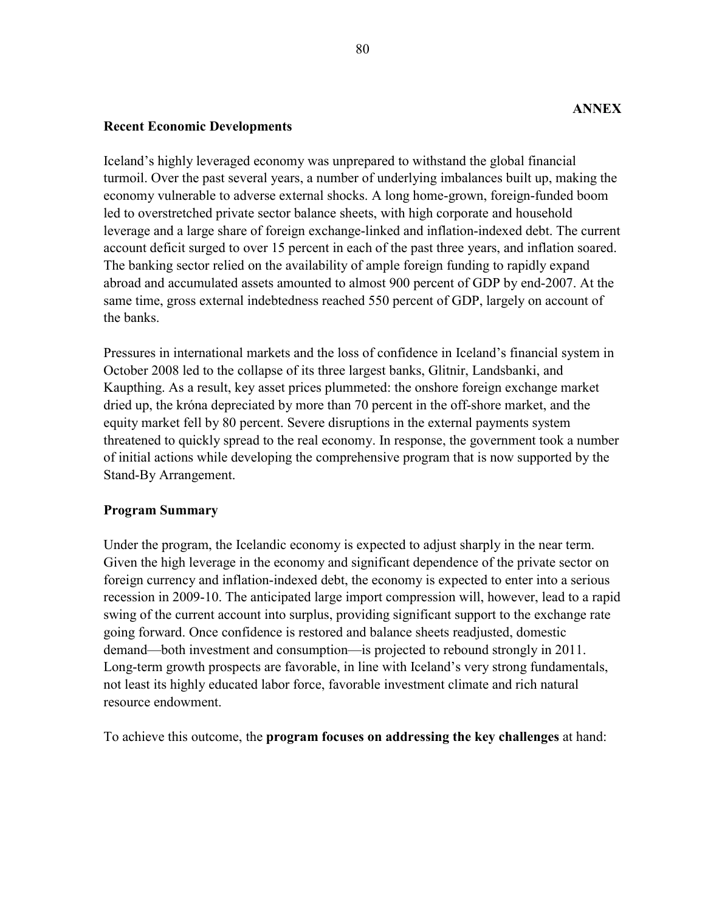#### **Recent Economic Developments**

Iceland's highly leveraged economy was unprepared to withstand the global financial turmoil. Over the past several years, a number of underlying imbalances built up, making the economy vulnerable to adverse external shocks. A long home-grown, foreign-funded boom led to overstretched private sector balance sheets, with high corporate and household leverage and a large share of foreign exchange-linked and inflation-indexed debt. The current account deficit surged to over 15 percent in each of the past three years, and inflation soared. The banking sector relied on the availability of ample foreign funding to rapidly expand abroad and accumulated assets amounted to almost 900 percent of GDP by end-2007. At the same time, gross external indebtedness reached 550 percent of GDP, largely on account of the banks.

Pressures in international markets and the loss of confidence in Iceland's financial system in October 2008 led to the collapse of its three largest banks, Glitnir, Landsbanki, and Kaupthing. As a result, key asset prices plummeted: the onshore foreign exchange market dried up, the króna depreciated by more than 70 percent in the off-shore market, and the equity market fell by 80 percent. Severe disruptions in the external payments system threatened to quickly spread to the real economy. In response, the government took a number of initial actions while developing the comprehensive program that is now supported by the Stand-By Arrangement.

# **Program Summary**

Under the program, the Icelandic economy is expected to adjust sharply in the near term. Given the high leverage in the economy and significant dependence of the private sector on foreign currency and inflation-indexed debt, the economy is expected to enter into a serious recession in 2009-10. The anticipated large import compression will, however, lead to a rapid swing of the current account into surplus, providing significant support to the exchange rate going forward. Once confidence is restored and balance sheets readjusted, domestic demand—both investment and consumption—is projected to rebound strongly in 2011. Long-term growth prospects are favorable, in line with Iceland's very strong fundamentals, not least its highly educated labor force, favorable investment climate and rich natural resource endowment.

To achieve this outcome, the **program focuses on addressing the key challenges** at hand: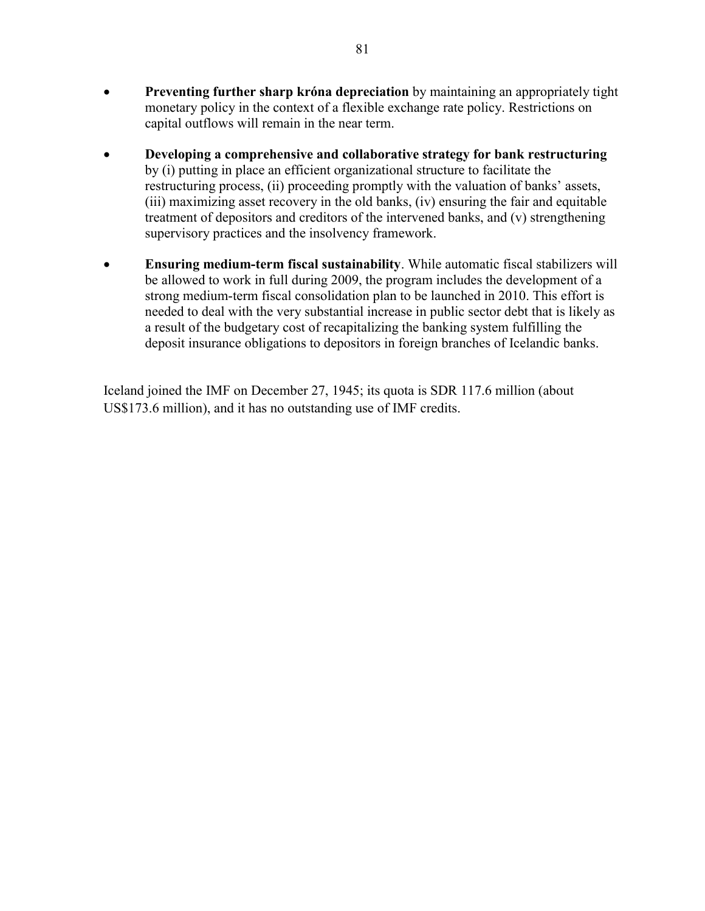- **Preventing further sharp króna depreciation** by maintaining an appropriately tight monetary policy in the context of a flexible exchange rate policy. Restrictions on capital outflows will remain in the near term.
- **Developing a comprehensive and collaborative strategy for bank restructuring** by (i) putting in place an efficient organizational structure to facilitate the restructuring process, (ii) proceeding promptly with the valuation of banks' assets, (iii) maximizing asset recovery in the old banks, (iv) ensuring the fair and equitable treatment of depositors and creditors of the intervened banks, and (v) strengthening supervisory practices and the insolvency framework.
- **Ensuring medium-term fiscal sustainability**. While automatic fiscal stabilizers will be allowed to work in full during 2009, the program includes the development of a strong medium-term fiscal consolidation plan to be launched in 2010. This effort is needed to deal with the very substantial increase in public sector debt that is likely as a result of the budgetary cost of recapitalizing the banking system fulfilling the deposit insurance obligations to depositors in foreign branches of Icelandic banks.

Iceland joined the IMF on December 27, 1945; its quota is SDR 117.6 million (about US\$173.6 million), and it has no outstanding use of IMF credits.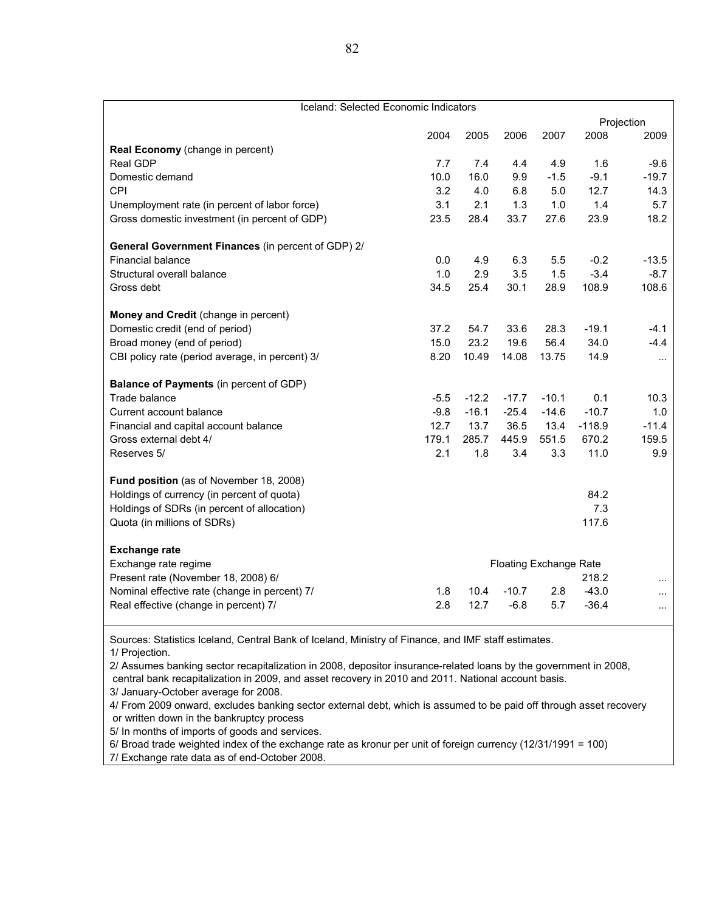| Iceland: Selected Economic Indicators              |                               |         |         |         |          |            |  |
|----------------------------------------------------|-------------------------------|---------|---------|---------|----------|------------|--|
|                                                    |                               |         |         |         |          | Projection |  |
|                                                    | 2004                          | 2005    | 2006    | 2007    | 2008     | 2009       |  |
| Real Economy (change in percent)                   |                               |         |         |         |          |            |  |
| <b>Real GDP</b>                                    | 7.7                           | 7.4     | 4.4     | 4.9     | 1.6      | $-9.6$     |  |
| Domestic demand                                    | 10.0                          | 16.0    | 9.9     | $-1.5$  | $-9.1$   | $-19.7$    |  |
| CPI                                                | 3.2                           | 4.0     | 6.8     | 5.0     | 12.7     | 14.3       |  |
| Unemployment rate (in percent of labor force)      | 3.1                           | 2.1     | 1.3     | 1.0     | 1.4      | 5.7        |  |
| Gross domestic investment (in percent of GDP)      | 23.5                          | 28.4    | 33.7    | 27.6    | 23.9     | 18.2       |  |
| General Government Finances (in percent of GDP) 2/ |                               |         |         |         |          |            |  |
| <b>Financial balance</b>                           | 0.0                           | 4.9     | 6.3     | 5.5     | $-0.2$   | $-13.5$    |  |
| Structural overall balance                         | 1.0                           | 2.9     | 3.5     | 1.5     | $-3.4$   | $-8.7$     |  |
| Gross debt                                         | 34.5                          | 25.4    | 30.1    | 28.9    | 108.9    | 108.6      |  |
| Money and Credit (change in percent)               |                               |         |         |         |          |            |  |
| Domestic credit (end of period)                    | 37.2                          | 54.7    | 33.6    | 28.3    | $-19.1$  | $-4.1$     |  |
| Broad money (end of period)                        | 15.0                          | 23.2    | 19.6    | 56.4    | 34.0     | $-4.4$     |  |
| CBI policy rate (period average, in percent) 3/    | 8.20                          | 10.49   | 14.08   | 13.75   | 14.9     | $\cdots$   |  |
| <b>Balance of Payments</b> (in percent of GDP)     |                               |         |         |         |          |            |  |
| Trade balance                                      | $-5.5$                        | $-12.2$ | $-17.7$ | $-10.1$ | 0.1      | 10.3       |  |
| Current account balance                            | $-9.8$                        | $-16.1$ | $-25.4$ | $-14.6$ | $-10.7$  | 1.0        |  |
| Financial and capital account balance              | 12.7                          | 13.7    | 36.5    | 13.4    | $-118.9$ | $-11.4$    |  |
| Gross external debt 4/                             | 179.1                         | 285.7   | 445.9   | 551.5   | 670.2    | 159.5      |  |
| Reserves 5/                                        | 2.1                           | 1.8     | 3.4     | 3.3     | 11.0     | 9.9        |  |
| Fund position (as of November 18, 2008)            |                               |         |         |         |          |            |  |
| Holdings of currency (in percent of quota)         |                               |         |         |         | 84.2     |            |  |
| Holdings of SDRs (in percent of allocation)        |                               |         |         |         | 7.3      |            |  |
| Quota (in millions of SDRs)                        |                               |         |         |         | 117.6    |            |  |
| <b>Exchange rate</b>                               |                               |         |         |         |          |            |  |
| Exchange rate regime                               | <b>Floating Exchange Rate</b> |         |         |         |          |            |  |
| Present rate (November 18, 2008) 6/                | 218.2                         |         |         |         |          |            |  |
| Nominal effective rate (change in percent) 7/      | 1.8                           | 10.4    | $-10.7$ | 2.8     | $-43.0$  | $\cdots$   |  |
| Real effective (change in percent) 7/              | 2.8                           | 12.7    | $-6.8$  | 5.7     | $-36.4$  | $\cdots$   |  |

Sources: Statistics Iceland, Central Bank of Iceland, Ministry of Finance, and IMF staff estimates. 1/ Projection.

2/ Assumes banking sector recapitalization in 2008, depositor insurance-related loans by the government in 2008,

central bank recapitalization in 2009, and asset recovery in 2010 and 2011. National account basis.

3/ January-October average for 2008.

4/ From 2009 onward, excludes banking sector external debt, which is assumed to be paid off through asset recovery or written down in the bankruptcy process

5/ In months of imports of goods and services.

6/ Broad trade weighted index of the exchange rate as kronur per unit of foreign currency (12/31/1991 = 100)

7/ Exchange rate data as of end-October 2008.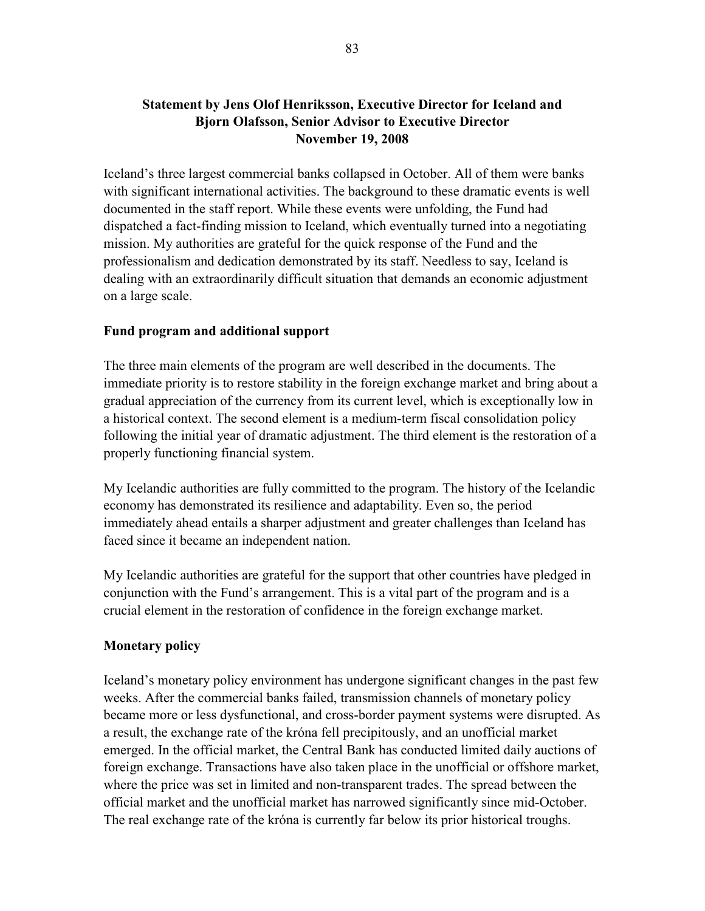# **Statement by Jens Olof Henriksson, Executive Director for Iceland and Bjorn Olafsson, Senior Advisor to Executive Director November 19, 2008**

Iceland's three largest commercial banks collapsed in October. All of them were banks with significant international activities. The background to these dramatic events is well documented in the staff report. While these events were unfolding, the Fund had dispatched a fact-finding mission to Iceland, which eventually turned into a negotiating mission. My authorities are grateful for the quick response of the Fund and the professionalism and dedication demonstrated by its staff. Needless to say, Iceland is dealing with an extraordinarily difficult situation that demands an economic adjustment on a large scale.

#### **Fund program and additional support**

The three main elements of the program are well described in the documents. The immediate priority is to restore stability in the foreign exchange market and bring about a gradual appreciation of the currency from its current level, which is exceptionally low in a historical context. The second element is a medium-term fiscal consolidation policy following the initial year of dramatic adjustment. The third element is the restoration of a properly functioning financial system.

My Icelandic authorities are fully committed to the program. The history of the Icelandic economy has demonstrated its resilience and adaptability. Even so, the period immediately ahead entails a sharper adjustment and greater challenges than Iceland has faced since it became an independent nation.

My Icelandic authorities are grateful for the support that other countries have pledged in conjunction with the Fund's arrangement. This is a vital part of the program and is a crucial element in the restoration of confidence in the foreign exchange market.

# **Monetary policy**

Iceland's monetary policy environment has undergone significant changes in the past few weeks. After the commercial banks failed, transmission channels of monetary policy became more or less dysfunctional, and cross-border payment systems were disrupted. As a result, the exchange rate of the króna fell precipitously, and an unofficial market emerged. In the official market, the Central Bank has conducted limited daily auctions of foreign exchange. Transactions have also taken place in the unofficial or offshore market, where the price was set in limited and non-transparent trades. The spread between the official market and the unofficial market has narrowed significantly since mid-October. The real exchange rate of the króna is currently far below its prior historical troughs.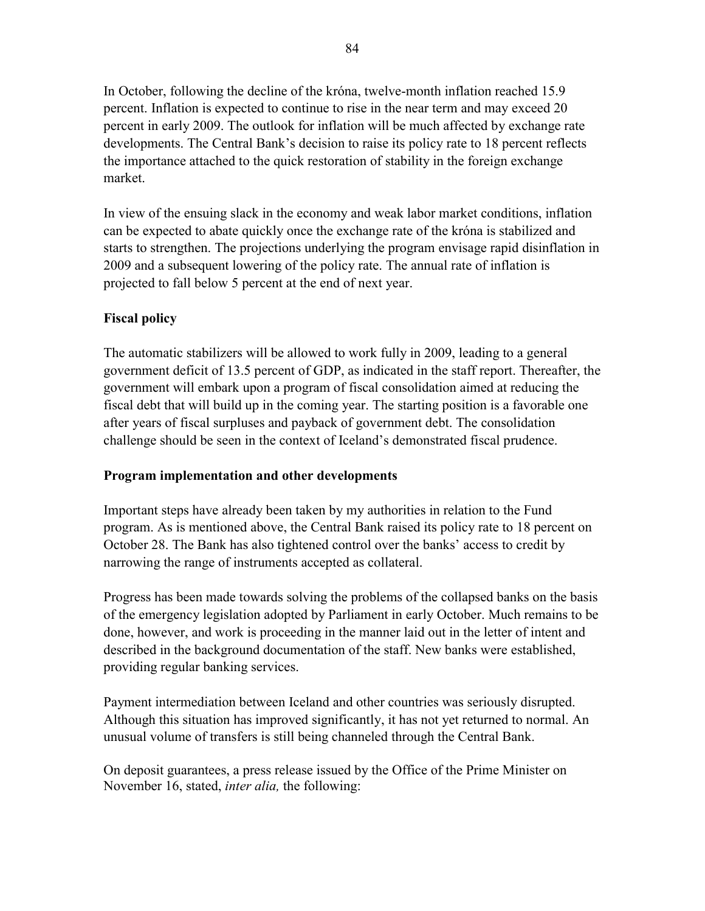In October, following the decline of the króna, twelve-month inflation reached 15.9 percent. Inflation is expected to continue to rise in the near term and may exceed 20 percent in early 2009. The outlook for inflation will be much affected by exchange rate developments. The Central Bank's decision to raise its policy rate to 18 percent reflects the importance attached to the quick restoration of stability in the foreign exchange market.

In view of the ensuing slack in the economy and weak labor market conditions, inflation can be expected to abate quickly once the exchange rate of the króna is stabilized and starts to strengthen. The projections underlying the program envisage rapid disinflation in 2009 and a subsequent lowering of the policy rate. The annual rate of inflation is projected to fall below 5 percent at the end of next year.

# **Fiscal policy**

The automatic stabilizers will be allowed to work fully in 2009, leading to a general government deficit of 13.5 percent of GDP, as indicated in the staff report. Thereafter, the government will embark upon a program of fiscal consolidation aimed at reducing the fiscal debt that will build up in the coming year. The starting position is a favorable one after years of fiscal surpluses and payback of government debt. The consolidation challenge should be seen in the context of Iceland's demonstrated fiscal prudence.

# **Program implementation and other developments**

Important steps have already been taken by my authorities in relation to the Fund program. As is mentioned above, the Central Bank raised its policy rate to 18 percent on October 28. The Bank has also tightened control over the banks' access to credit by narrowing the range of instruments accepted as collateral.

Progress has been made towards solving the problems of the collapsed banks on the basis of the emergency legislation adopted by Parliament in early October. Much remains to be done, however, and work is proceeding in the manner laid out in the letter of intent and described in the background documentation of the staff. New banks were established, providing regular banking services.

Payment intermediation between Iceland and other countries was seriously disrupted. Although this situation has improved significantly, it has not yet returned to normal. An unusual volume of transfers is still being channeled through the Central Bank.

On deposit guarantees, a press release issued by the Office of the Prime Minister on November 16, stated, *inter alia,* the following: